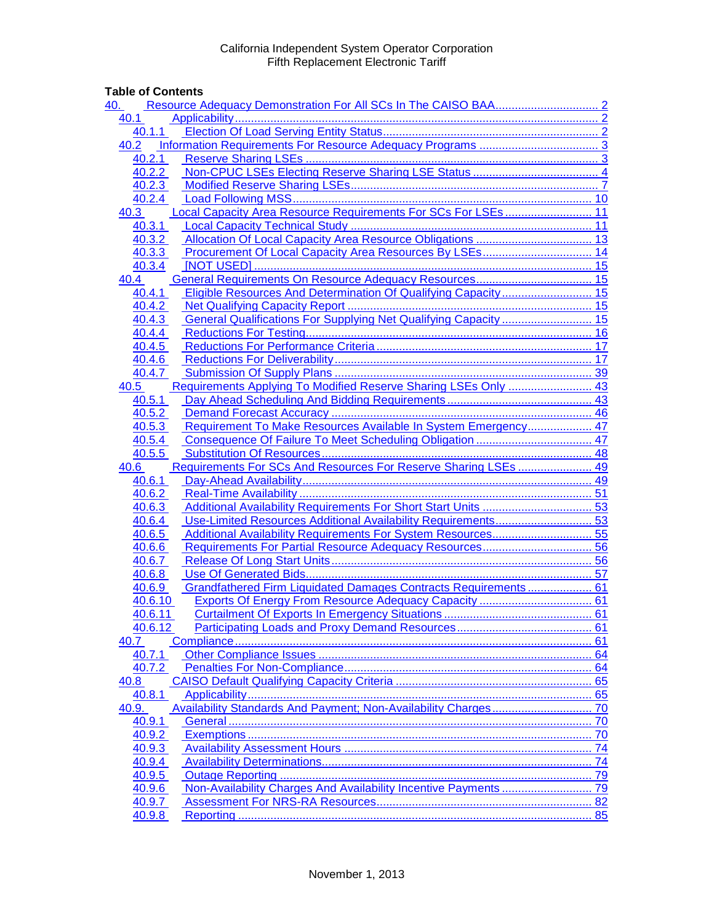# **Table of Contents**

| 40.                                                                        |    |
|----------------------------------------------------------------------------|----|
| 40.1                                                                       |    |
| 40.1.1                                                                     |    |
| 40.2                                                                       |    |
| 40.2.1                                                                     |    |
| 40.2.2                                                                     |    |
| 40.2.3                                                                     |    |
| 40.2.4                                                                     |    |
| Local Capacity Area Resource Requirements For SCs For LSEs 11<br>40.3      |    |
| 40.3.1                                                                     |    |
| 40.3.2                                                                     |    |
| 40.3.3                                                                     |    |
| 40.3.4                                                                     |    |
| 40.4                                                                       |    |
| Eligible Resources And Determination Of Qualifying Capacity 15<br>40.4.1   |    |
| 40.4.2                                                                     |    |
| General Qualifications For Supplying Net Qualifying Capacity  15<br>40.4.3 |    |
| 40.4.4                                                                     |    |
| 40.4.5                                                                     |    |
| 40.4.6                                                                     |    |
| 40.4.7                                                                     |    |
| Requirements Applying To Modified Reserve Sharing LSEs Only  43<br>40.5    |    |
| 40.5.1                                                                     |    |
| 40.5.2                                                                     |    |
| Requirement To Make Resources Available In System Emergency 47<br>40.5.3   |    |
| 40.5.4                                                                     |    |
| 40.5.5                                                                     |    |
| Requirements For SCs And Resources For Reserve Sharing LSEs  49<br>40.6    |    |
| 40.6.1                                                                     |    |
| 40.6.2                                                                     |    |
| 40.6.3                                                                     |    |
| Use-Limited Resources Additional Availability Requirements 53<br>40.6.4    |    |
| 40.6.5                                                                     |    |
| 40.6.6                                                                     |    |
| 40.6.7                                                                     |    |
| 40.6.8                                                                     |    |
| Grandfathered Firm Liquidated Damages Contracts Requirements  61<br>40.6.9 |    |
| 40.6.10                                                                    |    |
| 40.6.11                                                                    |    |
| 40.6.12                                                                    |    |
| 40.7                                                                       |    |
| 40.7.1                                                                     |    |
| 40.7.2                                                                     |    |
| 40.8                                                                       |    |
| 40.8.1                                                                     |    |
| 40.9.                                                                      |    |
| 40.9.1                                                                     | 70 |
| 40.9.2                                                                     | 70 |
| 40.9.3                                                                     |    |
| 40.9.4                                                                     |    |
| 40.9.5                                                                     |    |
| 40.9.6<br>40.9.7                                                           |    |
| 40.9.8                                                                     |    |
|                                                                            |    |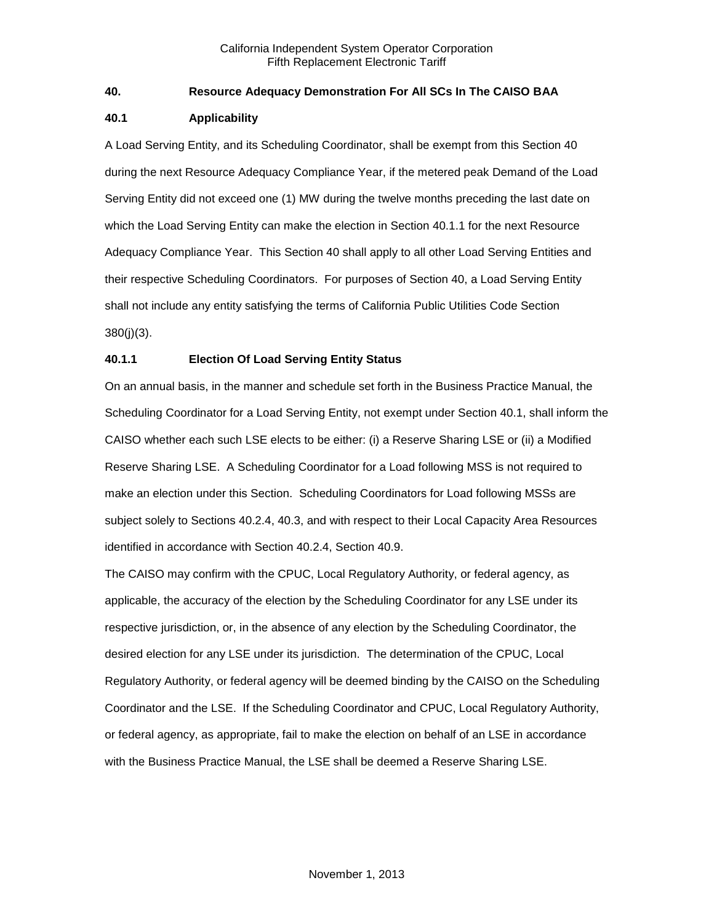# <span id="page-1-0"></span>**40. Resource Adequacy Demonstration For All SCs In The CAISO BAA**

# <span id="page-1-1"></span>**40.1 Applicability**

A Load Serving Entity, and its Scheduling Coordinator, shall be exempt from this Section 40 during the next Resource Adequacy Compliance Year, if the metered peak Demand of the Load Serving Entity did not exceed one (1) MW during the twelve months preceding the last date on which the Load Serving Entity can make the election in Section 40.1.1 for the next Resource Adequacy Compliance Year. This Section 40 shall apply to all other Load Serving Entities and their respective Scheduling Coordinators. For purposes of Section 40, a Load Serving Entity shall not include any entity satisfying the terms of California Public Utilities Code Section 380(j)(3).

# <span id="page-1-2"></span>**40.1.1 Election Of Load Serving Entity Status**

On an annual basis, in the manner and schedule set forth in the Business Practice Manual, the Scheduling Coordinator for a Load Serving Entity, not exempt under Section 40.1, shall inform the CAISO whether each such LSE elects to be either: (i) a Reserve Sharing LSE or (ii) a Modified Reserve Sharing LSE. A Scheduling Coordinator for a Load following MSS is not required to make an election under this Section. Scheduling Coordinators for Load following MSSs are subject solely to Sections 40.2.4, 40.3, and with respect to their Local Capacity Area Resources identified in accordance with Section 40.2.4, Section 40.9.

The CAISO may confirm with the CPUC, Local Regulatory Authority, or federal agency, as applicable, the accuracy of the election by the Scheduling Coordinator for any LSE under its respective jurisdiction, or, in the absence of any election by the Scheduling Coordinator, the desired election for any LSE under its jurisdiction. The determination of the CPUC, Local Regulatory Authority, or federal agency will be deemed binding by the CAISO on the Scheduling Coordinator and the LSE. If the Scheduling Coordinator and CPUC, Local Regulatory Authority, or federal agency, as appropriate, fail to make the election on behalf of an LSE in accordance with the Business Practice Manual, the LSE shall be deemed a Reserve Sharing LSE.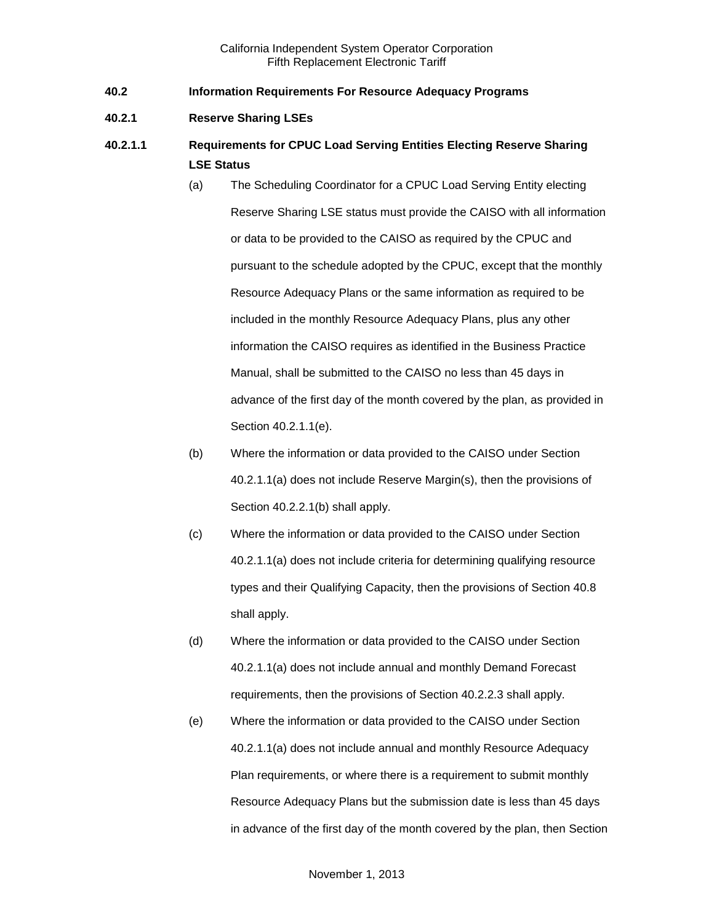- <span id="page-2-0"></span>**40.2 Information Requirements For Resource Adequacy Programs**
- <span id="page-2-1"></span>**40.2.1 Reserve Sharing LSEs**
- **40.2.1.1 Requirements for CPUC Load Serving Entities Electing Reserve Sharing LSE Status**
	- (a) The Scheduling Coordinator for a CPUC Load Serving Entity electing Reserve Sharing LSE status must provide the CAISO with all information or data to be provided to the CAISO as required by the CPUC and pursuant to the schedule adopted by the CPUC, except that the monthly Resource Adequacy Plans or the same information as required to be included in the monthly Resource Adequacy Plans, plus any other information the CAISO requires as identified in the Business Practice Manual, shall be submitted to the CAISO no less than 45 days in advance of the first day of the month covered by the plan, as provided in Section 40.2.1.1(e).
	- (b) Where the information or data provided to the CAISO under Section 40.2.1.1(a) does not include Reserve Margin(s), then the provisions of Section 40.2.2.1(b) shall apply.
	- (c) Where the information or data provided to the CAISO under Section 40.2.1.1(a) does not include criteria for determining qualifying resource types and their Qualifying Capacity, then the provisions of Section 40.8 shall apply.
	- (d) Where the information or data provided to the CAISO under Section 40.2.1.1(a) does not include annual and monthly Demand Forecast requirements, then the provisions of Section 40.2.2.3 shall apply.
	- (e) Where the information or data provided to the CAISO under Section 40.2.1.1(a) does not include annual and monthly Resource Adequacy Plan requirements, or where there is a requirement to submit monthly Resource Adequacy Plans but the submission date is less than 45 days in advance of the first day of the month covered by the plan, then Section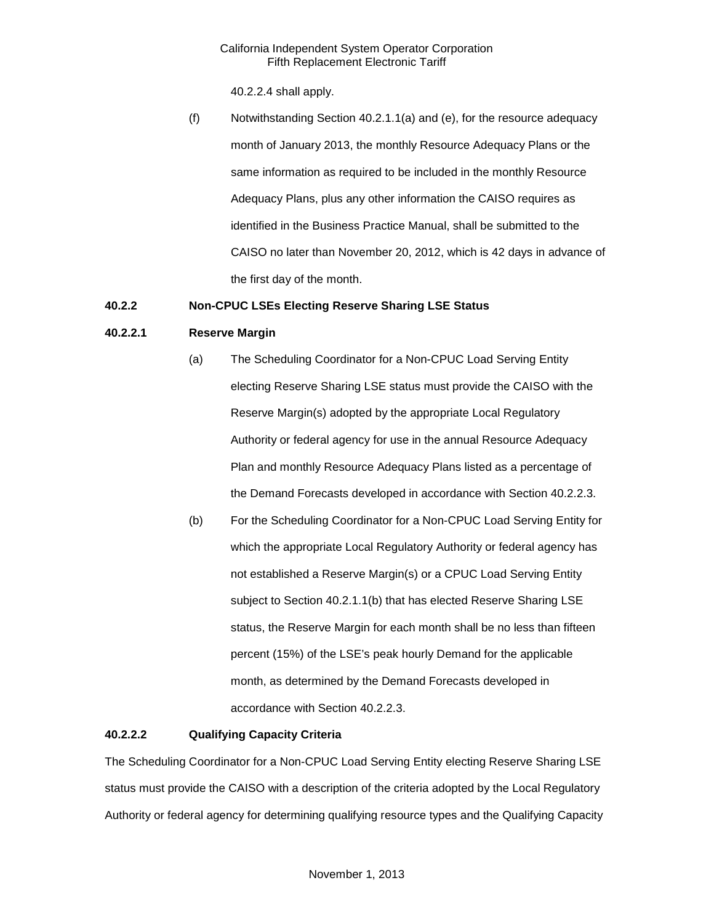40.2.2.4 shall apply.

(f) Notwithstanding Section 40.2.1.1(a) and (e), for the resource adequacy month of January 2013, the monthly Resource Adequacy Plans or the same information as required to be included in the monthly Resource Adequacy Plans, plus any other information the CAISO requires as identified in the Business Practice Manual, shall be submitted to the CAISO no later than November 20, 2012, which is 42 days in advance of the first day of the month.

# <span id="page-3-0"></span>**40.2.2 Non-CPUC LSEs Electing Reserve Sharing LSE Status**

# **40.2.2.1 Reserve Margin**

- (a) The Scheduling Coordinator for a Non-CPUC Load Serving Entity electing Reserve Sharing LSE status must provide the CAISO with the Reserve Margin(s) adopted by the appropriate Local Regulatory Authority or federal agency for use in the annual Resource Adequacy Plan and monthly Resource Adequacy Plans listed as a percentage of the Demand Forecasts developed in accordance with Section 40.2.2.3.
- (b) For the Scheduling Coordinator for a Non-CPUC Load Serving Entity for which the appropriate Local Regulatory Authority or federal agency has not established a Reserve Margin(s) or a CPUC Load Serving Entity subject to Section 40.2.1.1(b) that has elected Reserve Sharing LSE status, the Reserve Margin for each month shall be no less than fifteen percent (15%) of the LSE's peak hourly Demand for the applicable month, as determined by the Demand Forecasts developed in accordance with Section 40.2.2.3.

# **40.2.2.2 Qualifying Capacity Criteria**

The Scheduling Coordinator for a Non-CPUC Load Serving Entity electing Reserve Sharing LSE status must provide the CAISO with a description of the criteria adopted by the Local Regulatory Authority or federal agency for determining qualifying resource types and the Qualifying Capacity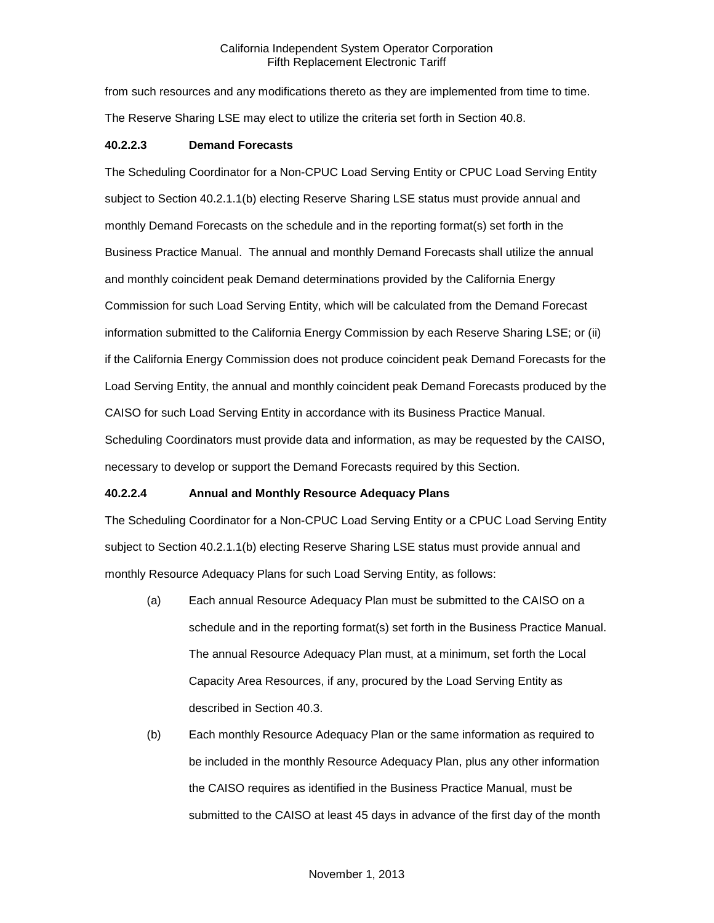from such resources and any modifications thereto as they are implemented from time to time. The Reserve Sharing LSE may elect to utilize the criteria set forth in Section 40.8.

# **40.2.2.3 Demand Forecasts**

The Scheduling Coordinator for a Non-CPUC Load Serving Entity or CPUC Load Serving Entity subject to Section 40.2.1.1(b) electing Reserve Sharing LSE status must provide annual and monthly Demand Forecasts on the schedule and in the reporting format(s) set forth in the Business Practice Manual. The annual and monthly Demand Forecasts shall utilize the annual and monthly coincident peak Demand determinations provided by the California Energy Commission for such Load Serving Entity, which will be calculated from the Demand Forecast information submitted to the California Energy Commission by each Reserve Sharing LSE; or (ii) if the California Energy Commission does not produce coincident peak Demand Forecasts for the Load Serving Entity, the annual and monthly coincident peak Demand Forecasts produced by the CAISO for such Load Serving Entity in accordance with its Business Practice Manual. Scheduling Coordinators must provide data and information, as may be requested by the CAISO, necessary to develop or support the Demand Forecasts required by this Section.

# **40.2.2.4 Annual and Monthly Resource Adequacy Plans**

The Scheduling Coordinator for a Non-CPUC Load Serving Entity or a CPUC Load Serving Entity subject to Section 40.2.1.1(b) electing Reserve Sharing LSE status must provide annual and monthly Resource Adequacy Plans for such Load Serving Entity, as follows:

- (a) Each annual Resource Adequacy Plan must be submitted to the CAISO on a schedule and in the reporting format(s) set forth in the Business Practice Manual. The annual Resource Adequacy Plan must, at a minimum, set forth the Local Capacity Area Resources, if any, procured by the Load Serving Entity as described in Section 40.3.
- (b) Each monthly Resource Adequacy Plan or the same information as required to be included in the monthly Resource Adequacy Plan, plus any other information the CAISO requires as identified in the Business Practice Manual, must be submitted to the CAISO at least 45 days in advance of the first day of the month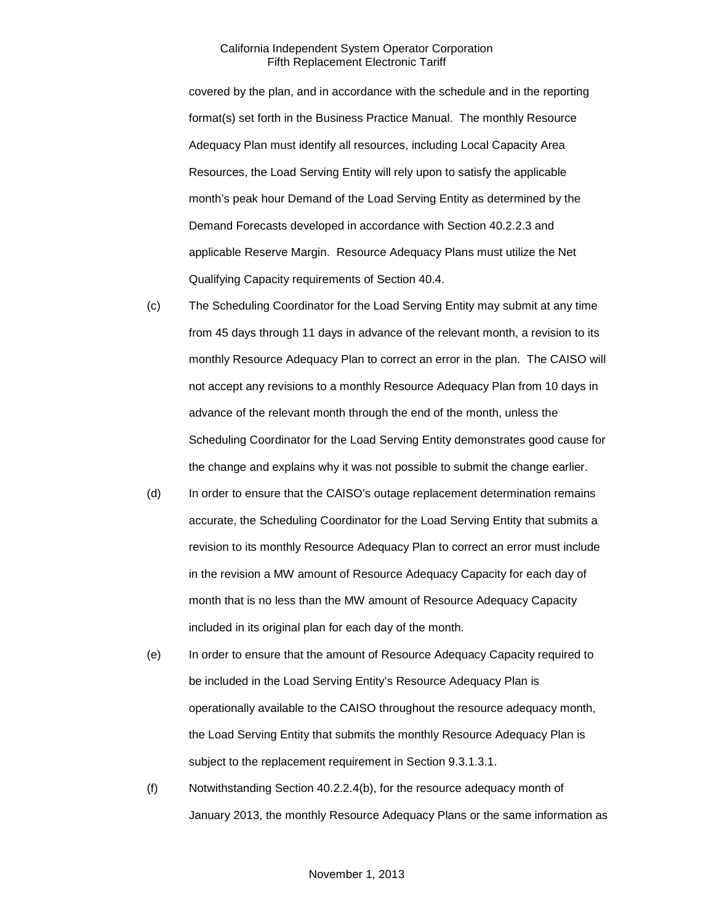covered by the plan, and in accordance with the schedule and in the reporting format(s) set forth in the Business Practice Manual. The monthly Resource Adequacy Plan must identify all resources, including Local Capacity Area Resources, the Load Serving Entity will rely upon to satisfy the applicable month's peak hour Demand of the Load Serving Entity as determined by the Demand Forecasts developed in accordance with Section 40.2.2.3 and applicable Reserve Margin. Resource Adequacy Plans must utilize the Net Qualifying Capacity requirements of Section 40.4.

- (c) The Scheduling Coordinator for the Load Serving Entity may submit at any time from 45 days through 11 days in advance of the relevant month, a revision to its monthly Resource Adequacy Plan to correct an error in the plan. The CAISO will not accept any revisions to a monthly Resource Adequacy Plan from 10 days in advance of the relevant month through the end of the month, unless the Scheduling Coordinator for the Load Serving Entity demonstrates good cause for the change and explains why it was not possible to submit the change earlier.
- (d) In order to ensure that the CAISO's outage replacement determination remains accurate, the Scheduling Coordinator for the Load Serving Entity that submits a revision to its monthly Resource Adequacy Plan to correct an error must include in the revision a MW amount of Resource Adequacy Capacity for each day of month that is no less than the MW amount of Resource Adequacy Capacity included in its original plan for each day of the month.
- (e) In order to ensure that the amount of Resource Adequacy Capacity required to be included in the Load Serving Entity's Resource Adequacy Plan is operationally available to the CAISO throughout the resource adequacy month, the Load Serving Entity that submits the monthly Resource Adequacy Plan is subject to the replacement requirement in Section 9.3.1.3.1.
- (f) Notwithstanding Section 40.2.2.4(b), for the resource adequacy month of January 2013, the monthly Resource Adequacy Plans or the same information as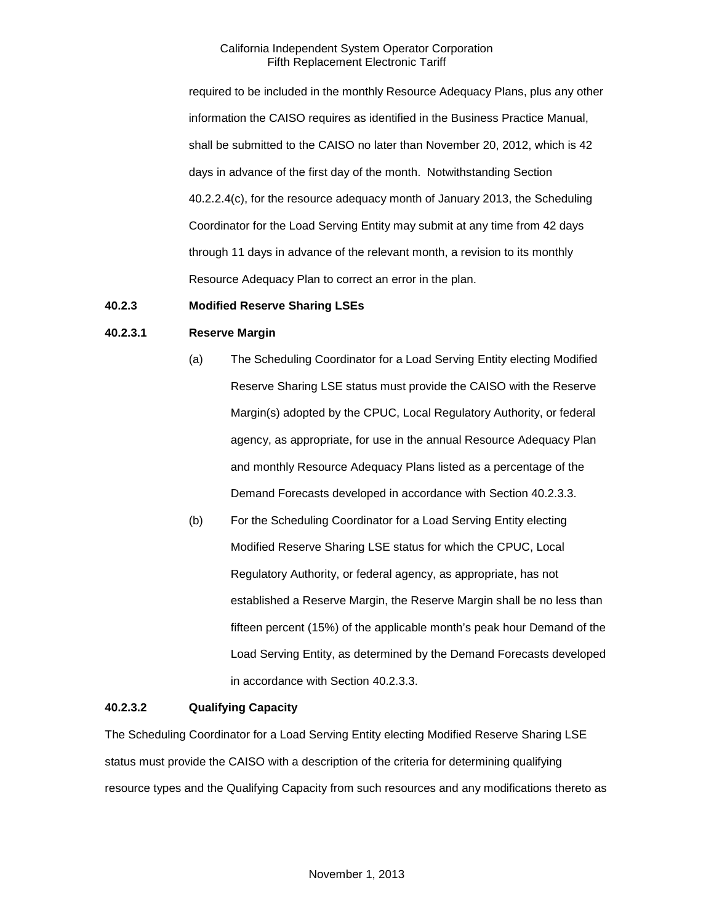required to be included in the monthly Resource Adequacy Plans, plus any other information the CAISO requires as identified in the Business Practice Manual, shall be submitted to the CAISO no later than November 20, 2012, which is 42 days in advance of the first day of the month. Notwithstanding Section 40.2.2.4(c), for the resource adequacy month of January 2013, the Scheduling Coordinator for the Load Serving Entity may submit at any time from 42 days through 11 days in advance of the relevant month, a revision to its monthly Resource Adequacy Plan to correct an error in the plan.

# <span id="page-6-0"></span>**40.2.3 Modified Reserve Sharing LSEs**

# **40.2.3.1 Reserve Margin**

- (a) The Scheduling Coordinator for a Load Serving Entity electing Modified Reserve Sharing LSE status must provide the CAISO with the Reserve Margin(s) adopted by the CPUC, Local Regulatory Authority, or federal agency, as appropriate, for use in the annual Resource Adequacy Plan and monthly Resource Adequacy Plans listed as a percentage of the Demand Forecasts developed in accordance with Section 40.2.3.3.
- (b) For the Scheduling Coordinator for a Load Serving Entity electing Modified Reserve Sharing LSE status for which the CPUC, Local Regulatory Authority, or federal agency, as appropriate, has not established a Reserve Margin, the Reserve Margin shall be no less than fifteen percent (15%) of the applicable month's peak hour Demand of the Load Serving Entity, as determined by the Demand Forecasts developed in accordance with Section 40.2.3.3.

#### **40.2.3.2 Qualifying Capacity**

The Scheduling Coordinator for a Load Serving Entity electing Modified Reserve Sharing LSE status must provide the CAISO with a description of the criteria for determining qualifying resource types and the Qualifying Capacity from such resources and any modifications thereto as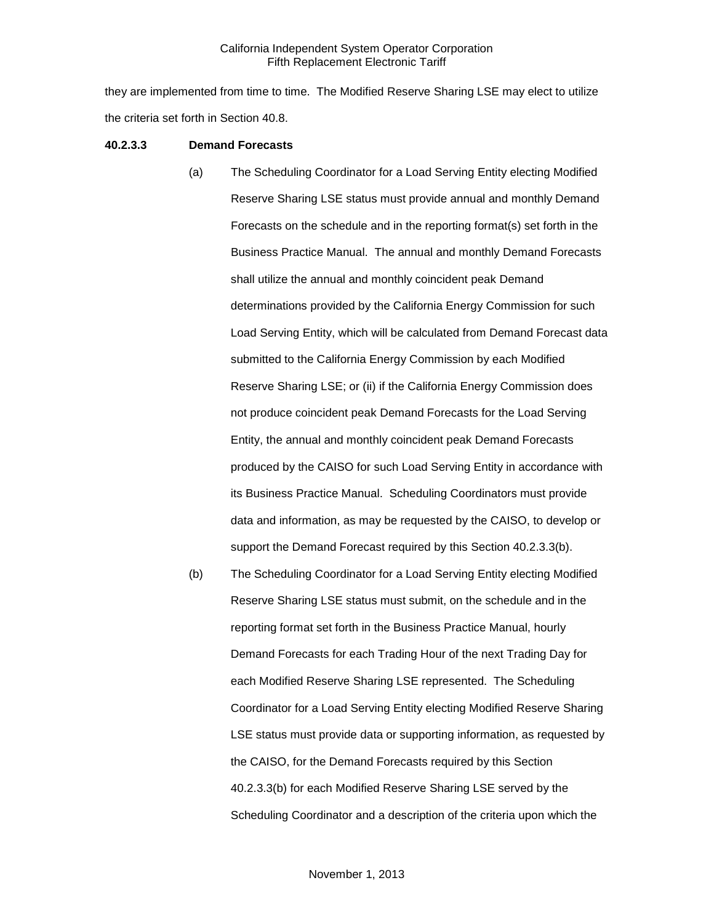they are implemented from time to time. The Modified Reserve Sharing LSE may elect to utilize the criteria set forth in Section 40.8.

#### **40.2.3.3 Demand Forecasts**

- (a) The Scheduling Coordinator for a Load Serving Entity electing Modified Reserve Sharing LSE status must provide annual and monthly Demand Forecasts on the schedule and in the reporting format(s) set forth in the Business Practice Manual. The annual and monthly Demand Forecasts shall utilize the annual and monthly coincident peak Demand determinations provided by the California Energy Commission for such Load Serving Entity, which will be calculated from Demand Forecast data submitted to the California Energy Commission by each Modified Reserve Sharing LSE; or (ii) if the California Energy Commission does not produce coincident peak Demand Forecasts for the Load Serving Entity, the annual and monthly coincident peak Demand Forecasts produced by the CAISO for such Load Serving Entity in accordance with its Business Practice Manual. Scheduling Coordinators must provide data and information, as may be requested by the CAISO, to develop or support the Demand Forecast required by this Section 40.2.3.3(b).
- (b) The Scheduling Coordinator for a Load Serving Entity electing Modified Reserve Sharing LSE status must submit, on the schedule and in the reporting format set forth in the Business Practice Manual, hourly Demand Forecasts for each Trading Hour of the next Trading Day for each Modified Reserve Sharing LSE represented. The Scheduling Coordinator for a Load Serving Entity electing Modified Reserve Sharing LSE status must provide data or supporting information, as requested by the CAISO, for the Demand Forecasts required by this Section 40.2.3.3(b) for each Modified Reserve Sharing LSE served by the Scheduling Coordinator and a description of the criteria upon which the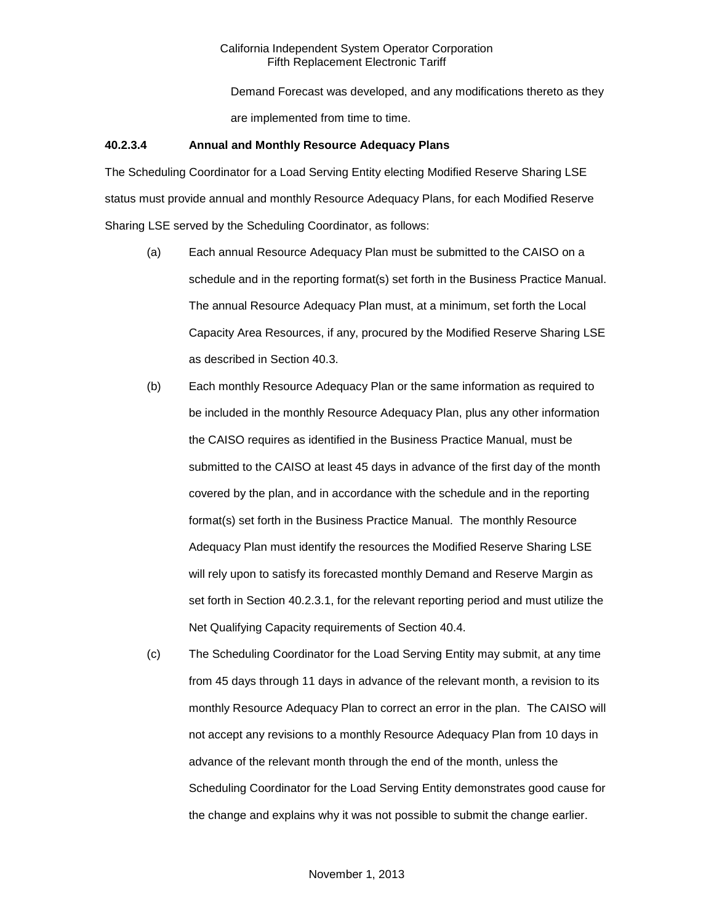Demand Forecast was developed, and any modifications thereto as they are implemented from time to time.

# **40.2.3.4 Annual and Monthly Resource Adequacy Plans**

The Scheduling Coordinator for a Load Serving Entity electing Modified Reserve Sharing LSE status must provide annual and monthly Resource Adequacy Plans, for each Modified Reserve Sharing LSE served by the Scheduling Coordinator, as follows:

- (a) Each annual Resource Adequacy Plan must be submitted to the CAISO on a schedule and in the reporting format(s) set forth in the Business Practice Manual. The annual Resource Adequacy Plan must, at a minimum, set forth the Local Capacity Area Resources, if any, procured by the Modified Reserve Sharing LSE as described in Section 40.3.
- (b) Each monthly Resource Adequacy Plan or the same information as required to be included in the monthly Resource Adequacy Plan, plus any other information the CAISO requires as identified in the Business Practice Manual, must be submitted to the CAISO at least 45 days in advance of the first day of the month covered by the plan, and in accordance with the schedule and in the reporting format(s) set forth in the Business Practice Manual. The monthly Resource Adequacy Plan must identify the resources the Modified Reserve Sharing LSE will rely upon to satisfy its forecasted monthly Demand and Reserve Margin as set forth in Section 40.2.3.1, for the relevant reporting period and must utilize the Net Qualifying Capacity requirements of Section 40.4.
- (c) The Scheduling Coordinator for the Load Serving Entity may submit, at any time from 45 days through 11 days in advance of the relevant month, a revision to its monthly Resource Adequacy Plan to correct an error in the plan. The CAISO will not accept any revisions to a monthly Resource Adequacy Plan from 10 days in advance of the relevant month through the end of the month, unless the Scheduling Coordinator for the Load Serving Entity demonstrates good cause for the change and explains why it was not possible to submit the change earlier.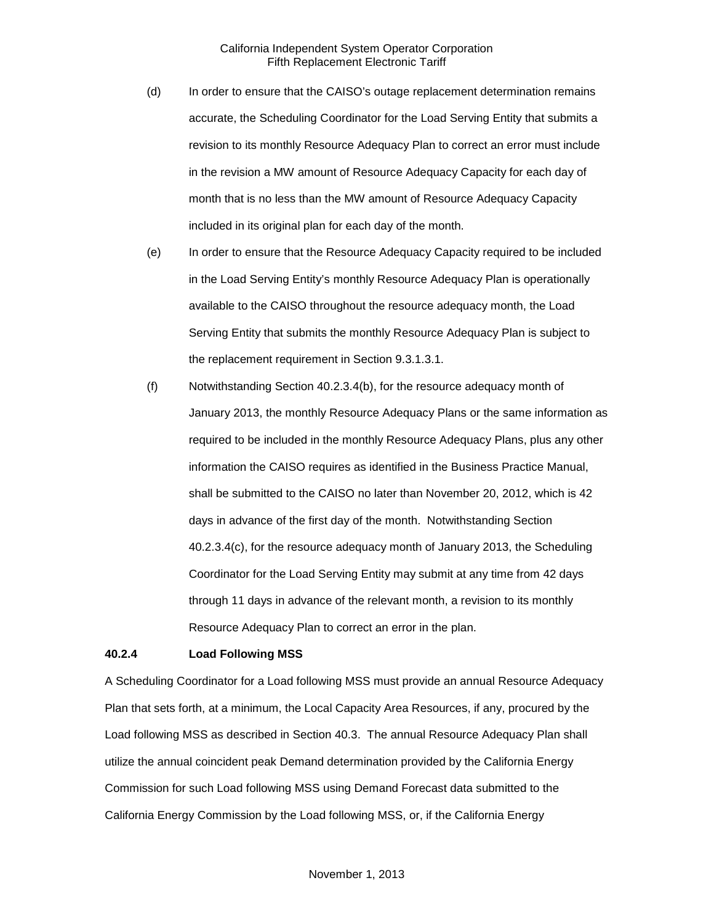- (d) In order to ensure that the CAISO's outage replacement determination remains accurate, the Scheduling Coordinator for the Load Serving Entity that submits a revision to its monthly Resource Adequacy Plan to correct an error must include in the revision a MW amount of Resource Adequacy Capacity for each day of month that is no less than the MW amount of Resource Adequacy Capacity included in its original plan for each day of the month.
- (e) In order to ensure that the Resource Adequacy Capacity required to be included in the Load Serving Entity's monthly Resource Adequacy Plan is operationally available to the CAISO throughout the resource adequacy month, the Load Serving Entity that submits the monthly Resource Adequacy Plan is subject to the replacement requirement in Section 9.3.1.3.1.
- (f) Notwithstanding Section 40.2.3.4(b), for the resource adequacy month of January 2013, the monthly Resource Adequacy Plans or the same information as required to be included in the monthly Resource Adequacy Plans, plus any other information the CAISO requires as identified in the Business Practice Manual, shall be submitted to the CAISO no later than November 20, 2012, which is 42 days in advance of the first day of the month. Notwithstanding Section 40.2.3.4(c), for the resource adequacy month of January 2013, the Scheduling Coordinator for the Load Serving Entity may submit at any time from 42 days through 11 days in advance of the relevant month, a revision to its monthly Resource Adequacy Plan to correct an error in the plan.

#### <span id="page-9-0"></span>**40.2.4 Load Following MSS**

A Scheduling Coordinator for a Load following MSS must provide an annual Resource Adequacy Plan that sets forth, at a minimum, the Local Capacity Area Resources, if any, procured by the Load following MSS as described in Section 40.3. The annual Resource Adequacy Plan shall utilize the annual coincident peak Demand determination provided by the California Energy Commission for such Load following MSS using Demand Forecast data submitted to the California Energy Commission by the Load following MSS, or, if the California Energy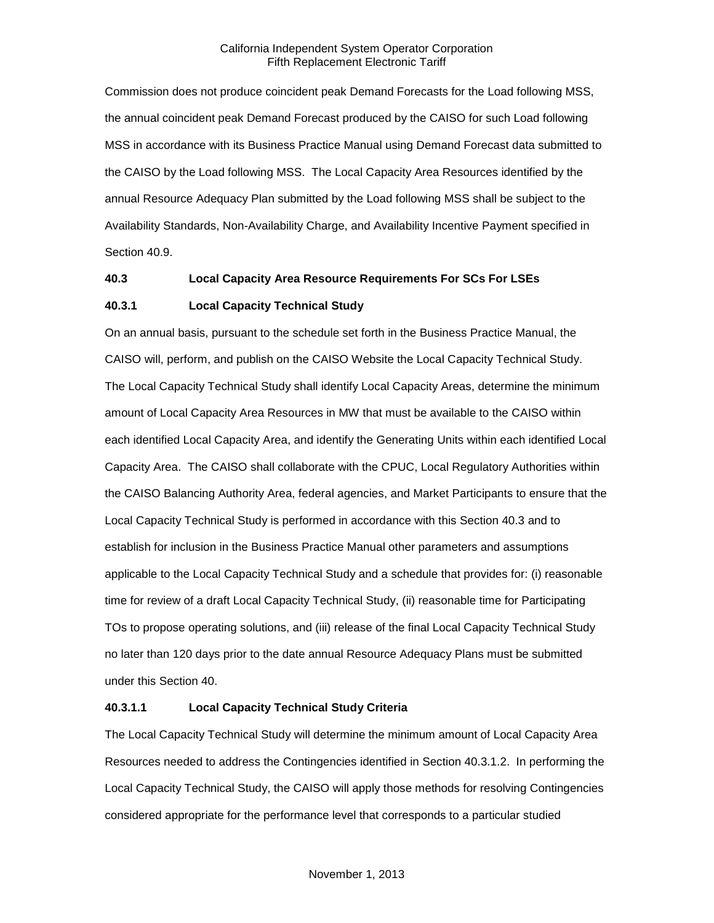Commission does not produce coincident peak Demand Forecasts for the Load following MSS, the annual coincident peak Demand Forecast produced by the CAISO for such Load following MSS in accordance with its Business Practice Manual using Demand Forecast data submitted to the CAISO by the Load following MSS. The Local Capacity Area Resources identified by the annual Resource Adequacy Plan submitted by the Load following MSS shall be subject to the Availability Standards, Non-Availability Charge, and Availability Incentive Payment specified in Section 40.9.

# <span id="page-10-0"></span>**40.3 Local Capacity Area Resource Requirements For SCs For LSEs**

# <span id="page-10-1"></span>**40.3.1 Local Capacity Technical Study**

On an annual basis, pursuant to the schedule set forth in the Business Practice Manual, the CAISO will, perform, and publish on the CAISO Website the Local Capacity Technical Study. The Local Capacity Technical Study shall identify Local Capacity Areas, determine the minimum amount of Local Capacity Area Resources in MW that must be available to the CAISO within each identified Local Capacity Area, and identify the Generating Units within each identified Local Capacity Area. The CAISO shall collaborate with the CPUC, Local Regulatory Authorities within the CAISO Balancing Authority Area, federal agencies, and Market Participants to ensure that the Local Capacity Technical Study is performed in accordance with this Section 40.3 and to establish for inclusion in the Business Practice Manual other parameters and assumptions applicable to the Local Capacity Technical Study and a schedule that provides for: (i) reasonable time for review of a draft Local Capacity Technical Study, (ii) reasonable time for Participating TOs to propose operating solutions, and (iii) release of the final Local Capacity Technical Study no later than 120 days prior to the date annual Resource Adequacy Plans must be submitted under this Section 40.

# **40.3.1.1 Local Capacity Technical Study Criteria**

The Local Capacity Technical Study will determine the minimum amount of Local Capacity Area Resources needed to address the Contingencies identified in Section 40.3.1.2. In performing the Local Capacity Technical Study, the CAISO will apply those methods for resolving Contingencies considered appropriate for the performance level that corresponds to a particular studied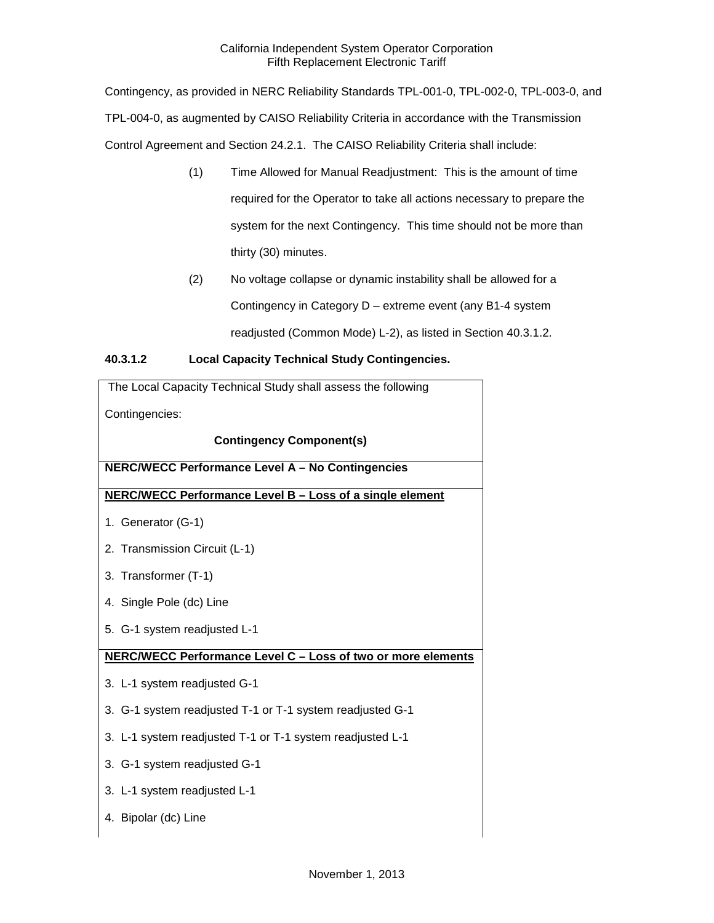Contingency, as provided in NERC Reliability Standards TPL-001-0, TPL-002-0, TPL-003-0, and TPL-004-0, as augmented by CAISO Reliability Criteria in accordance with the Transmission Control Agreement and Section 24.2.1. The CAISO Reliability Criteria shall include:

- (1) Time Allowed for Manual Readjustment: This is the amount of time required for the Operator to take all actions necessary to prepare the system for the next Contingency. This time should not be more than thirty (30) minutes.
- (2) No voltage collapse or dynamic instability shall be allowed for a Contingency in Category D – extreme event (any B1-4 system readjusted (Common Mode) L-2), as listed in Section 40.3.1.2.

# **40.3.1.2 Local Capacity Technical Study Contingencies.**

| The Local Capacity Technical Study shall assess the following |  |
|---------------------------------------------------------------|--|
| Contingencies:                                                |  |
| <b>Contingency Component(s)</b>                               |  |
| NERC/WECC Performance Level A - No Contingencies              |  |
| NERC/WECC Performance Level B - Loss of a single element      |  |
| 1. Generator (G-1)                                            |  |
| 2. Transmission Circuit (L-1)                                 |  |
| 3. Transformer (T-1)                                          |  |
| 4. Single Pole (dc) Line                                      |  |
| 5. G-1 system readjusted L-1                                  |  |
| NERC/WECC Performance Level C - Loss of two or more elements  |  |
| 3. L-1 system readjusted G-1                                  |  |
| 3. G-1 system readjusted T-1 or T-1 system readjusted G-1     |  |
| 3. L-1 system readjusted T-1 or T-1 system readjusted L-1     |  |
| 3. G-1 system readjusted G-1                                  |  |
| 3. L-1 system readjusted L-1                                  |  |
| 4. Bipolar (dc) Line                                          |  |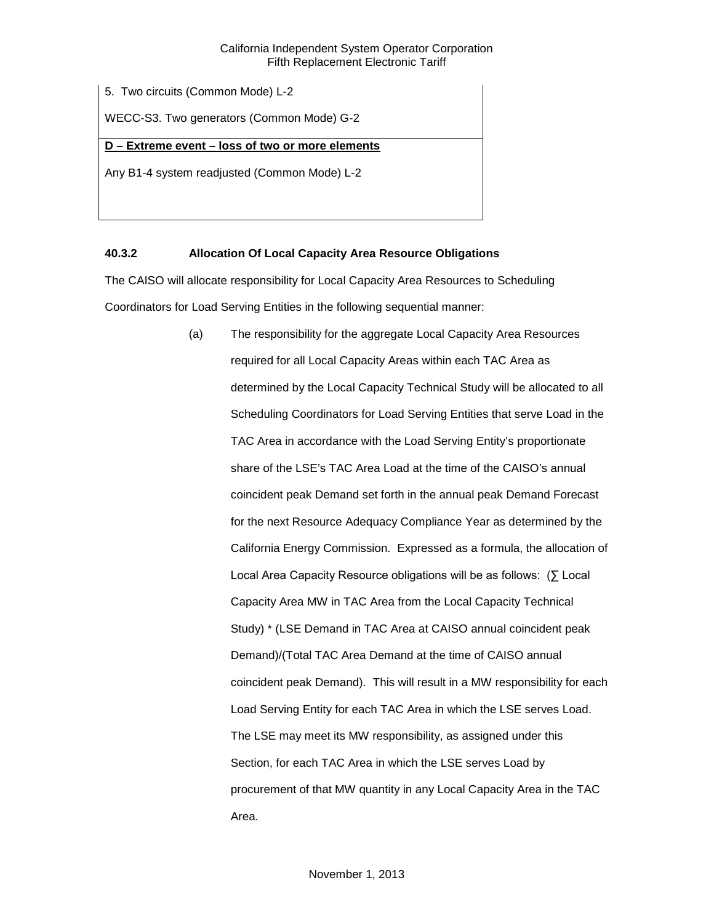5. Two circuits (Common Mode) L-2

WECC-S3. Two generators (Common Mode) G-2

# **D – Extreme event – loss of two or more elements**

Any B1-4 system readjusted (Common Mode) L-2

# <span id="page-12-0"></span>**40.3.2 Allocation Of Local Capacity Area Resource Obligations**

The CAISO will allocate responsibility for Local Capacity Area Resources to Scheduling Coordinators for Load Serving Entities in the following sequential manner:

> (a) The responsibility for the aggregate Local Capacity Area Resources required for all Local Capacity Areas within each TAC Area as determined by the Local Capacity Technical Study will be allocated to all Scheduling Coordinators for Load Serving Entities that serve Load in the TAC Area in accordance with the Load Serving Entity's proportionate share of the LSE's TAC Area Load at the time of the CAISO's annual coincident peak Demand set forth in the annual peak Demand Forecast for the next Resource Adequacy Compliance Year as determined by the California Energy Commission. Expressed as a formula, the allocation of Local Area Capacity Resource obligations will be as follows: (∑ Local Capacity Area MW in TAC Area from the Local Capacity Technical Study) \* (LSE Demand in TAC Area at CAISO annual coincident peak Demand)/(Total TAC Area Demand at the time of CAISO annual coincident peak Demand). This will result in a MW responsibility for each Load Serving Entity for each TAC Area in which the LSE serves Load. The LSE may meet its MW responsibility, as assigned under this Section, for each TAC Area in which the LSE serves Load by procurement of that MW quantity in any Local Capacity Area in the TAC Area.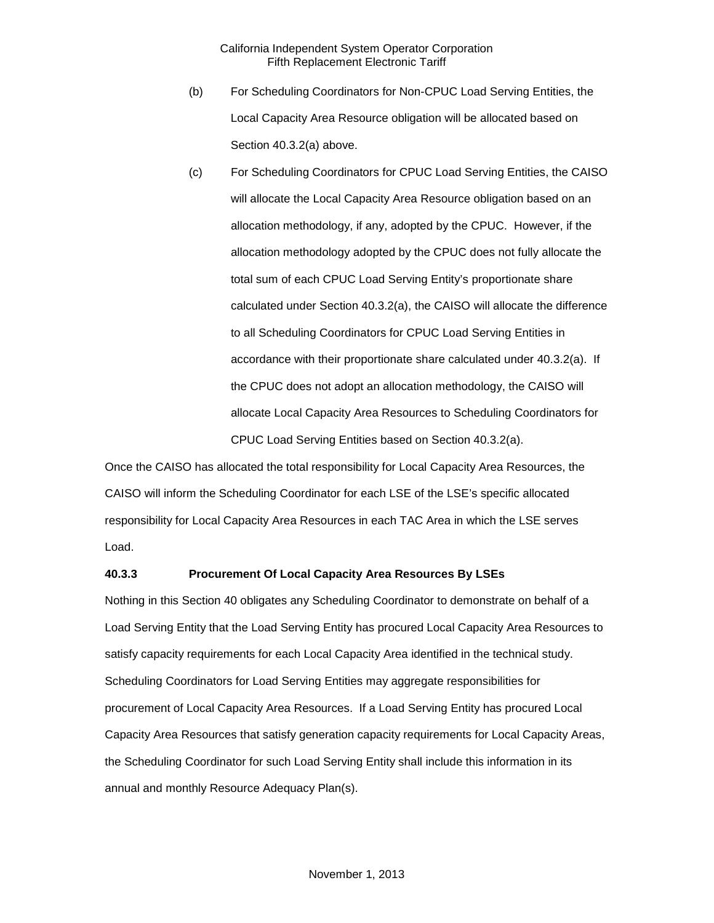- (b) For Scheduling Coordinators for Non-CPUC Load Serving Entities, the Local Capacity Area Resource obligation will be allocated based on Section 40.3.2(a) above.
- (c) For Scheduling Coordinators for CPUC Load Serving Entities, the CAISO will allocate the Local Capacity Area Resource obligation based on an allocation methodology, if any, adopted by the CPUC. However, if the allocation methodology adopted by the CPUC does not fully allocate the total sum of each CPUC Load Serving Entity's proportionate share calculated under Section 40.3.2(a), the CAISO will allocate the difference to all Scheduling Coordinators for CPUC Load Serving Entities in accordance with their proportionate share calculated under 40.3.2(a). If the CPUC does not adopt an allocation methodology, the CAISO will allocate Local Capacity Area Resources to Scheduling Coordinators for CPUC Load Serving Entities based on Section 40.3.2(a).

Once the CAISO has allocated the total responsibility for Local Capacity Area Resources, the CAISO will inform the Scheduling Coordinator for each LSE of the LSE's specific allocated responsibility for Local Capacity Area Resources in each TAC Area in which the LSE serves Load.

# <span id="page-13-0"></span>**40.3.3 Procurement Of Local Capacity Area Resources By LSEs**

Nothing in this Section 40 obligates any Scheduling Coordinator to demonstrate on behalf of a Load Serving Entity that the Load Serving Entity has procured Local Capacity Area Resources to satisfy capacity requirements for each Local Capacity Area identified in the technical study. Scheduling Coordinators for Load Serving Entities may aggregate responsibilities for procurement of Local Capacity Area Resources. If a Load Serving Entity has procured Local Capacity Area Resources that satisfy generation capacity requirements for Local Capacity Areas, the Scheduling Coordinator for such Load Serving Entity shall include this information in its annual and monthly Resource Adequacy Plan(s).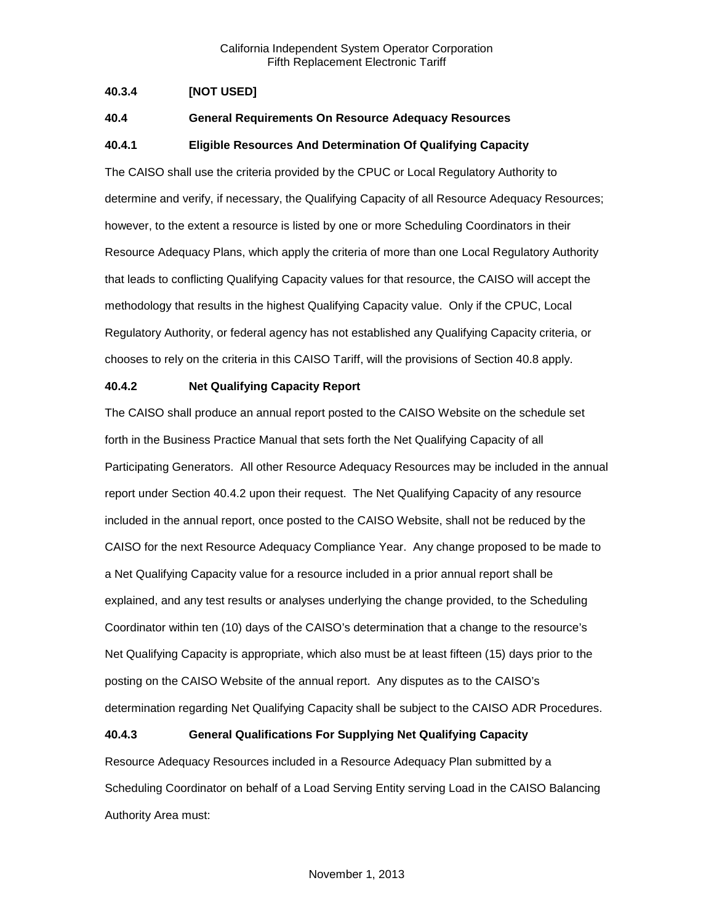# <span id="page-14-0"></span>**40.3.4 [NOT USED]**

# <span id="page-14-1"></span>**40.4 General Requirements On Resource Adequacy Resources**

# <span id="page-14-2"></span>**40.4.1 Eligible Resources And Determination Of Qualifying Capacity**

The CAISO shall use the criteria provided by the CPUC or Local Regulatory Authority to determine and verify, if necessary, the Qualifying Capacity of all Resource Adequacy Resources; however, to the extent a resource is listed by one or more Scheduling Coordinators in their Resource Adequacy Plans, which apply the criteria of more than one Local Regulatory Authority that leads to conflicting Qualifying Capacity values for that resource, the CAISO will accept the methodology that results in the highest Qualifying Capacity value. Only if the CPUC, Local Regulatory Authority, or federal agency has not established any Qualifying Capacity criteria, or chooses to rely on the criteria in this CAISO Tariff, will the provisions of Section 40.8 apply.

## <span id="page-14-3"></span>**40.4.2 Net Qualifying Capacity Report**

The CAISO shall produce an annual report posted to the CAISO Website on the schedule set forth in the Business Practice Manual that sets forth the Net Qualifying Capacity of all Participating Generators. All other Resource Adequacy Resources may be included in the annual report under Section 40.4.2 upon their request. The Net Qualifying Capacity of any resource included in the annual report, once posted to the CAISO Website, shall not be reduced by the CAISO for the next Resource Adequacy Compliance Year. Any change proposed to be made to a Net Qualifying Capacity value for a resource included in a prior annual report shall be explained, and any test results or analyses underlying the change provided, to the Scheduling Coordinator within ten (10) days of the CAISO's determination that a change to the resource's Net Qualifying Capacity is appropriate, which also must be at least fifteen (15) days prior to the posting on the CAISO Website of the annual report. Any disputes as to the CAISO's determination regarding Net Qualifying Capacity shall be subject to the CAISO ADR Procedures.

# <span id="page-14-4"></span>**40.4.3 General Qualifications For Supplying Net Qualifying Capacity**

Resource Adequacy Resources included in a Resource Adequacy Plan submitted by a Scheduling Coordinator on behalf of a Load Serving Entity serving Load in the CAISO Balancing Authority Area must: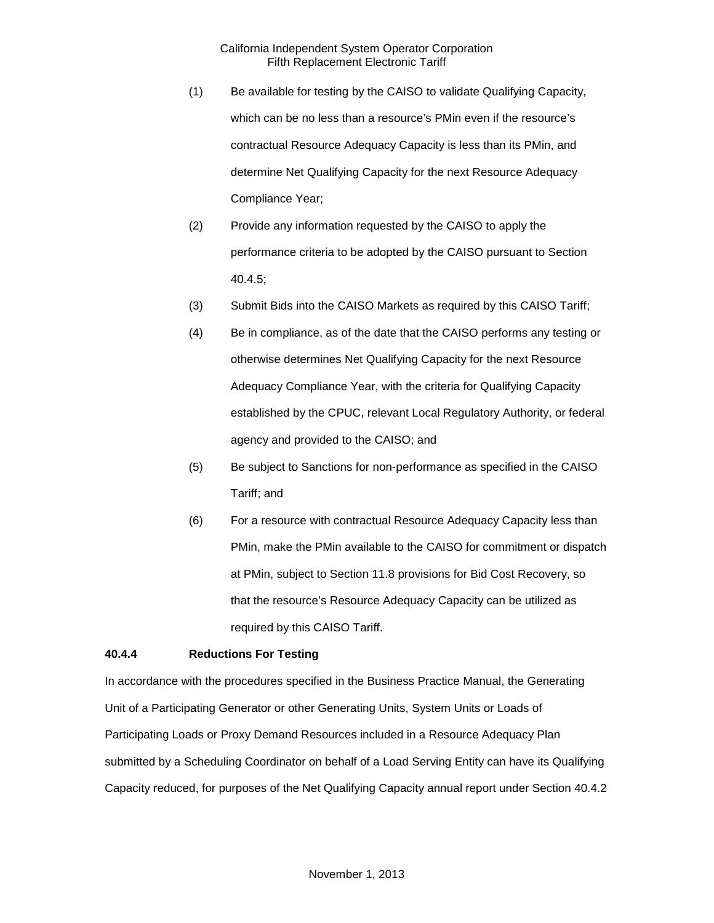- (1) Be available for testing by the CAISO to validate Qualifying Capacity, which can be no less than a resource's PMin even if the resource's contractual Resource Adequacy Capacity is less than its PMin, and determine Net Qualifying Capacity for the next Resource Adequacy Compliance Year;
- (2) Provide any information requested by the CAISO to apply the performance criteria to be adopted by the CAISO pursuant to Section 40.4.5;
- (3) Submit Bids into the CAISO Markets as required by this CAISO Tariff;
- (4) Be in compliance, as of the date that the CAISO performs any testing or otherwise determines Net Qualifying Capacity for the next Resource Adequacy Compliance Year, with the criteria for Qualifying Capacity established by the CPUC, relevant Local Regulatory Authority, or federal agency and provided to the CAISO; and
- (5) Be subject to Sanctions for non-performance as specified in the CAISO Tariff; and
- (6) For a resource with contractual Resource Adequacy Capacity less than PMin, make the PMin available to the CAISO for commitment or dispatch at PMin, subject to Section 11.8 provisions for Bid Cost Recovery, so that the resource's Resource Adequacy Capacity can be utilized as required by this CAISO Tariff.

# <span id="page-15-0"></span>**40.4.4 Reductions For Testing**

In accordance with the procedures specified in the Business Practice Manual, the Generating Unit of a Participating Generator or other Generating Units, System Units or Loads of Participating Loads or Proxy Demand Resources included in a Resource Adequacy Plan submitted by a Scheduling Coordinator on behalf of a Load Serving Entity can have its Qualifying Capacity reduced, for purposes of the Net Qualifying Capacity annual report under Section 40.4.2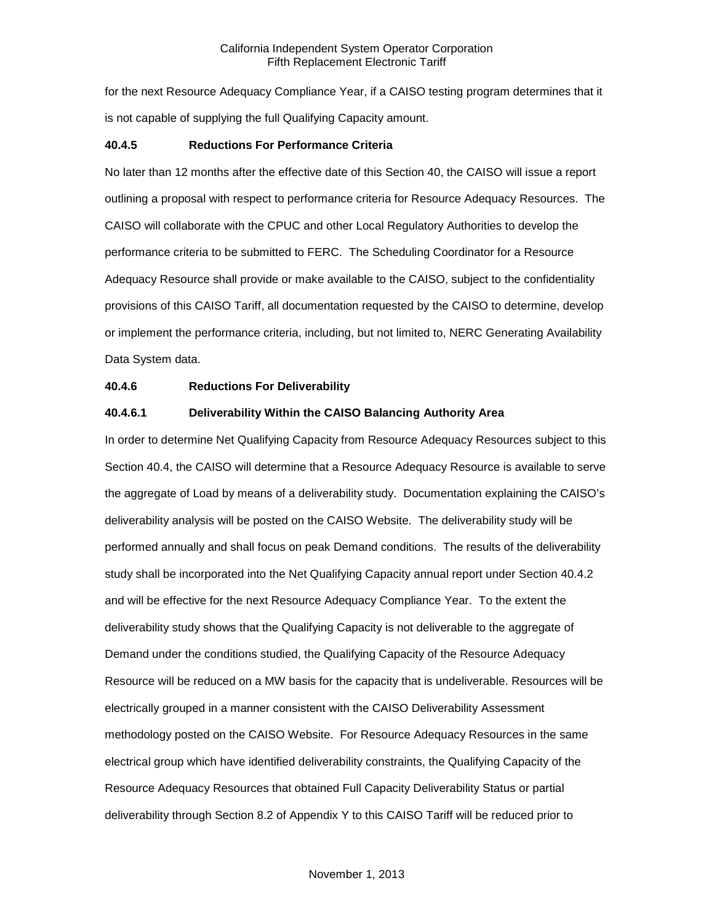for the next Resource Adequacy Compliance Year, if a CAISO testing program determines that it is not capable of supplying the full Qualifying Capacity amount.

#### <span id="page-16-0"></span>**40.4.5 Reductions For Performance Criteria**

No later than 12 months after the effective date of this Section 40, the CAISO will issue a report outlining a proposal with respect to performance criteria for Resource Adequacy Resources. The CAISO will collaborate with the CPUC and other Local Regulatory Authorities to develop the performance criteria to be submitted to FERC. The Scheduling Coordinator for a Resource Adequacy Resource shall provide or make available to the CAISO, subject to the confidentiality provisions of this CAISO Tariff, all documentation requested by the CAISO to determine, develop or implement the performance criteria, including, but not limited to, NERC Generating Availability Data System data.

## <span id="page-16-1"></span>**40.4.6 Reductions For Deliverability**

# **40.4.6.1 Deliverability Within the CAISO Balancing Authority Area**

In order to determine Net Qualifying Capacity from Resource Adequacy Resources subject to this Section 40.4, the CAISO will determine that a Resource Adequacy Resource is available to serve the aggregate of Load by means of a deliverability study. Documentation explaining the CAISO's deliverability analysis will be posted on the CAISO Website. The deliverability study will be performed annually and shall focus on peak Demand conditions. The results of the deliverability study shall be incorporated into the Net Qualifying Capacity annual report under Section 40.4.2 and will be effective for the next Resource Adequacy Compliance Year. To the extent the deliverability study shows that the Qualifying Capacity is not deliverable to the aggregate of Demand under the conditions studied, the Qualifying Capacity of the Resource Adequacy Resource will be reduced on a MW basis for the capacity that is undeliverable. Resources will be electrically grouped in a manner consistent with the CAISO Deliverability Assessment methodology posted on the CAISO Website. For Resource Adequacy Resources in the same electrical group which have identified deliverability constraints, the Qualifying Capacity of the Resource Adequacy Resources that obtained Full Capacity Deliverability Status or partial deliverability through Section 8.2 of Appendix Y to this CAISO Tariff will be reduced prior to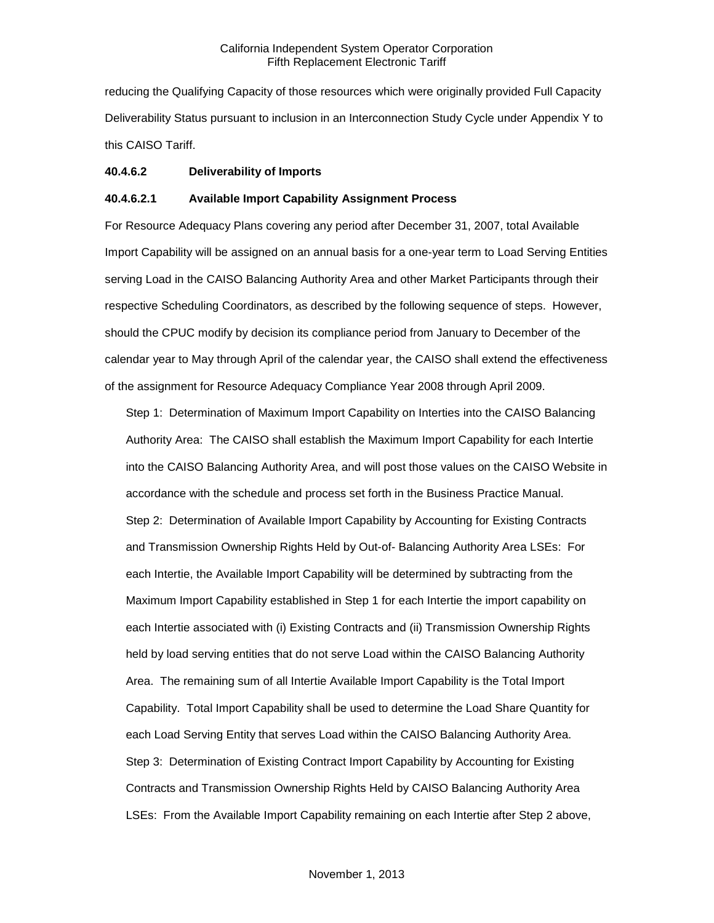reducing the Qualifying Capacity of those resources which were originally provided Full Capacity Deliverability Status pursuant to inclusion in an Interconnection Study Cycle under Appendix Y to this CAISO Tariff.

## **40.4.6.2 Deliverability of Imports**

## **40.4.6.2.1 Available Import Capability Assignment Process**

For Resource Adequacy Plans covering any period after December 31, 2007, total Available Import Capability will be assigned on an annual basis for a one-year term to Load Serving Entities serving Load in the CAISO Balancing Authority Area and other Market Participants through their respective Scheduling Coordinators, as described by the following sequence of steps. However, should the CPUC modify by decision its compliance period from January to December of the calendar year to May through April of the calendar year, the CAISO shall extend the effectiveness of the assignment for Resource Adequacy Compliance Year 2008 through April 2009.

Step 1: Determination of Maximum Import Capability on Interties into the CAISO Balancing Authority Area: The CAISO shall establish the Maximum Import Capability for each Intertie into the CAISO Balancing Authority Area, and will post those values on the CAISO Website in accordance with the schedule and process set forth in the Business Practice Manual. Step 2: Determination of Available Import Capability by Accounting for Existing Contracts and Transmission Ownership Rights Held by Out-of- Balancing Authority Area LSEs: For each Intertie, the Available Import Capability will be determined by subtracting from the Maximum Import Capability established in Step 1 for each Intertie the import capability on each Intertie associated with (i) Existing Contracts and (ii) Transmission Ownership Rights held by load serving entities that do not serve Load within the CAISO Balancing Authority Area. The remaining sum of all Intertie Available Import Capability is the Total Import Capability. Total Import Capability shall be used to determine the Load Share Quantity for each Load Serving Entity that serves Load within the CAISO Balancing Authority Area. Step 3: Determination of Existing Contract Import Capability by Accounting for Existing Contracts and Transmission Ownership Rights Held by CAISO Balancing Authority Area LSEs: From the Available Import Capability remaining on each Intertie after Step 2 above,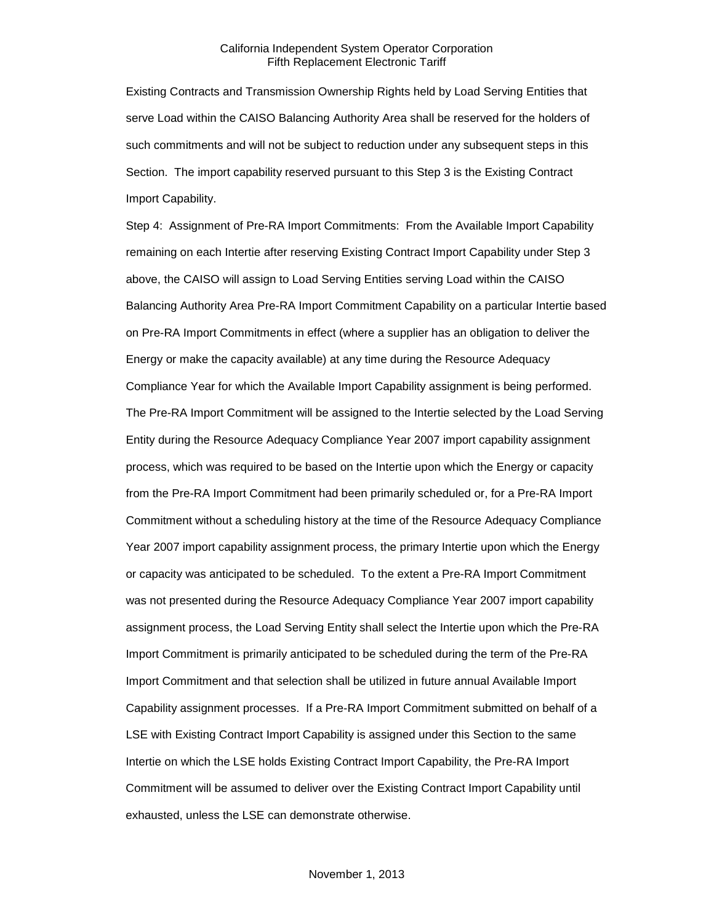Existing Contracts and Transmission Ownership Rights held by Load Serving Entities that serve Load within the CAISO Balancing Authority Area shall be reserved for the holders of such commitments and will not be subject to reduction under any subsequent steps in this Section. The import capability reserved pursuant to this Step 3 is the Existing Contract Import Capability.

Step 4: Assignment of Pre-RA Import Commitments: From the Available Import Capability remaining on each Intertie after reserving Existing Contract Import Capability under Step 3 above, the CAISO will assign to Load Serving Entities serving Load within the CAISO Balancing Authority Area Pre-RA Import Commitment Capability on a particular Intertie based on Pre-RA Import Commitments in effect (where a supplier has an obligation to deliver the Energy or make the capacity available) at any time during the Resource Adequacy Compliance Year for which the Available Import Capability assignment is being performed. The Pre-RA Import Commitment will be assigned to the Intertie selected by the Load Serving Entity during the Resource Adequacy Compliance Year 2007 import capability assignment process, which was required to be based on the Intertie upon which the Energy or capacity from the Pre-RA Import Commitment had been primarily scheduled or, for a Pre-RA Import Commitment without a scheduling history at the time of the Resource Adequacy Compliance Year 2007 import capability assignment process, the primary Intertie upon which the Energy or capacity was anticipated to be scheduled. To the extent a Pre-RA Import Commitment was not presented during the Resource Adequacy Compliance Year 2007 import capability assignment process, the Load Serving Entity shall select the Intertie upon which the Pre-RA Import Commitment is primarily anticipated to be scheduled during the term of the Pre-RA Import Commitment and that selection shall be utilized in future annual Available Import Capability assignment processes. If a Pre-RA Import Commitment submitted on behalf of a LSE with Existing Contract Import Capability is assigned under this Section to the same Intertie on which the LSE holds Existing Contract Import Capability, the Pre-RA Import Commitment will be assumed to deliver over the Existing Contract Import Capability until exhausted, unless the LSE can demonstrate otherwise.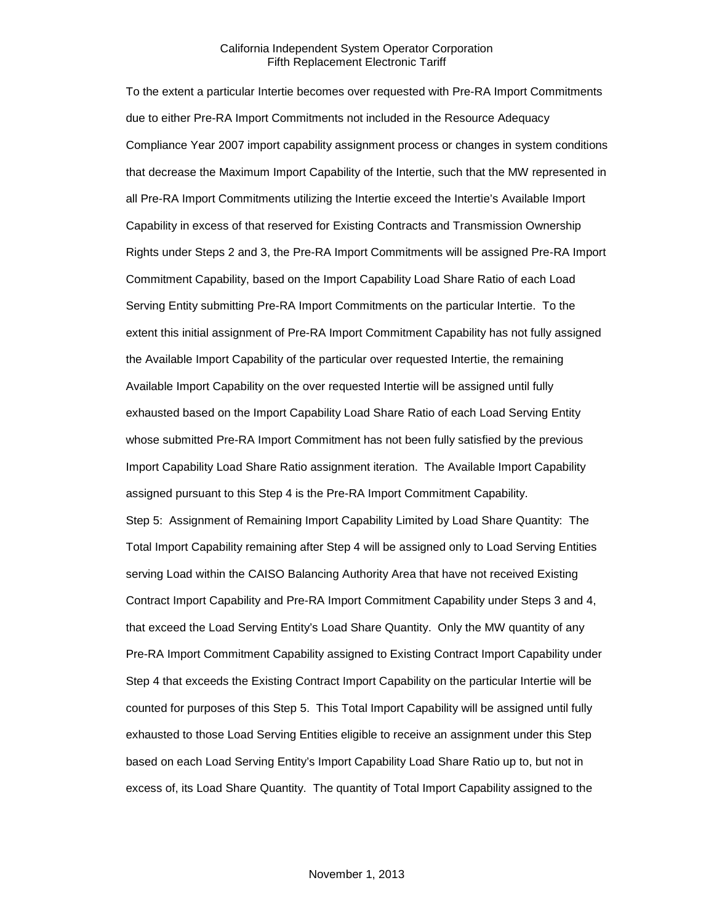To the extent a particular Intertie becomes over requested with Pre-RA Import Commitments due to either Pre-RA Import Commitments not included in the Resource Adequacy Compliance Year 2007 import capability assignment process or changes in system conditions that decrease the Maximum Import Capability of the Intertie, such that the MW represented in all Pre-RA Import Commitments utilizing the Intertie exceed the Intertie's Available Import Capability in excess of that reserved for Existing Contracts and Transmission Ownership Rights under Steps 2 and 3, the Pre-RA Import Commitments will be assigned Pre-RA Import Commitment Capability, based on the Import Capability Load Share Ratio of each Load Serving Entity submitting Pre-RA Import Commitments on the particular Intertie. To the extent this initial assignment of Pre-RA Import Commitment Capability has not fully assigned the Available Import Capability of the particular over requested Intertie, the remaining Available Import Capability on the over requested Intertie will be assigned until fully exhausted based on the Import Capability Load Share Ratio of each Load Serving Entity whose submitted Pre-RA Import Commitment has not been fully satisfied by the previous Import Capability Load Share Ratio assignment iteration. The Available Import Capability assigned pursuant to this Step 4 is the Pre-RA Import Commitment Capability. Step 5: Assignment of Remaining Import Capability Limited by Load Share Quantity: The Total Import Capability remaining after Step 4 will be assigned only to Load Serving Entities serving Load within the CAISO Balancing Authority Area that have not received Existing Contract Import Capability and Pre-RA Import Commitment Capability under Steps 3 and 4, that exceed the Load Serving Entity's Load Share Quantity. Only the MW quantity of any Pre-RA Import Commitment Capability assigned to Existing Contract Import Capability under Step 4 that exceeds the Existing Contract Import Capability on the particular Intertie will be counted for purposes of this Step 5. This Total Import Capability will be assigned until fully exhausted to those Load Serving Entities eligible to receive an assignment under this Step based on each Load Serving Entity's Import Capability Load Share Ratio up to, but not in excess of, its Load Share Quantity. The quantity of Total Import Capability assigned to the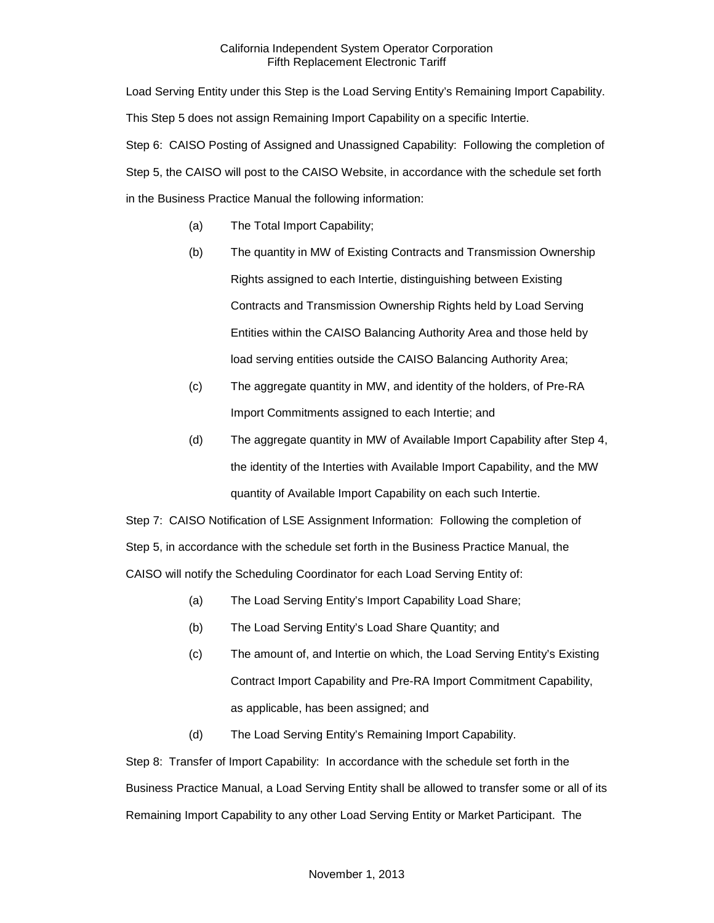Load Serving Entity under this Step is the Load Serving Entity's Remaining Import Capability. This Step 5 does not assign Remaining Import Capability on a specific Intertie. Step 6: CAISO Posting of Assigned and Unassigned Capability: Following the completion of Step 5, the CAISO will post to the CAISO Website, in accordance with the schedule set forth in the Business Practice Manual the following information:

- (a) The Total Import Capability;
- (b) The quantity in MW of Existing Contracts and Transmission Ownership Rights assigned to each Intertie, distinguishing between Existing Contracts and Transmission Ownership Rights held by Load Serving Entities within the CAISO Balancing Authority Area and those held by load serving entities outside the CAISO Balancing Authority Area;
- (c) The aggregate quantity in MW, and identity of the holders, of Pre-RA Import Commitments assigned to each Intertie; and
- (d) The aggregate quantity in MW of Available Import Capability after Step 4, the identity of the Interties with Available Import Capability, and the MW quantity of Available Import Capability on each such Intertie.

Step 7: CAISO Notification of LSE Assignment Information: Following the completion of Step 5, in accordance with the schedule set forth in the Business Practice Manual, the CAISO will notify the Scheduling Coordinator for each Load Serving Entity of:

- (a) The Load Serving Entity's Import Capability Load Share;
- (b) The Load Serving Entity's Load Share Quantity; and
- (c) The amount of, and Intertie on which, the Load Serving Entity's Existing Contract Import Capability and Pre-RA Import Commitment Capability, as applicable, has been assigned; and
- (d) The Load Serving Entity's Remaining Import Capability.

Step 8: Transfer of Import Capability: In accordance with the schedule set forth in the Business Practice Manual, a Load Serving Entity shall be allowed to transfer some or all of its Remaining Import Capability to any other Load Serving Entity or Market Participant. The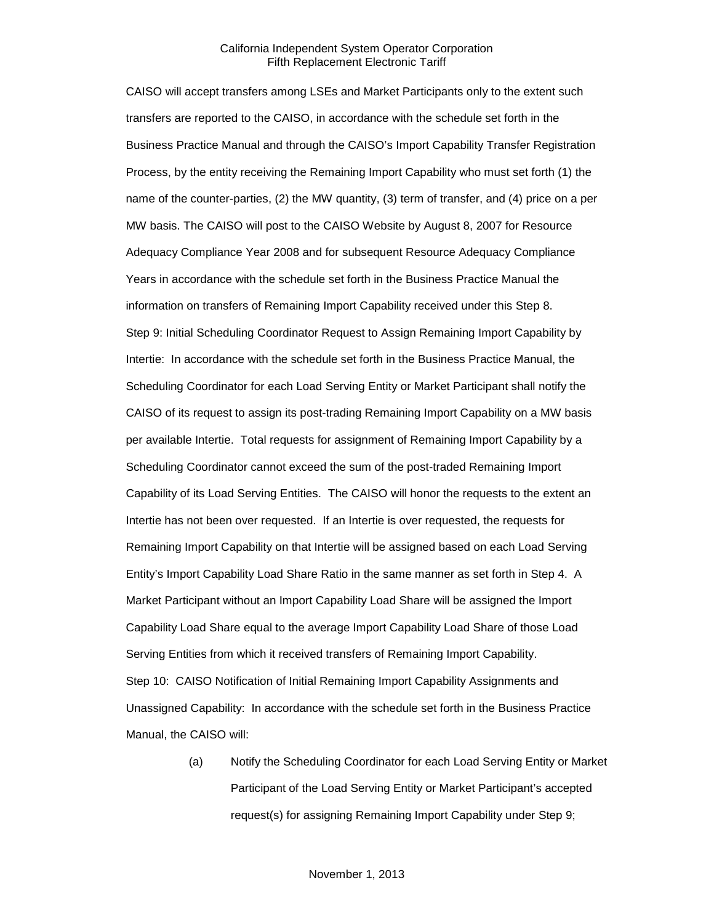CAISO will accept transfers among LSEs and Market Participants only to the extent such transfers are reported to the CAISO, in accordance with the schedule set forth in the Business Practice Manual and through the CAISO's Import Capability Transfer Registration Process, by the entity receiving the Remaining Import Capability who must set forth (1) the name of the counter-parties, (2) the MW quantity, (3) term of transfer, and (4) price on a per MW basis. The CAISO will post to the CAISO Website by August 8, 2007 for Resource Adequacy Compliance Year 2008 and for subsequent Resource Adequacy Compliance Years in accordance with the schedule set forth in the Business Practice Manual the information on transfers of Remaining Import Capability received under this Step 8. Step 9: Initial Scheduling Coordinator Request to Assign Remaining Import Capability by Intertie: In accordance with the schedule set forth in the Business Practice Manual, the Scheduling Coordinator for each Load Serving Entity or Market Participant shall notify the CAISO of its request to assign its post-trading Remaining Import Capability on a MW basis per available Intertie. Total requests for assignment of Remaining Import Capability by a Scheduling Coordinator cannot exceed the sum of the post-traded Remaining Import Capability of its Load Serving Entities. The CAISO will honor the requests to the extent an Intertie has not been over requested. If an Intertie is over requested, the requests for Remaining Import Capability on that Intertie will be assigned based on each Load Serving Entity's Import Capability Load Share Ratio in the same manner as set forth in Step 4. A Market Participant without an Import Capability Load Share will be assigned the Import Capability Load Share equal to the average Import Capability Load Share of those Load Serving Entities from which it received transfers of Remaining Import Capability. Step 10: CAISO Notification of Initial Remaining Import Capability Assignments and Unassigned Capability: In accordance with the schedule set forth in the Business Practice Manual, the CAISO will:

> (a) Notify the Scheduling Coordinator for each Load Serving Entity or Market Participant of the Load Serving Entity or Market Participant's accepted request(s) for assigning Remaining Import Capability under Step 9;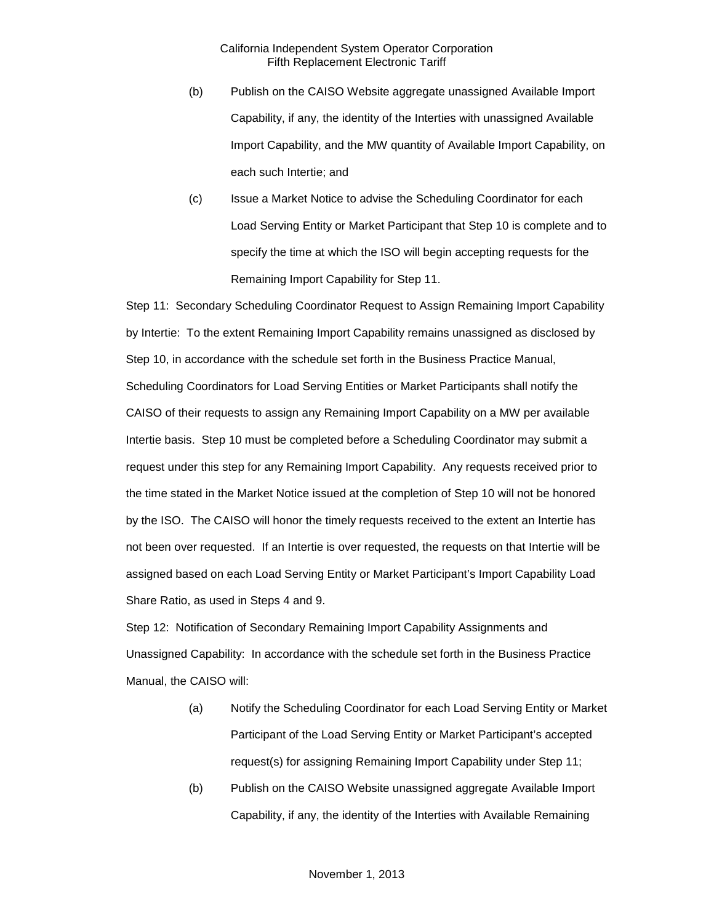- (b) Publish on the CAISO Website aggregate unassigned Available Import Capability, if any, the identity of the Interties with unassigned Available Import Capability, and the MW quantity of Available Import Capability, on each such Intertie; and
- (c) Issue a Market Notice to advise the Scheduling Coordinator for each Load Serving Entity or Market Participant that Step 10 is complete and to specify the time at which the ISO will begin accepting requests for the Remaining Import Capability for Step 11.

Step 11: Secondary Scheduling Coordinator Request to Assign Remaining Import Capability by Intertie: To the extent Remaining Import Capability remains unassigned as disclosed by Step 10, in accordance with the schedule set forth in the Business Practice Manual, Scheduling Coordinators for Load Serving Entities or Market Participants shall notify the CAISO of their requests to assign any Remaining Import Capability on a MW per available Intertie basis. Step 10 must be completed before a Scheduling Coordinator may submit a request under this step for any Remaining Import Capability. Any requests received prior to the time stated in the Market Notice issued at the completion of Step 10 will not be honored by the ISO. The CAISO will honor the timely requests received to the extent an Intertie has not been over requested. If an Intertie is over requested, the requests on that Intertie will be assigned based on each Load Serving Entity or Market Participant's Import Capability Load Share Ratio, as used in Steps 4 and 9.

Step 12: Notification of Secondary Remaining Import Capability Assignments and Unassigned Capability: In accordance with the schedule set forth in the Business Practice Manual, the CAISO will:

- (a) Notify the Scheduling Coordinator for each Load Serving Entity or Market Participant of the Load Serving Entity or Market Participant's accepted request(s) for assigning Remaining Import Capability under Step 11;
- (b) Publish on the CAISO Website unassigned aggregate Available Import Capability, if any, the identity of the Interties with Available Remaining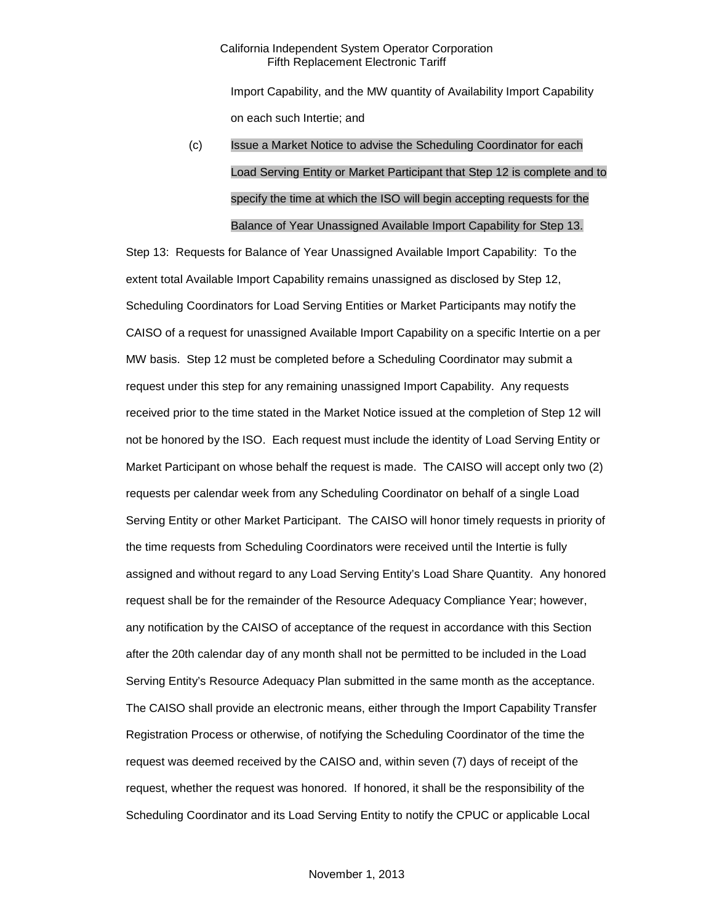Import Capability, and the MW quantity of Availability Import Capability on each such Intertie; and

# (c) Issue a Market Notice to advise the Scheduling Coordinator for each Load Serving Entity or Market Participant that Step 12 is complete and to specify the time at which the ISO will begin accepting requests for the Balance of Year Unassigned Available Import Capability for Step 13.

Step 13: Requests for Balance of Year Unassigned Available Import Capability: To the extent total Available Import Capability remains unassigned as disclosed by Step 12, Scheduling Coordinators for Load Serving Entities or Market Participants may notify the CAISO of a request for unassigned Available Import Capability on a specific Intertie on a per MW basis. Step 12 must be completed before a Scheduling Coordinator may submit a request under this step for any remaining unassigned Import Capability. Any requests received prior to the time stated in the Market Notice issued at the completion of Step 12 will not be honored by the ISO. Each request must include the identity of Load Serving Entity or Market Participant on whose behalf the request is made. The CAISO will accept only two (2) requests per calendar week from any Scheduling Coordinator on behalf of a single Load Serving Entity or other Market Participant. The CAISO will honor timely requests in priority of the time requests from Scheduling Coordinators were received until the Intertie is fully assigned and without regard to any Load Serving Entity's Load Share Quantity. Any honored request shall be for the remainder of the Resource Adequacy Compliance Year; however, any notification by the CAISO of acceptance of the request in accordance with this Section after the 20th calendar day of any month shall not be permitted to be included in the Load Serving Entity's Resource Adequacy Plan submitted in the same month as the acceptance. The CAISO shall provide an electronic means, either through the Import Capability Transfer Registration Process or otherwise, of notifying the Scheduling Coordinator of the time the request was deemed received by the CAISO and, within seven (7) days of receipt of the request, whether the request was honored. If honored, it shall be the responsibility of the Scheduling Coordinator and its Load Serving Entity to notify the CPUC or applicable Local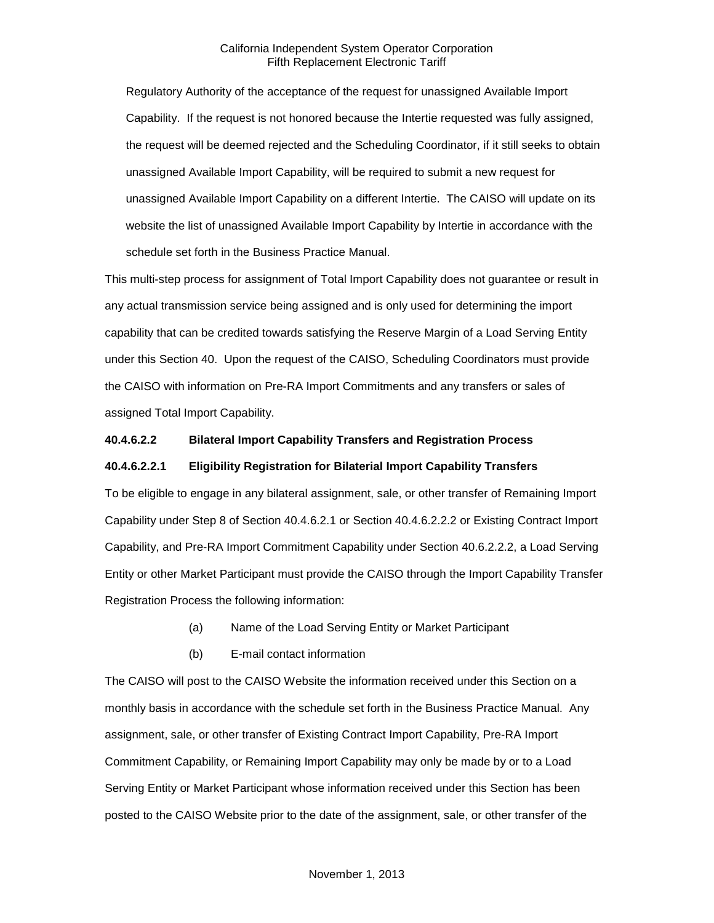Regulatory Authority of the acceptance of the request for unassigned Available Import Capability. If the request is not honored because the Intertie requested was fully assigned, the request will be deemed rejected and the Scheduling Coordinator, if it still seeks to obtain unassigned Available Import Capability, will be required to submit a new request for unassigned Available Import Capability on a different Intertie. The CAISO will update on its website the list of unassigned Available Import Capability by Intertie in accordance with the schedule set forth in the Business Practice Manual.

This multi-step process for assignment of Total Import Capability does not guarantee or result in any actual transmission service being assigned and is only used for determining the import capability that can be credited towards satisfying the Reserve Margin of a Load Serving Entity under this Section 40. Upon the request of the CAISO, Scheduling Coordinators must provide the CAISO with information on Pre-RA Import Commitments and any transfers or sales of assigned Total Import Capability.

# **40.4.6.2.2 Bilateral Import Capability Transfers and Registration Process**

### **40.4.6.2.2.1 Eligibility Registration for Bilaterial Import Capability Transfers**

To be eligible to engage in any bilateral assignment, sale, or other transfer of Remaining Import Capability under Step 8 of Section 40.4.6.2.1 or Section 40.4.6.2.2.2 or Existing Contract Import Capability, and Pre-RA Import Commitment Capability under Section 40.6.2.2.2, a Load Serving Entity or other Market Participant must provide the CAISO through the Import Capability Transfer Registration Process the following information:

- (a) Name of the Load Serving Entity or Market Participant
- (b) E-mail contact information

The CAISO will post to the CAISO Website the information received under this Section on a monthly basis in accordance with the schedule set forth in the Business Practice Manual. Any assignment, sale, or other transfer of Existing Contract Import Capability, Pre-RA Import Commitment Capability, or Remaining Import Capability may only be made by or to a Load Serving Entity or Market Participant whose information received under this Section has been posted to the CAISO Website prior to the date of the assignment, sale, or other transfer of the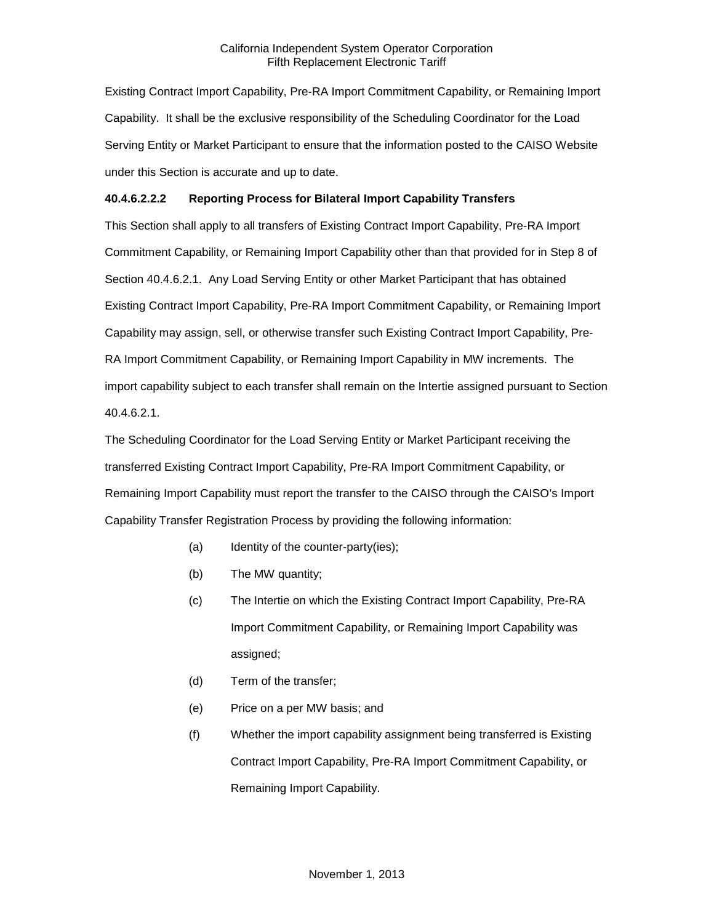Existing Contract Import Capability, Pre-RA Import Commitment Capability, or Remaining Import Capability. It shall be the exclusive responsibility of the Scheduling Coordinator for the Load Serving Entity or Market Participant to ensure that the information posted to the CAISO Website under this Section is accurate and up to date.

# **40.4.6.2.2.2 Reporting Process for Bilateral Import Capability Transfers**

This Section shall apply to all transfers of Existing Contract Import Capability, Pre-RA Import Commitment Capability, or Remaining Import Capability other than that provided for in Step 8 of Section 40.4.6.2.1. Any Load Serving Entity or other Market Participant that has obtained Existing Contract Import Capability, Pre-RA Import Commitment Capability, or Remaining Import Capability may assign, sell, or otherwise transfer such Existing Contract Import Capability, Pre-RA Import Commitment Capability, or Remaining Import Capability in MW increments. The import capability subject to each transfer shall remain on the Intertie assigned pursuant to Section 40.4.6.2.1.

The Scheduling Coordinator for the Load Serving Entity or Market Participant receiving the transferred Existing Contract Import Capability, Pre-RA Import Commitment Capability, or Remaining Import Capability must report the transfer to the CAISO through the CAISO's Import Capability Transfer Registration Process by providing the following information:

- (a) Identity of the counter-party(ies);
- (b) The MW quantity;
- (c) The Intertie on which the Existing Contract Import Capability, Pre-RA Import Commitment Capability, or Remaining Import Capability was assigned;
- (d) Term of the transfer;
- (e) Price on a per MW basis; and
- (f) Whether the import capability assignment being transferred is Existing Contract Import Capability, Pre-RA Import Commitment Capability, or Remaining Import Capability.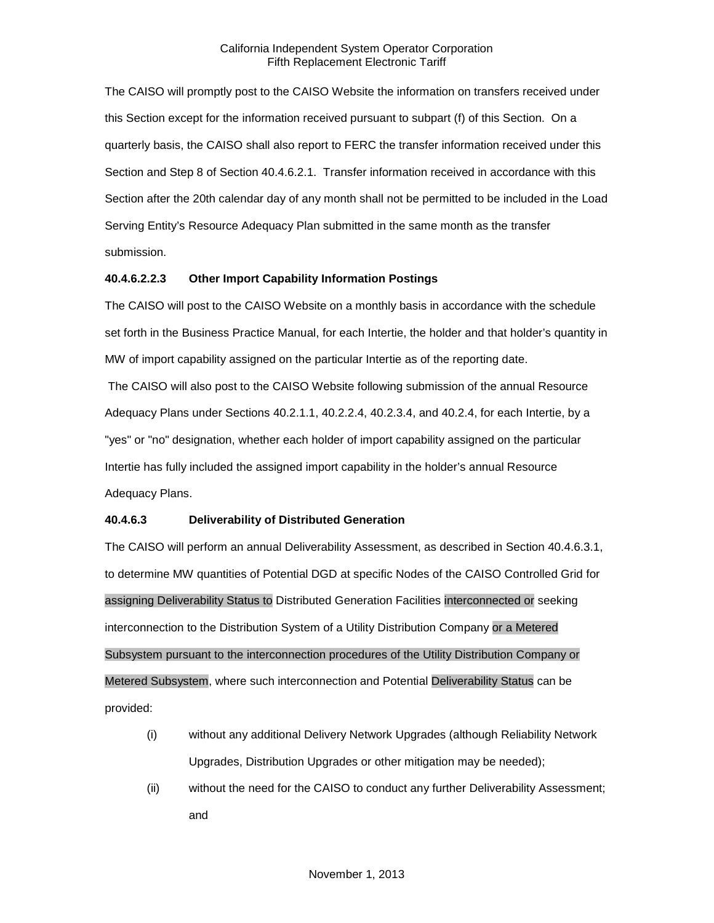The CAISO will promptly post to the CAISO Website the information on transfers received under this Section except for the information received pursuant to subpart (f) of this Section. On a quarterly basis, the CAISO shall also report to FERC the transfer information received under this Section and Step 8 of Section 40.4.6.2.1. Transfer information received in accordance with this Section after the 20th calendar day of any month shall not be permitted to be included in the Load Serving Entity's Resource Adequacy Plan submitted in the same month as the transfer submission.

# **40.4.6.2.2.3 Other Import Capability Information Postings**

The CAISO will post to the CAISO Website on a monthly basis in accordance with the schedule set forth in the Business Practice Manual, for each Intertie, the holder and that holder's quantity in MW of import capability assigned on the particular Intertie as of the reporting date.

The CAISO will also post to the CAISO Website following submission of the annual Resource Adequacy Plans under Sections 40.2.1.1, 40.2.2.4, 40.2.3.4, and 40.2.4, for each Intertie, by a "yes" or "no" designation, whether each holder of import capability assigned on the particular Intertie has fully included the assigned import capability in the holder's annual Resource Adequacy Plans.

# **40.4.6.3 Deliverability of Distributed Generation**

The CAISO will perform an annual Deliverability Assessment, as described in Section 40.4.6.3.1, to determine MW quantities of Potential DGD at specific Nodes of the CAISO Controlled Grid for assigning Deliverability Status to Distributed Generation Facilities interconnected or seeking interconnection to the Distribution System of a Utility Distribution Company or a Metered Subsystem pursuant to the interconnection procedures of the Utility Distribution Company or Metered Subsystem, where such interconnection and Potential Deliverability Status can be provided:

- (i) without any additional Delivery Network Upgrades (although Reliability Network Upgrades, Distribution Upgrades or other mitigation may be needed);
- (ii) without the need for the CAISO to conduct any further Deliverability Assessment; and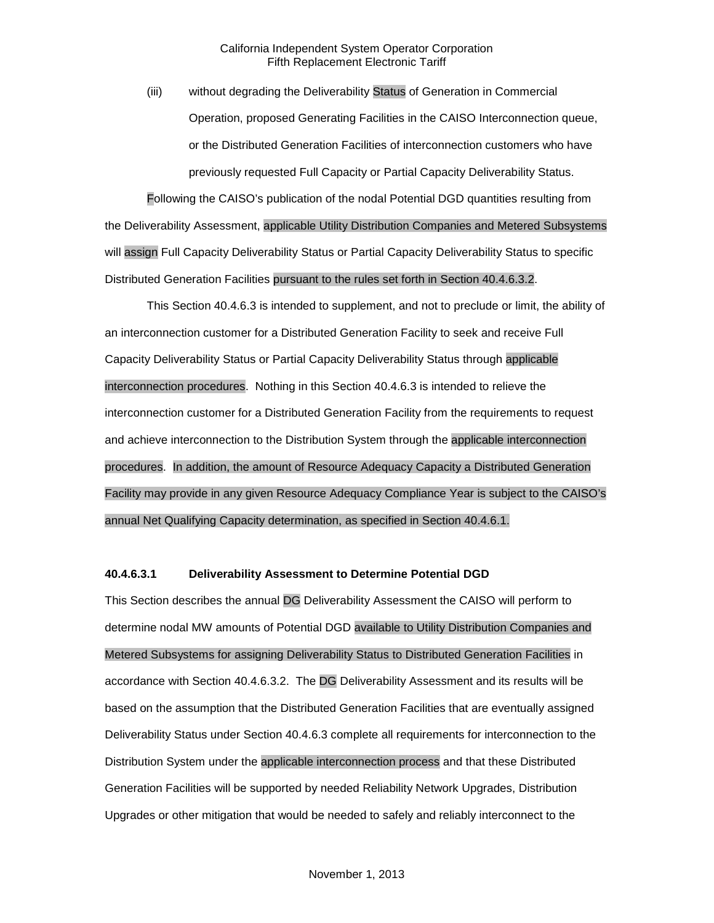(iii) without degrading the Deliverability Status of Generation in Commercial Operation, proposed Generating Facilities in the CAISO Interconnection queue, or the Distributed Generation Facilities of interconnection customers who have previously requested Full Capacity or Partial Capacity Deliverability Status.

Following the CAISO's publication of the nodal Potential DGD quantities resulting from the Deliverability Assessment, applicable Utility Distribution Companies and Metered Subsystems will assign Full Capacity Deliverability Status or Partial Capacity Deliverability Status to specific Distributed Generation Facilities pursuant to the rules set forth in Section 40.4.6.3.2.

This Section 40.4.6.3 is intended to supplement, and not to preclude or limit, the ability of an interconnection customer for a Distributed Generation Facility to seek and receive Full Capacity Deliverability Status or Partial Capacity Deliverability Status through applicable interconnection procedures. Nothing in this Section 40.4.6.3 is intended to relieve the interconnection customer for a Distributed Generation Facility from the requirements to request and achieve interconnection to the Distribution System through the applicable interconnection procedures. In addition, the amount of Resource Adequacy Capacity a Distributed Generation Facility may provide in any given Resource Adequacy Compliance Year is subject to the CAISO's annual Net Qualifying Capacity determination, as specified in Section 40.4.6.1.

# **40.4.6.3.1 Deliverability Assessment to Determine Potential DGD**

This Section describes the annual DG Deliverability Assessment the CAISO will perform to determine nodal MW amounts of Potential DGD available to Utility Distribution Companies and Metered Subsystems for assigning Deliverability Status to Distributed Generation Facilities in accordance with Section 40.4.6.3.2. The DG Deliverability Assessment and its results will be based on the assumption that the Distributed Generation Facilities that are eventually assigned Deliverability Status under Section 40.4.6.3 complete all requirements for interconnection to the Distribution System under the applicable interconnection process and that these Distributed Generation Facilities will be supported by needed Reliability Network Upgrades, Distribution Upgrades or other mitigation that would be needed to safely and reliably interconnect to the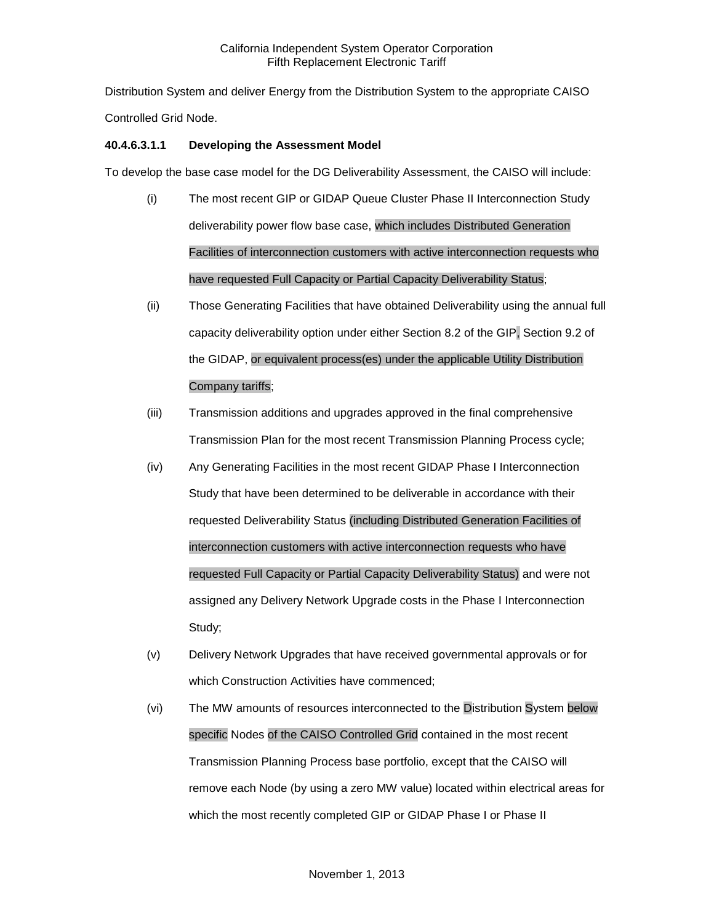Distribution System and deliver Energy from the Distribution System to the appropriate CAISO Controlled Grid Node.

# **40.4.6.3.1.1 Developing the Assessment Model**

To develop the base case model for the DG Deliverability Assessment, the CAISO will include:

- (i) The most recent GIP or GIDAP Queue Cluster Phase II Interconnection Study deliverability power flow base case, which includes Distributed Generation Facilities of interconnection customers with active interconnection requests who have requested Full Capacity or Partial Capacity Deliverability Status;
- (ii) Those Generating Facilities that have obtained Deliverability using the annual full capacity deliverability option under either Section 8.2 of the GIP, Section 9.2 of the GIDAP, or equivalent process(es) under the applicable Utility Distribution Company tariffs;
- (iii) Transmission additions and upgrades approved in the final comprehensive Transmission Plan for the most recent Transmission Planning Process cycle;
- (iv) Any Generating Facilities in the most recent GIDAP Phase I Interconnection Study that have been determined to be deliverable in accordance with their requested Deliverability Status (including Distributed Generation Facilities of interconnection customers with active interconnection requests who have requested Full Capacity or Partial Capacity Deliverability Status) and were not assigned any Delivery Network Upgrade costs in the Phase I Interconnection Study;
- (v) Delivery Network Upgrades that have received governmental approvals or for which Construction Activities have commenced;
- (vi) The MW amounts of resources interconnected to the Distribution System below specific Nodes of the CAISO Controlled Grid contained in the most recent Transmission Planning Process base portfolio, except that the CAISO will remove each Node (by using a zero MW value) located within electrical areas for which the most recently completed GIP or GIDAP Phase I or Phase II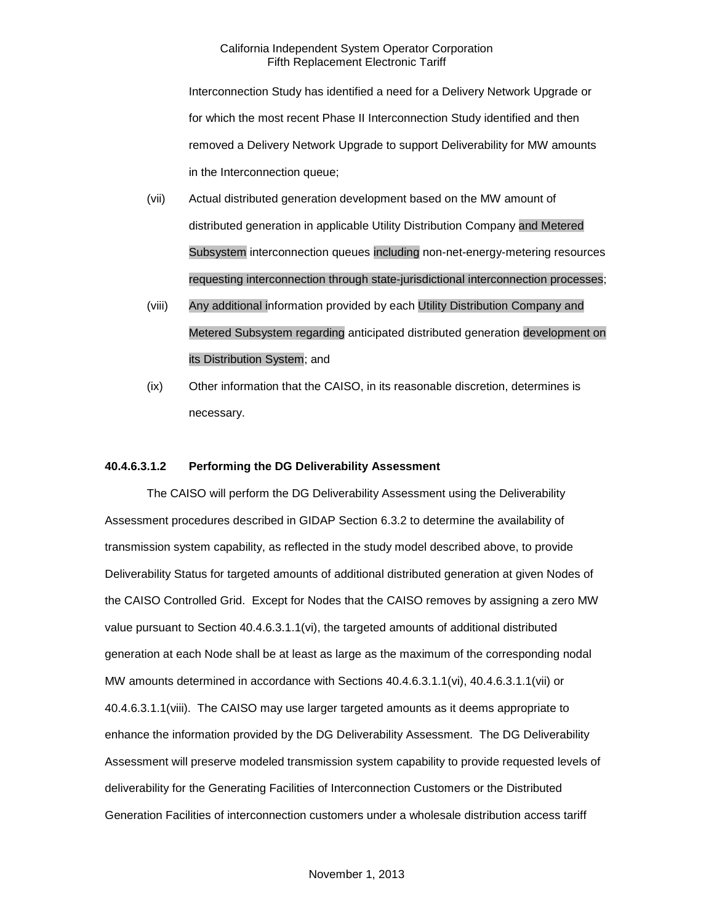Interconnection Study has identified a need for a Delivery Network Upgrade or for which the most recent Phase II Interconnection Study identified and then removed a Delivery Network Upgrade to support Deliverability for MW amounts in the Interconnection queue;

- (vii) Actual distributed generation development based on the MW amount of distributed generation in applicable Utility Distribution Company and Metered Subsystem interconnection queues including non-net-energy-metering resources requesting interconnection through state-jurisdictional interconnection processes;
- (viii) Any additional information provided by each Utility Distribution Company and Metered Subsystem regarding anticipated distributed generation development on its Distribution System; and
- (ix) Other information that the CAISO, in its reasonable discretion, determines is necessary.

# **40.4.6.3.1.2 Performing the DG Deliverability Assessment**

The CAISO will perform the DG Deliverability Assessment using the Deliverability Assessment procedures described in GIDAP Section 6.3.2 to determine the availability of transmission system capability, as reflected in the study model described above, to provide Deliverability Status for targeted amounts of additional distributed generation at given Nodes of the CAISO Controlled Grid. Except for Nodes that the CAISO removes by assigning a zero MW value pursuant to Section 40.4.6.3.1.1(vi), the targeted amounts of additional distributed generation at each Node shall be at least as large as the maximum of the corresponding nodal MW amounts determined in accordance with Sections 40.4.6.3.1.1(vi), 40.4.6.3.1.1(vii) or 40.4.6.3.1.1(viii). The CAISO may use larger targeted amounts as it deems appropriate to enhance the information provided by the DG Deliverability Assessment. The DG Deliverability Assessment will preserve modeled transmission system capability to provide requested levels of deliverability for the Generating Facilities of Interconnection Customers or the Distributed Generation Facilities of interconnection customers under a wholesale distribution access tariff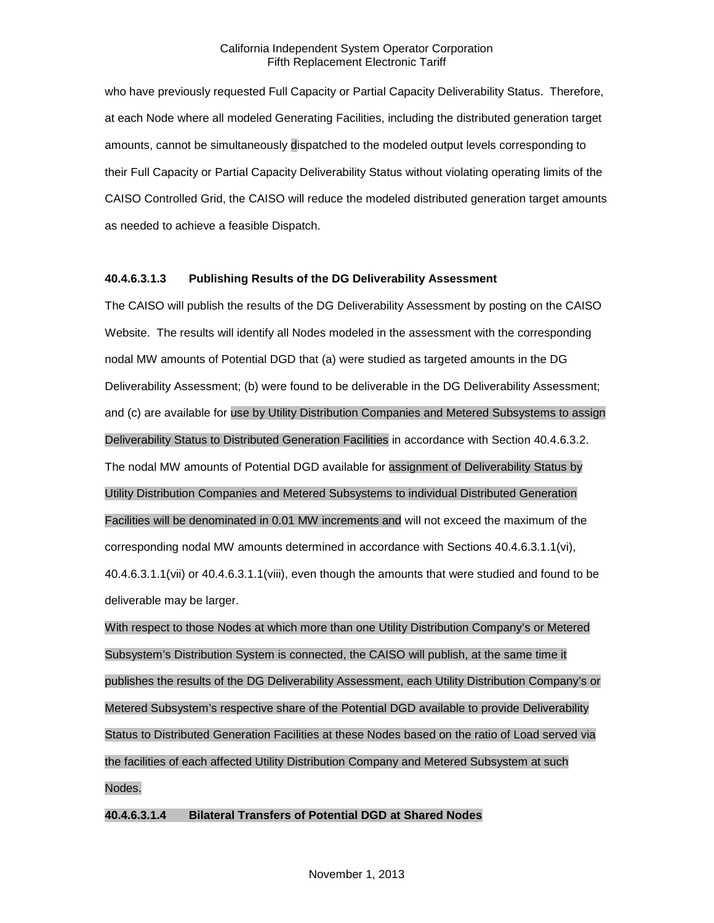who have previously requested Full Capacity or Partial Capacity Deliverability Status. Therefore, at each Node where all modeled Generating Facilities, including the distributed generation target amounts, cannot be simultaneously dispatched to the modeled output levels corresponding to their Full Capacity or Partial Capacity Deliverability Status without violating operating limits of the CAISO Controlled Grid, the CAISO will reduce the modeled distributed generation target amounts as needed to achieve a feasible Dispatch.

# **40.4.6.3.1.3 Publishing Results of the DG Deliverability Assessment**

The CAISO will publish the results of the DG Deliverability Assessment by posting on the CAISO Website. The results will identify all Nodes modeled in the assessment with the corresponding nodal MW amounts of Potential DGD that (a) were studied as targeted amounts in the DG Deliverability Assessment; (b) were found to be deliverable in the DG Deliverability Assessment; and (c) are available for use by Utility Distribution Companies and Metered Subsystems to assign Deliverability Status to Distributed Generation Facilities in accordance with Section 40.4.6.3.2. The nodal MW amounts of Potential DGD available for assignment of Deliverability Status by Utility Distribution Companies and Metered Subsystems to individual Distributed Generation Facilities will be denominated in 0.01 MW increments and will not exceed the maximum of the corresponding nodal MW amounts determined in accordance with Sections 40.4.6.3.1.1(vi), 40.4.6.3.1.1(vii) or 40.4.6.3.1.1(viii), even though the amounts that were studied and found to be deliverable may be larger.

With respect to those Nodes at which more than one Utility Distribution Company's or Metered Subsystem's Distribution System is connected, the CAISO will publish, at the same time it publishes the results of the DG Deliverability Assessment, each Utility Distribution Company's or Metered Subsystem's respective share of the Potential DGD available to provide Deliverability Status to Distributed Generation Facilities at these Nodes based on the ratio of Load served via the facilities of each affected Utility Distribution Company and Metered Subsystem at such Nodes.

# **40.4.6.3.1.4 Bilateral Transfers of Potential DGD at Shared Nodes**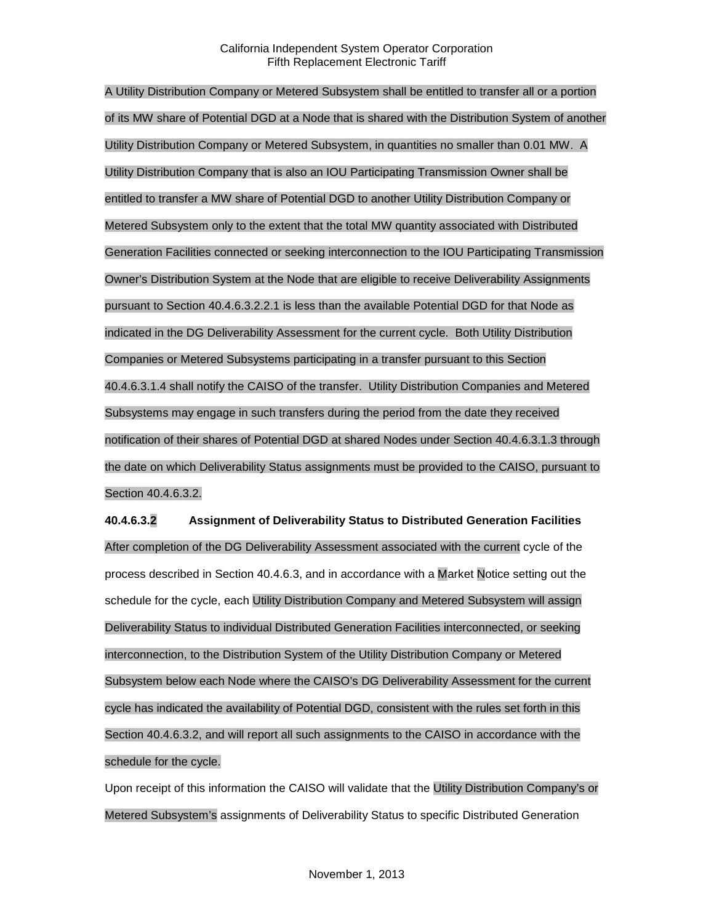A Utility Distribution Company or Metered Subsystem shall be entitled to transfer all or a portion of its MW share of Potential DGD at a Node that is shared with the Distribution System of another Utility Distribution Company or Metered Subsystem, in quantities no smaller than 0.01 MW. A Utility Distribution Company that is also an IOU Participating Transmission Owner shall be entitled to transfer a MW share of Potential DGD to another Utility Distribution Company or Metered Subsystem only to the extent that the total MW quantity associated with Distributed Generation Facilities connected or seeking interconnection to the IOU Participating Transmission Owner's Distribution System at the Node that are eligible to receive Deliverability Assignments pursuant to Section 40.4.6.3.2.2.1 is less than the available Potential DGD for that Node as indicated in the DG Deliverability Assessment for the current cycle. Both Utility Distribution Companies or Metered Subsystems participating in a transfer pursuant to this Section 40.4.6.3.1.4 shall notify the CAISO of the transfer. Utility Distribution Companies and Metered Subsystems may engage in such transfers during the period from the date they received notification of their shares of Potential DGD at shared Nodes under Section 40.4.6.3.1.3 through the date on which Deliverability Status assignments must be provided to the CAISO, pursuant to Section 40.4.6.3.2.

**40.4.6.3.2 Assignment of Deliverability Status to Distributed Generation Facilities** After completion of the DG Deliverability Assessment associated with the current cycle of the process described in Section 40.4.6.3, and in accordance with a Market Notice setting out the schedule for the cycle, each Utility Distribution Company and Metered Subsystem will assign Deliverability Status to individual Distributed Generation Facilities interconnected, or seeking interconnection, to the Distribution System of the Utility Distribution Company or Metered Subsystem below each Node where the CAISO's DG Deliverability Assessment for the current cycle has indicated the availability of Potential DGD, consistent with the rules set forth in this Section 40.4.6.3.2, and will report all such assignments to the CAISO in accordance with the schedule for the cycle.

Upon receipt of this information the CAISO will validate that the Utility Distribution Company's or Metered Subsystem's assignments of Deliverability Status to specific Distributed Generation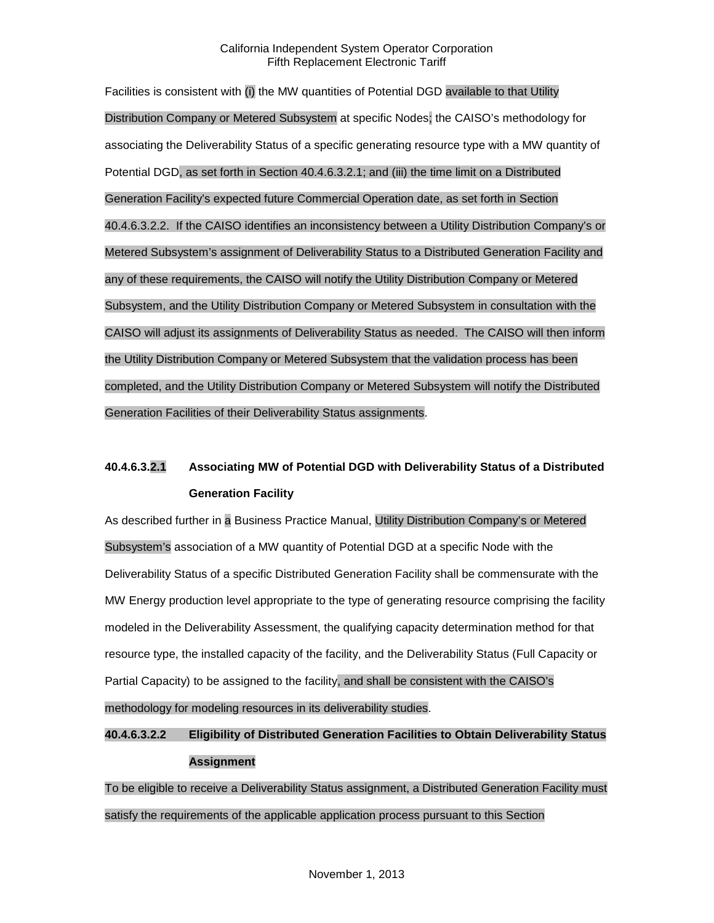Facilities is consistent with (i) the MW quantities of Potential DGD available to that Utility Distribution Company or Metered Subsystem at specific Nodes; the CAISO's methodology for associating the Deliverability Status of a specific generating resource type with a MW quantity of Potential DGD, as set forth in Section 40.4.6.3.2.1; and (iii) the time limit on a Distributed Generation Facility's expected future Commercial Operation date, as set forth in Section 40.4.6.3.2.2. If the CAISO identifies an inconsistency between a Utility Distribution Company's or Metered Subsystem's assignment of Deliverability Status to a Distributed Generation Facility and any of these requirements, the CAISO will notify the Utility Distribution Company or Metered Subsystem, and the Utility Distribution Company or Metered Subsystem in consultation with the CAISO will adjust its assignments of Deliverability Status as needed. The CAISO will then inform the Utility Distribution Company or Metered Subsystem that the validation process has been completed, and the Utility Distribution Company or Metered Subsystem will notify the Distributed Generation Facilities of their Deliverability Status assignments.

# **40.4.6.3.2.1 Associating MW of Potential DGD with Deliverability Status of a Distributed Generation Facility**

As described further in a Business Practice Manual, Utility Distribution Company's or Metered Subsystem's association of a MW quantity of Potential DGD at a specific Node with the Deliverability Status of a specific Distributed Generation Facility shall be commensurate with the MW Energy production level appropriate to the type of generating resource comprising the facility modeled in the Deliverability Assessment, the qualifying capacity determination method for that resource type, the installed capacity of the facility, and the Deliverability Status (Full Capacity or Partial Capacity) to be assigned to the facility, and shall be consistent with the CAISO's methodology for modeling resources in its deliverability studies.

# **40.4.6.3.2.2 Eligibility of Distributed Generation Facilities to Obtain Deliverability Status Assignment**

To be eligible to receive a Deliverability Status assignment, a Distributed Generation Facility must satisfy the requirements of the applicable application process pursuant to this Section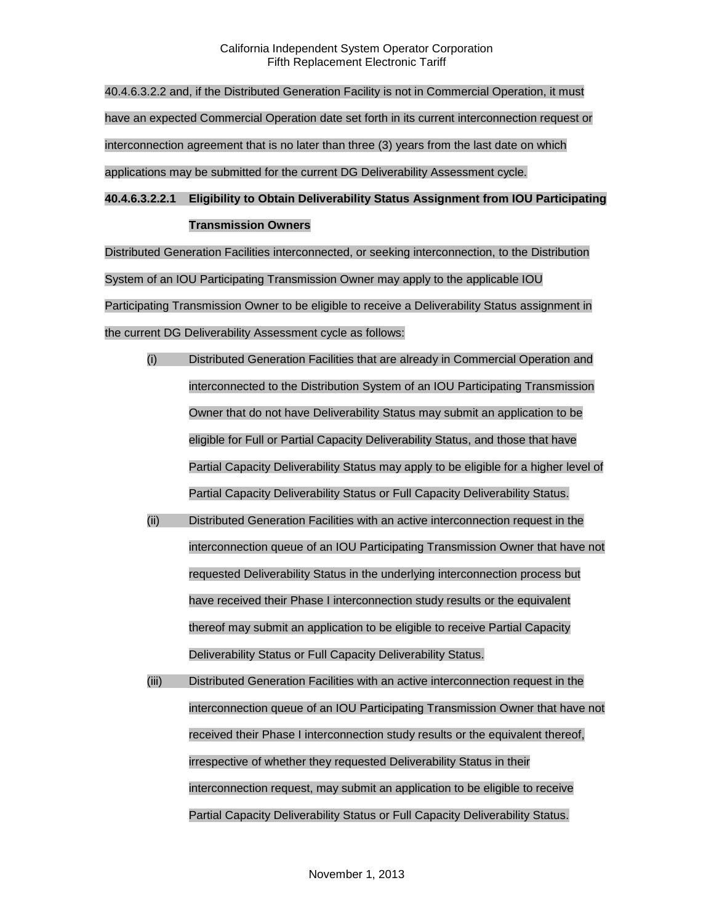40.4.6.3.2.2 and, if the Distributed Generation Facility is not in Commercial Operation, it must have an expected Commercial Operation date set forth in its current interconnection request or interconnection agreement that is no later than three (3) years from the last date on which applications may be submitted for the current DG Deliverability Assessment cycle.

# **40.4.6.3.2.2.1 Eligibility to Obtain Deliverability Status Assignment from IOU Participating Transmission Owners**

Distributed Generation Facilities interconnected, or seeking interconnection, to the Distribution System of an IOU Participating Transmission Owner may apply to the applicable IOU Participating Transmission Owner to be eligible to receive a Deliverability Status assignment in the current DG Deliverability Assessment cycle as follows:

- (i) Distributed Generation Facilities that are already in Commercial Operation and interconnected to the Distribution System of an IOU Participating Transmission Owner that do not have Deliverability Status may submit an application to be eligible for Full or Partial Capacity Deliverability Status, and those that have Partial Capacity Deliverability Status may apply to be eligible for a higher level of Partial Capacity Deliverability Status or Full Capacity Deliverability Status.
- (ii) Distributed Generation Facilities with an active interconnection request in the interconnection queue of an IOU Participating Transmission Owner that have not requested Deliverability Status in the underlying interconnection process but have received their Phase I interconnection study results or the equivalent thereof may submit an application to be eligible to receive Partial Capacity Deliverability Status or Full Capacity Deliverability Status.
- (iii) Distributed Generation Facilities with an active interconnection request in the interconnection queue of an IOU Participating Transmission Owner that have not received their Phase I interconnection study results or the equivalent thereof, irrespective of whether they requested Deliverability Status in their interconnection request, may submit an application to be eligible to receive Partial Capacity Deliverability Status or Full Capacity Deliverability Status.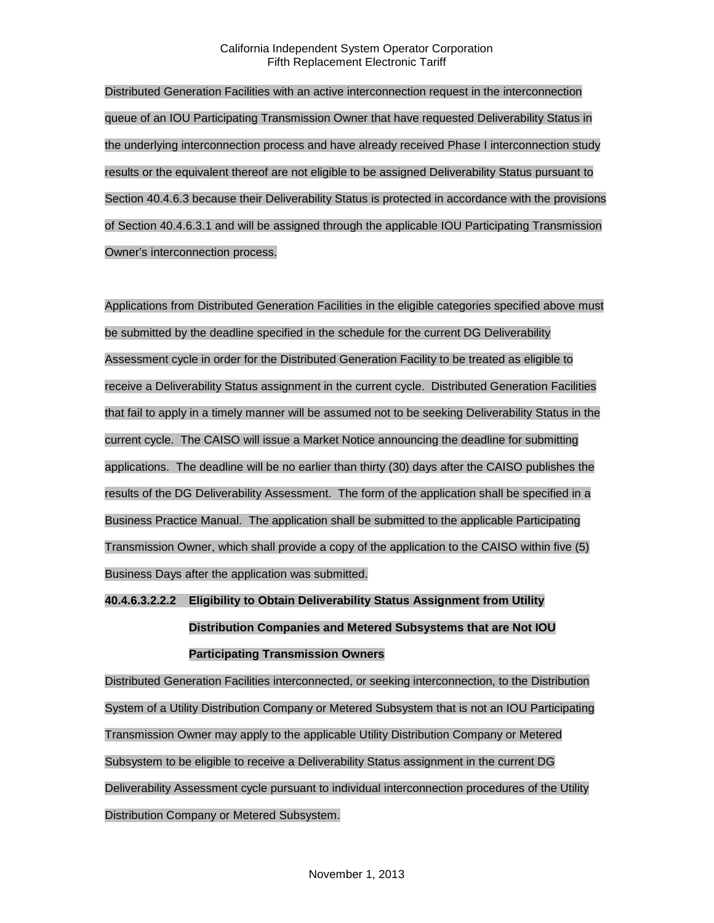Distributed Generation Facilities with an active interconnection request in the interconnection queue of an IOU Participating Transmission Owner that have requested Deliverability Status in the underlying interconnection process and have already received Phase I interconnection study results or the equivalent thereof are not eligible to be assigned Deliverability Status pursuant to Section 40.4.6.3 because their Deliverability Status is protected in accordance with the provisions of Section 40.4.6.3.1 and will be assigned through the applicable IOU Participating Transmission Owner's interconnection process.

Applications from Distributed Generation Facilities in the eligible categories specified above must be submitted by the deadline specified in the schedule for the current DG Deliverability Assessment cycle in order for the Distributed Generation Facility to be treated as eligible to receive a Deliverability Status assignment in the current cycle. Distributed Generation Facilities that fail to apply in a timely manner will be assumed not to be seeking Deliverability Status in the current cycle. The CAISO will issue a Market Notice announcing the deadline for submitting applications. The deadline will be no earlier than thirty (30) days after the CAISO publishes the results of the DG Deliverability Assessment. The form of the application shall be specified in a Business Practice Manual. The application shall be submitted to the applicable Participating Transmission Owner, which shall provide a copy of the application to the CAISO within five (5) Business Days after the application was submitted.

# **40.4.6.3.2.2.2 Eligibility to Obtain Deliverability Status Assignment from Utility Distribution Companies and Metered Subsystems that are Not IOU Participating Transmission Owners**

Distributed Generation Facilities interconnected, or seeking interconnection, to the Distribution System of a Utility Distribution Company or Metered Subsystem that is not an IOU Participating Transmission Owner may apply to the applicable Utility Distribution Company or Metered Subsystem to be eligible to receive a Deliverability Status assignment in the current DG Deliverability Assessment cycle pursuant to individual interconnection procedures of the Utility Distribution Company or Metered Subsystem.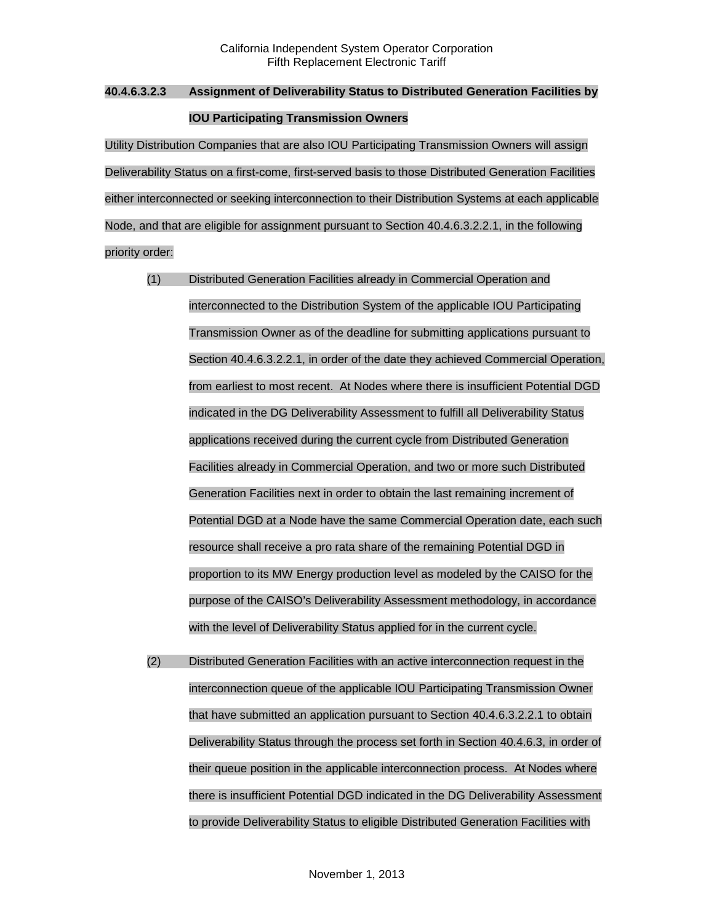# **40.4.6.3.2.3 Assignment of Deliverability Status to Distributed Generation Facilities by IOU Participating Transmission Owners**

Utility Distribution Companies that are also IOU Participating Transmission Owners will assign Deliverability Status on a first-come, first-served basis to those Distributed Generation Facilities either interconnected or seeking interconnection to their Distribution Systems at each applicable Node, and that are eligible for assignment pursuant to Section 40.4.6.3.2.2.1, in the following priority order:

- (1) Distributed Generation Facilities already in Commercial Operation and interconnected to the Distribution System of the applicable IOU Participating Transmission Owner as of the deadline for submitting applications pursuant to Section 40.4.6.3.2.2.1, in order of the date they achieved Commercial Operation, from earliest to most recent. At Nodes where there is insufficient Potential DGD indicated in the DG Deliverability Assessment to fulfill all Deliverability Status applications received during the current cycle from Distributed Generation Facilities already in Commercial Operation, and two or more such Distributed Generation Facilities next in order to obtain the last remaining increment of Potential DGD at a Node have the same Commercial Operation date, each such resource shall receive a pro rata share of the remaining Potential DGD in proportion to its MW Energy production level as modeled by the CAISO for the purpose of the CAISO's Deliverability Assessment methodology, in accordance with the level of Deliverability Status applied for in the current cycle.
- (2) Distributed Generation Facilities with an active interconnection request in the interconnection queue of the applicable IOU Participating Transmission Owner that have submitted an application pursuant to Section 40.4.6.3.2.2.1 to obtain Deliverability Status through the process set forth in Section 40.4.6.3, in order of their queue position in the applicable interconnection process. At Nodes where there is insufficient Potential DGD indicated in the DG Deliverability Assessment to provide Deliverability Status to eligible Distributed Generation Facilities with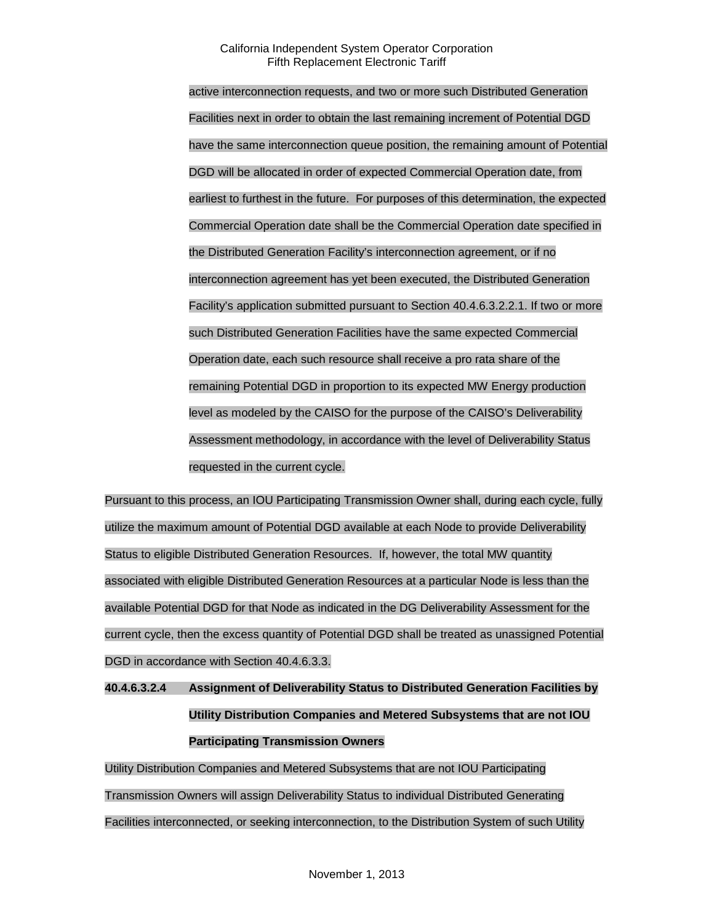active interconnection requests, and two or more such Distributed Generation Facilities next in order to obtain the last remaining increment of Potential DGD have the same interconnection queue position, the remaining amount of Potential DGD will be allocated in order of expected Commercial Operation date, from earliest to furthest in the future. For purposes of this determination, the expected Commercial Operation date shall be the Commercial Operation date specified in the Distributed Generation Facility's interconnection agreement, or if no interconnection agreement has yet been executed, the Distributed Generation Facility's application submitted pursuant to Section 40.4.6.3.2.2.1. If two or more such Distributed Generation Facilities have the same expected Commercial Operation date, each such resource shall receive a pro rata share of the remaining Potential DGD in proportion to its expected MW Energy production level as modeled by the CAISO for the purpose of the CAISO's Deliverability Assessment methodology, in accordance with the level of Deliverability Status requested in the current cycle.

Pursuant to this process, an IOU Participating Transmission Owner shall, during each cycle, fully utilize the maximum amount of Potential DGD available at each Node to provide Deliverability Status to eligible Distributed Generation Resources. If, however, the total MW quantity associated with eligible Distributed Generation Resources at a particular Node is less than the available Potential DGD for that Node as indicated in the DG Deliverability Assessment for the current cycle, then the excess quantity of Potential DGD shall be treated as unassigned Potential DGD in accordance with Section 40.4.6.3.3.

**40.4.6.3.2.4 Assignment of Deliverability Status to Distributed Generation Facilities by Utility Distribution Companies and Metered Subsystems that are not IOU Participating Transmission Owners**

Utility Distribution Companies and Metered Subsystems that are not IOU Participating Transmission Owners will assign Deliverability Status to individual Distributed Generating Facilities interconnected, or seeking interconnection, to the Distribution System of such Utility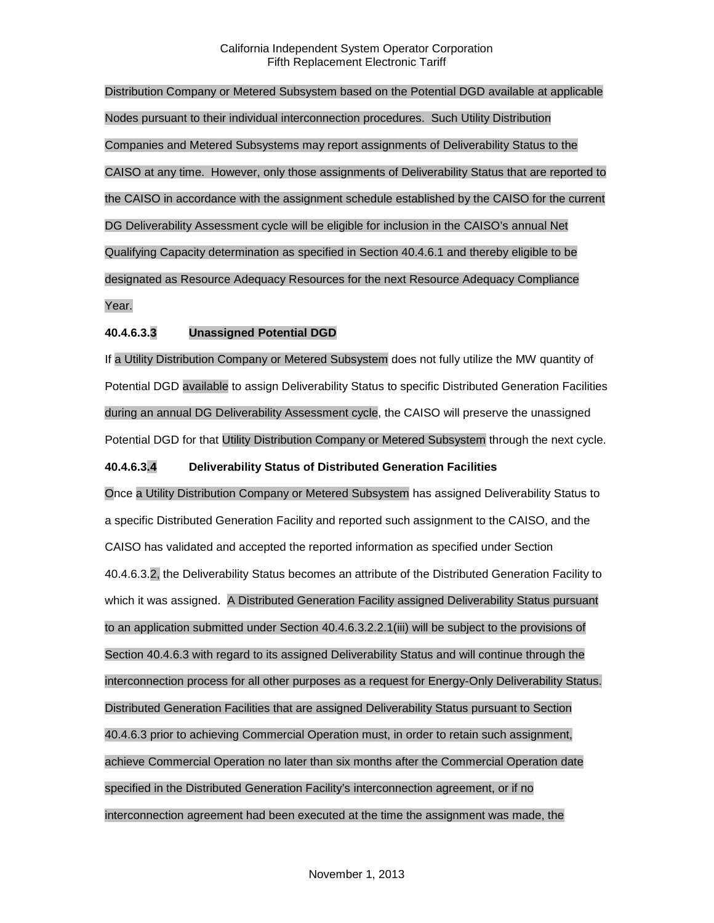Distribution Company or Metered Subsystem based on the Potential DGD available at applicable Nodes pursuant to their individual interconnection procedures. Such Utility Distribution Companies and Metered Subsystems may report assignments of Deliverability Status to the CAISO at any time. However, only those assignments of Deliverability Status that are reported to the CAISO in accordance with the assignment schedule established by the CAISO for the current DG Deliverability Assessment cycle will be eligible for inclusion in the CAISO's annual Net Qualifying Capacity determination as specified in Section 40.4.6.1 and thereby eligible to be designated as Resource Adequacy Resources for the next Resource Adequacy Compliance Year.

### **40.4.6.3.3 Unassigned Potential DGD**

If a Utility Distribution Company or Metered Subsystem does not fully utilize the MW quantity of Potential DGD available to assign Deliverability Status to specific Distributed Generation Facilities during an annual DG Deliverability Assessment cycle, the CAISO will preserve the unassigned Potential DGD for that Utility Distribution Company or Metered Subsystem through the next cycle.

### **40.4.6.3.4 Deliverability Status of Distributed Generation Facilities**

Once a Utility Distribution Company or Metered Subsystem has assigned Deliverability Status to a specific Distributed Generation Facility and reported such assignment to the CAISO, and the CAISO has validated and accepted the reported information as specified under Section 40.4.6.3.2, the Deliverability Status becomes an attribute of the Distributed Generation Facility to which it was assigned. A Distributed Generation Facility assigned Deliverability Status pursuant to an application submitted under Section 40.4.6.3.2.2.1(iii) will be subject to the provisions of Section 40.4.6.3 with regard to its assigned Deliverability Status and will continue through the interconnection process for all other purposes as a request for Energy-Only Deliverability Status. Distributed Generation Facilities that are assigned Deliverability Status pursuant to Section 40.4.6.3 prior to achieving Commercial Operation must, in order to retain such assignment, achieve Commercial Operation no later than six months after the Commercial Operation date specified in the Distributed Generation Facility's interconnection agreement, or if no interconnection agreement had been executed at the time the assignment was made, the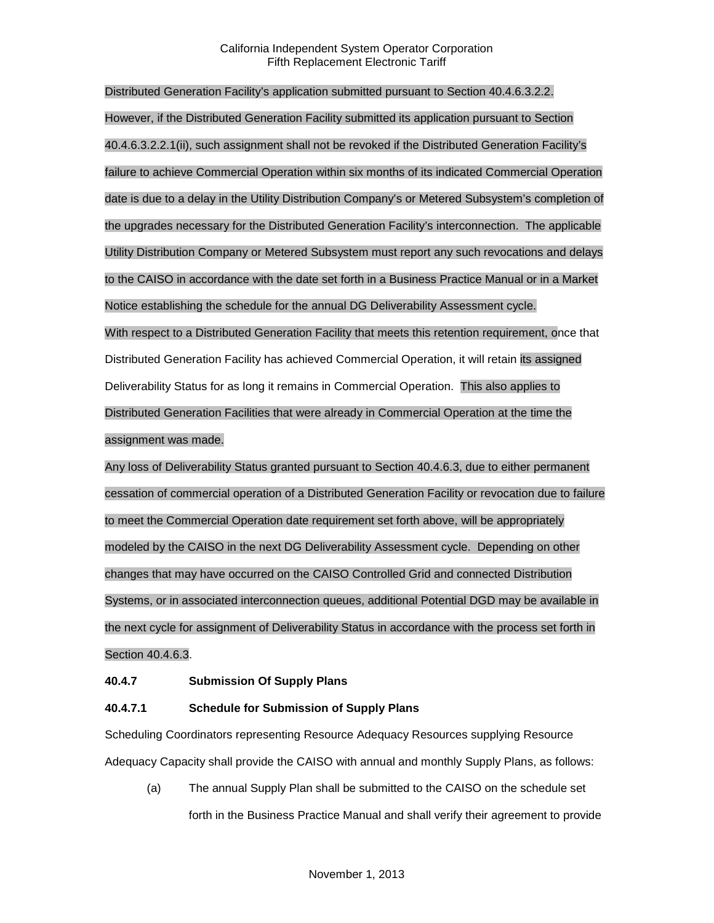Distributed Generation Facility's application submitted pursuant to Section 40.4.6.3.2.2. However, if the Distributed Generation Facility submitted its application pursuant to Section 40.4.6.3.2.2.1(ii), such assignment shall not be revoked if the Distributed Generation Facility's failure to achieve Commercial Operation within six months of its indicated Commercial Operation date is due to a delay in the Utility Distribution Company's or Metered Subsystem's completion of the upgrades necessary for the Distributed Generation Facility's interconnection. The applicable Utility Distribution Company or Metered Subsystem must report any such revocations and delays to the CAISO in accordance with the date set forth in a Business Practice Manual or in a Market Notice establishing the schedule for the annual DG Deliverability Assessment cycle. With respect to a Distributed Generation Facility that meets this retention requirement, once that Distributed Generation Facility has achieved Commercial Operation, it will retain its assigned Deliverability Status for as long it remains in Commercial Operation. This also applies to Distributed Generation Facilities that were already in Commercial Operation at the time the assignment was made.

Any loss of Deliverability Status granted pursuant to Section 40.4.6.3, due to either permanent cessation of commercial operation of a Distributed Generation Facility or revocation due to failure to meet the Commercial Operation date requirement set forth above, will be appropriately modeled by the CAISO in the next DG Deliverability Assessment cycle. Depending on other changes that may have occurred on the CAISO Controlled Grid and connected Distribution Systems, or in associated interconnection queues, additional Potential DGD may be available in the next cycle for assignment of Deliverability Status in accordance with the process set forth in Section 40.4.6.3.

### **40.4.7 Submission Of Supply Plans**

### **40.4.7.1 Schedule for Submission of Supply Plans**

Scheduling Coordinators representing Resource Adequacy Resources supplying Resource Adequacy Capacity shall provide the CAISO with annual and monthly Supply Plans, as follows:

(a) The annual Supply Plan shall be submitted to the CAISO on the schedule set forth in the Business Practice Manual and shall verify their agreement to provide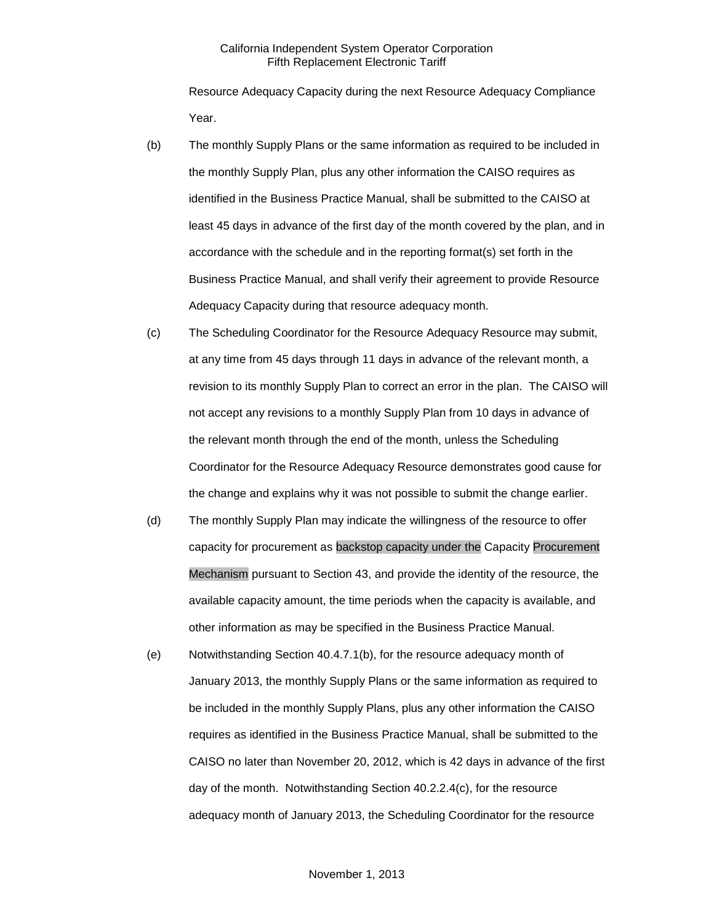Resource Adequacy Capacity during the next Resource Adequacy Compliance Year.

- (b) The monthly Supply Plans or the same information as required to be included in the monthly Supply Plan, plus any other information the CAISO requires as identified in the Business Practice Manual, shall be submitted to the CAISO at least 45 days in advance of the first day of the month covered by the plan, and in accordance with the schedule and in the reporting format(s) set forth in the Business Practice Manual, and shall verify their agreement to provide Resource Adequacy Capacity during that resource adequacy month.
- (c) The Scheduling Coordinator for the Resource Adequacy Resource may submit, at any time from 45 days through 11 days in advance of the relevant month, a revision to its monthly Supply Plan to correct an error in the plan. The CAISO will not accept any revisions to a monthly Supply Plan from 10 days in advance of the relevant month through the end of the month, unless the Scheduling Coordinator for the Resource Adequacy Resource demonstrates good cause for the change and explains why it was not possible to submit the change earlier.
- (d) The monthly Supply Plan may indicate the willingness of the resource to offer capacity for procurement as backstop capacity under the Capacity Procurement Mechanism pursuant to Section 43, and provide the identity of the resource, the available capacity amount, the time periods when the capacity is available, and other information as may be specified in the Business Practice Manual.
- (e) Notwithstanding Section 40.4.7.1(b), for the resource adequacy month of January 2013, the monthly Supply Plans or the same information as required to be included in the monthly Supply Plans, plus any other information the CAISO requires as identified in the Business Practice Manual, shall be submitted to the CAISO no later than November 20, 2012, which is 42 days in advance of the first day of the month. Notwithstanding Section 40.2.2.4(c), for the resource adequacy month of January 2013, the Scheduling Coordinator for the resource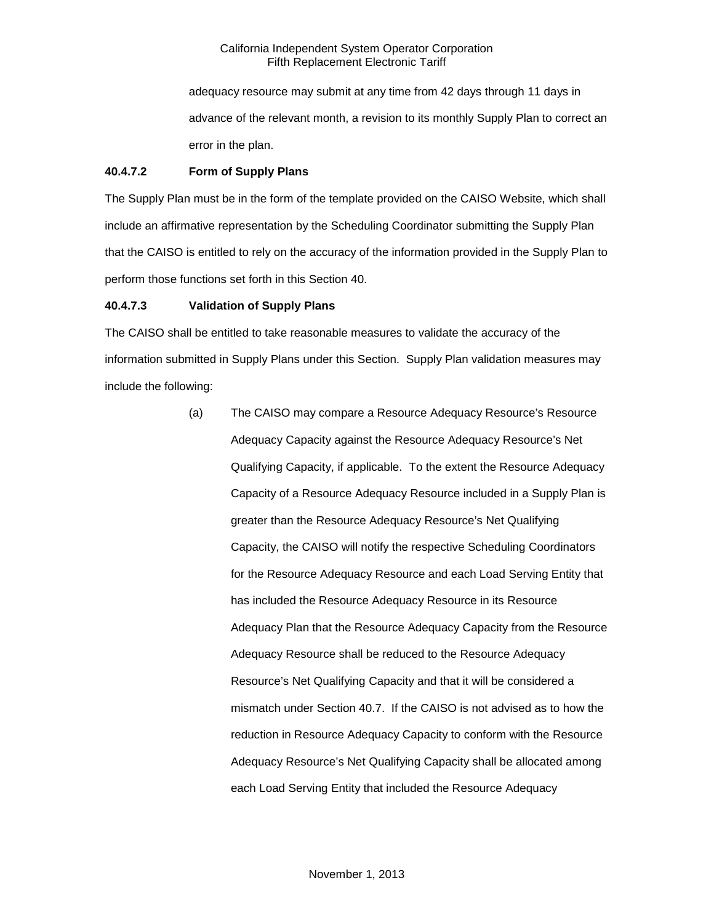adequacy resource may submit at any time from 42 days through 11 days in advance of the relevant month, a revision to its monthly Supply Plan to correct an error in the plan.

## **40.4.7.2 Form of Supply Plans**

The Supply Plan must be in the form of the template provided on the CAISO Website, which shall include an affirmative representation by the Scheduling Coordinator submitting the Supply Plan that the CAISO is entitled to rely on the accuracy of the information provided in the Supply Plan to perform those functions set forth in this Section 40.

# **40.4.7.3 Validation of Supply Plans**

The CAISO shall be entitled to take reasonable measures to validate the accuracy of the information submitted in Supply Plans under this Section. Supply Plan validation measures may include the following:

> (a) The CAISO may compare a Resource Adequacy Resource's Resource Adequacy Capacity against the Resource Adequacy Resource's Net Qualifying Capacity, if applicable. To the extent the Resource Adequacy Capacity of a Resource Adequacy Resource included in a Supply Plan is greater than the Resource Adequacy Resource's Net Qualifying Capacity, the CAISO will notify the respective Scheduling Coordinators for the Resource Adequacy Resource and each Load Serving Entity that has included the Resource Adequacy Resource in its Resource Adequacy Plan that the Resource Adequacy Capacity from the Resource Adequacy Resource shall be reduced to the Resource Adequacy Resource's Net Qualifying Capacity and that it will be considered a mismatch under Section 40.7. If the CAISO is not advised as to how the reduction in Resource Adequacy Capacity to conform with the Resource Adequacy Resource's Net Qualifying Capacity shall be allocated among each Load Serving Entity that included the Resource Adequacy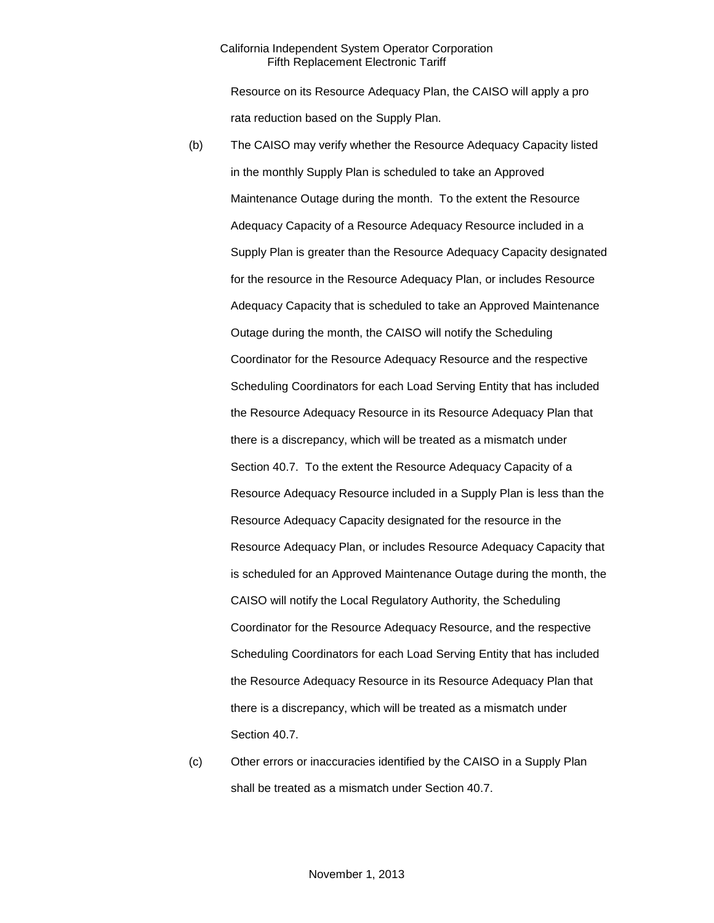Resource on its Resource Adequacy Plan, the CAISO will apply a pro rata reduction based on the Supply Plan.

- (b) The CAISO may verify whether the Resource Adequacy Capacity listed in the monthly Supply Plan is scheduled to take an Approved Maintenance Outage during the month. To the extent the Resource Adequacy Capacity of a Resource Adequacy Resource included in a Supply Plan is greater than the Resource Adequacy Capacity designated for the resource in the Resource Adequacy Plan, or includes Resource Adequacy Capacity that is scheduled to take an Approved Maintenance Outage during the month, the CAISO will notify the Scheduling Coordinator for the Resource Adequacy Resource and the respective Scheduling Coordinators for each Load Serving Entity that has included the Resource Adequacy Resource in its Resource Adequacy Plan that there is a discrepancy, which will be treated as a mismatch under Section 40.7. To the extent the Resource Adequacy Capacity of a Resource Adequacy Resource included in a Supply Plan is less than the Resource Adequacy Capacity designated for the resource in the Resource Adequacy Plan, or includes Resource Adequacy Capacity that is scheduled for an Approved Maintenance Outage during the month, the CAISO will notify the Local Regulatory Authority, the Scheduling Coordinator for the Resource Adequacy Resource, and the respective Scheduling Coordinators for each Load Serving Entity that has included the Resource Adequacy Resource in its Resource Adequacy Plan that there is a discrepancy, which will be treated as a mismatch under Section 40.7.
- (c) Other errors or inaccuracies identified by the CAISO in a Supply Plan shall be treated as a mismatch under Section 40.7.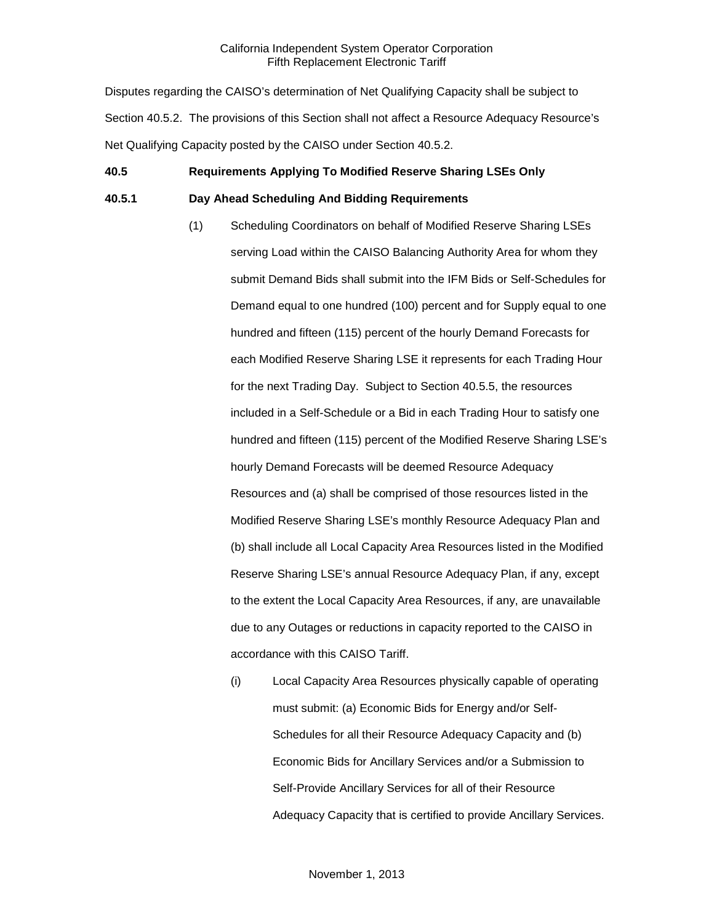Disputes regarding the CAISO's determination of Net Qualifying Capacity shall be subject to Section 40.5.2. The provisions of this Section shall not affect a Resource Adequacy Resource's Net Qualifying Capacity posted by the CAISO under Section 40.5.2.

# **40.5 Requirements Applying To Modified Reserve Sharing LSEs Only**

### **40.5.1 Day Ahead Scheduling And Bidding Requirements**

- (1) Scheduling Coordinators on behalf of Modified Reserve Sharing LSEs serving Load within the CAISO Balancing Authority Area for whom they submit Demand Bids shall submit into the IFM Bids or Self-Schedules for Demand equal to one hundred (100) percent and for Supply equal to one hundred and fifteen (115) percent of the hourly Demand Forecasts for each Modified Reserve Sharing LSE it represents for each Trading Hour for the next Trading Day. Subject to Section 40.5.5, the resources included in a Self-Schedule or a Bid in each Trading Hour to satisfy one hundred and fifteen (115) percent of the Modified Reserve Sharing LSE's hourly Demand Forecasts will be deemed Resource Adequacy Resources and (a) shall be comprised of those resources listed in the Modified Reserve Sharing LSE's monthly Resource Adequacy Plan and (b) shall include all Local Capacity Area Resources listed in the Modified Reserve Sharing LSE's annual Resource Adequacy Plan, if any, except to the extent the Local Capacity Area Resources, if any, are unavailable due to any Outages or reductions in capacity reported to the CAISO in accordance with this CAISO Tariff.
	- (i) Local Capacity Area Resources physically capable of operating must submit: (a) Economic Bids for Energy and/or Self-Schedules for all their Resource Adequacy Capacity and (b) Economic Bids for Ancillary Services and/or a Submission to Self-Provide Ancillary Services for all of their Resource Adequacy Capacity that is certified to provide Ancillary Services.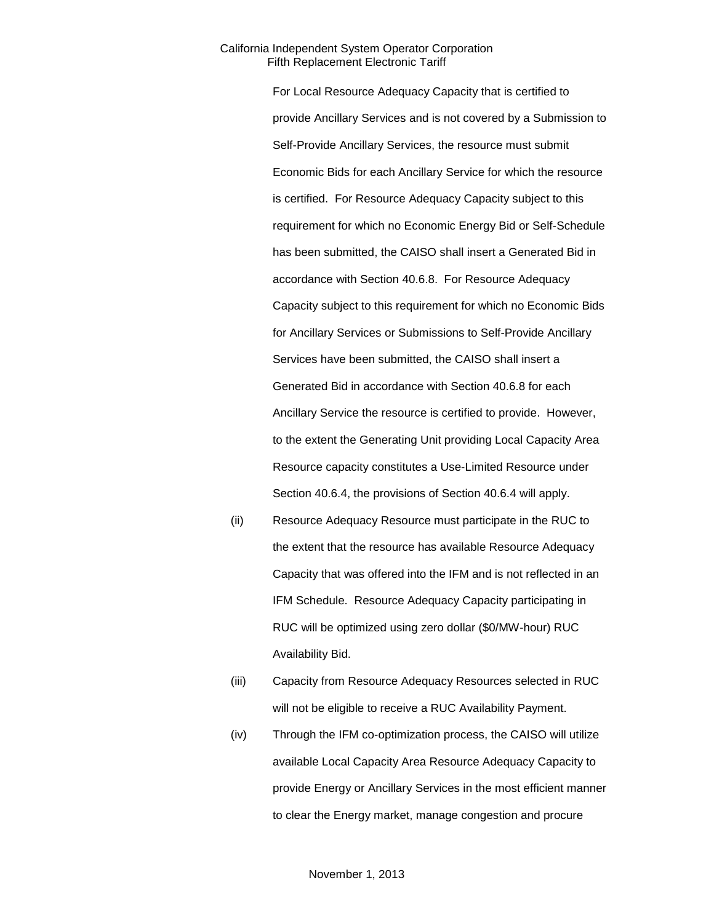For Local Resource Adequacy Capacity that is certified to provide Ancillary Services and is not covered by a Submission to Self-Provide Ancillary Services, the resource must submit Economic Bids for each Ancillary Service for which the resource is certified. For Resource Adequacy Capacity subject to this requirement for which no Economic Energy Bid or Self-Schedule has been submitted, the CAISO shall insert a Generated Bid in accordance with Section 40.6.8. For Resource Adequacy Capacity subject to this requirement for which no Economic Bids for Ancillary Services or Submissions to Self-Provide Ancillary Services have been submitted, the CAISO shall insert a Generated Bid in accordance with Section 40.6.8 for each Ancillary Service the resource is certified to provide. However, to the extent the Generating Unit providing Local Capacity Area Resource capacity constitutes a Use-Limited Resource under Section 40.6.4, the provisions of Section 40.6.4 will apply.

- (ii) Resource Adequacy Resource must participate in the RUC to the extent that the resource has available Resource Adequacy Capacity that was offered into the IFM and is not reflected in an IFM Schedule. Resource Adequacy Capacity participating in RUC will be optimized using zero dollar (\$0/MW-hour) RUC Availability Bid.
- (iii) Capacity from Resource Adequacy Resources selected in RUC will not be eligible to receive a RUC Availability Payment.
- (iv) Through the IFM co-optimization process, the CAISO will utilize available Local Capacity Area Resource Adequacy Capacity to provide Energy or Ancillary Services in the most efficient manner to clear the Energy market, manage congestion and procure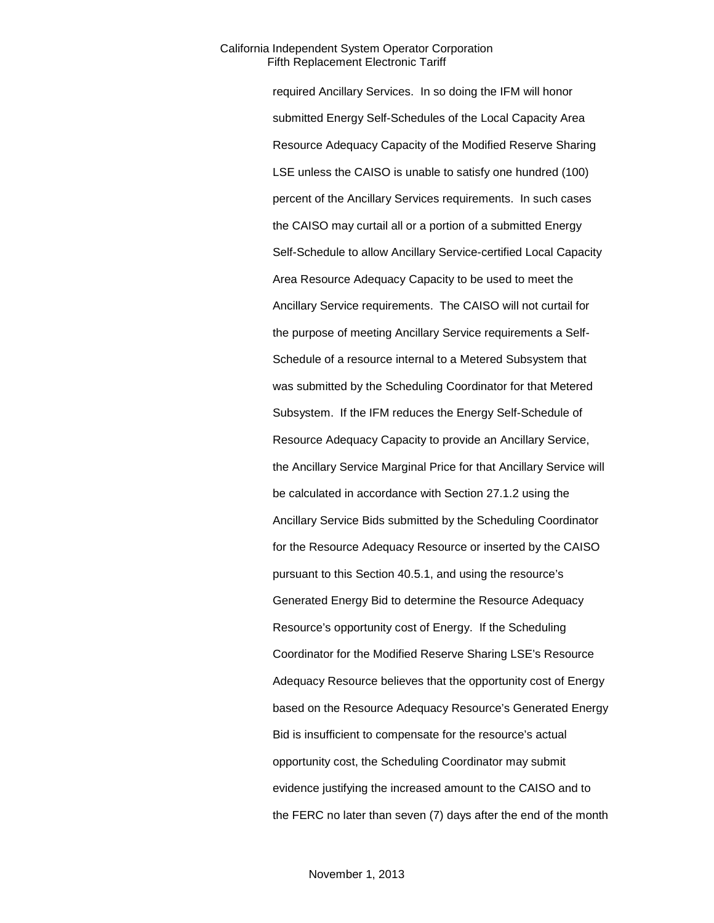required Ancillary Services. In so doing the IFM will honor submitted Energy Self-Schedules of the Local Capacity Area Resource Adequacy Capacity of the Modified Reserve Sharing LSE unless the CAISO is unable to satisfy one hundred (100) percent of the Ancillary Services requirements. In such cases the CAISO may curtail all or a portion of a submitted Energy Self-Schedule to allow Ancillary Service-certified Local Capacity Area Resource Adequacy Capacity to be used to meet the Ancillary Service requirements. The CAISO will not curtail for the purpose of meeting Ancillary Service requirements a Self-Schedule of a resource internal to a Metered Subsystem that was submitted by the Scheduling Coordinator for that Metered Subsystem. If the IFM reduces the Energy Self-Schedule of Resource Adequacy Capacity to provide an Ancillary Service, the Ancillary Service Marginal Price for that Ancillary Service will be calculated in accordance with Section 27.1.2 using the Ancillary Service Bids submitted by the Scheduling Coordinator for the Resource Adequacy Resource or inserted by the CAISO pursuant to this Section 40.5.1, and using the resource's Generated Energy Bid to determine the Resource Adequacy Resource's opportunity cost of Energy. If the Scheduling Coordinator for the Modified Reserve Sharing LSE's Resource Adequacy Resource believes that the opportunity cost of Energy based on the Resource Adequacy Resource's Generated Energy Bid is insufficient to compensate for the resource's actual opportunity cost, the Scheduling Coordinator may submit evidence justifying the increased amount to the CAISO and to the FERC no later than seven (7) days after the end of the month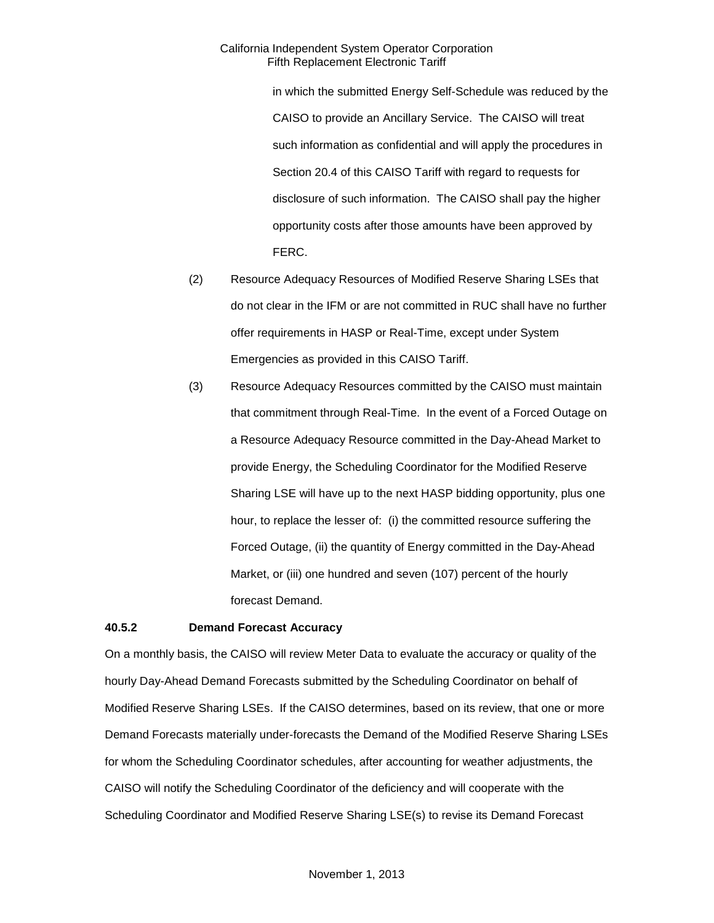in which the submitted Energy Self-Schedule was reduced by the CAISO to provide an Ancillary Service. The CAISO will treat such information as confidential and will apply the procedures in Section 20.4 of this CAISO Tariff with regard to requests for disclosure of such information. The CAISO shall pay the higher opportunity costs after those amounts have been approved by FERC.

- (2) Resource Adequacy Resources of Modified Reserve Sharing LSEs that do not clear in the IFM or are not committed in RUC shall have no further offer requirements in HASP or Real-Time, except under System Emergencies as provided in this CAISO Tariff.
- (3) Resource Adequacy Resources committed by the CAISO must maintain that commitment through Real-Time. In the event of a Forced Outage on a Resource Adequacy Resource committed in the Day-Ahead Market to provide Energy, the Scheduling Coordinator for the Modified Reserve Sharing LSE will have up to the next HASP bidding opportunity, plus one hour, to replace the lesser of: (i) the committed resource suffering the Forced Outage, (ii) the quantity of Energy committed in the Day-Ahead Market, or (iii) one hundred and seven (107) percent of the hourly forecast Demand.

#### **40.5.2 Demand Forecast Accuracy**

On a monthly basis, the CAISO will review Meter Data to evaluate the accuracy or quality of the hourly Day-Ahead Demand Forecasts submitted by the Scheduling Coordinator on behalf of Modified Reserve Sharing LSEs. If the CAISO determines, based on its review, that one or more Demand Forecasts materially under-forecasts the Demand of the Modified Reserve Sharing LSEs for whom the Scheduling Coordinator schedules, after accounting for weather adjustments, the CAISO will notify the Scheduling Coordinator of the deficiency and will cooperate with the Scheduling Coordinator and Modified Reserve Sharing LSE(s) to revise its Demand Forecast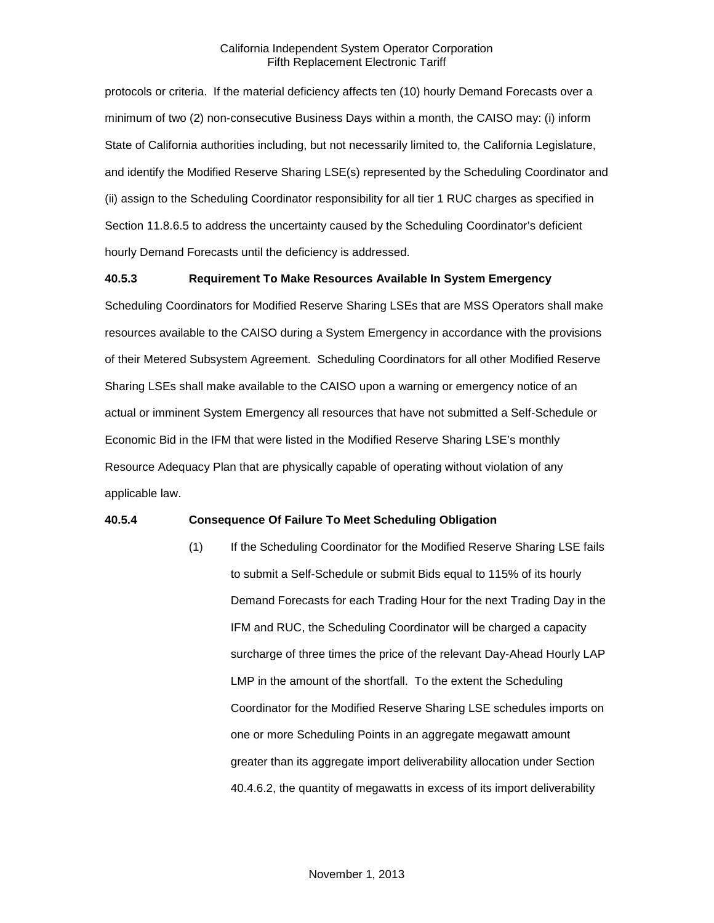protocols or criteria. If the material deficiency affects ten (10) hourly Demand Forecasts over a minimum of two (2) non-consecutive Business Days within a month, the CAISO may: (i) inform State of California authorities including, but not necessarily limited to, the California Legislature, and identify the Modified Reserve Sharing LSE(s) represented by the Scheduling Coordinator and (ii) assign to the Scheduling Coordinator responsibility for all tier 1 RUC charges as specified in Section 11.8.6.5 to address the uncertainty caused by the Scheduling Coordinator's deficient hourly Demand Forecasts until the deficiency is addressed.

### **40.5.3 Requirement To Make Resources Available In System Emergency**

Scheduling Coordinators for Modified Reserve Sharing LSEs that are MSS Operators shall make resources available to the CAISO during a System Emergency in accordance with the provisions of their Metered Subsystem Agreement. Scheduling Coordinators for all other Modified Reserve Sharing LSEs shall make available to the CAISO upon a warning or emergency notice of an actual or imminent System Emergency all resources that have not submitted a Self-Schedule or Economic Bid in the IFM that were listed in the Modified Reserve Sharing LSE's monthly Resource Adequacy Plan that are physically capable of operating without violation of any applicable law.

#### **40.5.4 Consequence Of Failure To Meet Scheduling Obligation**

(1) If the Scheduling Coordinator for the Modified Reserve Sharing LSE fails to submit a Self-Schedule or submit Bids equal to 115% of its hourly Demand Forecasts for each Trading Hour for the next Trading Day in the IFM and RUC, the Scheduling Coordinator will be charged a capacity surcharge of three times the price of the relevant Day-Ahead Hourly LAP LMP in the amount of the shortfall. To the extent the Scheduling Coordinator for the Modified Reserve Sharing LSE schedules imports on one or more Scheduling Points in an aggregate megawatt amount greater than its aggregate import deliverability allocation under Section 40.4.6.2, the quantity of megawatts in excess of its import deliverability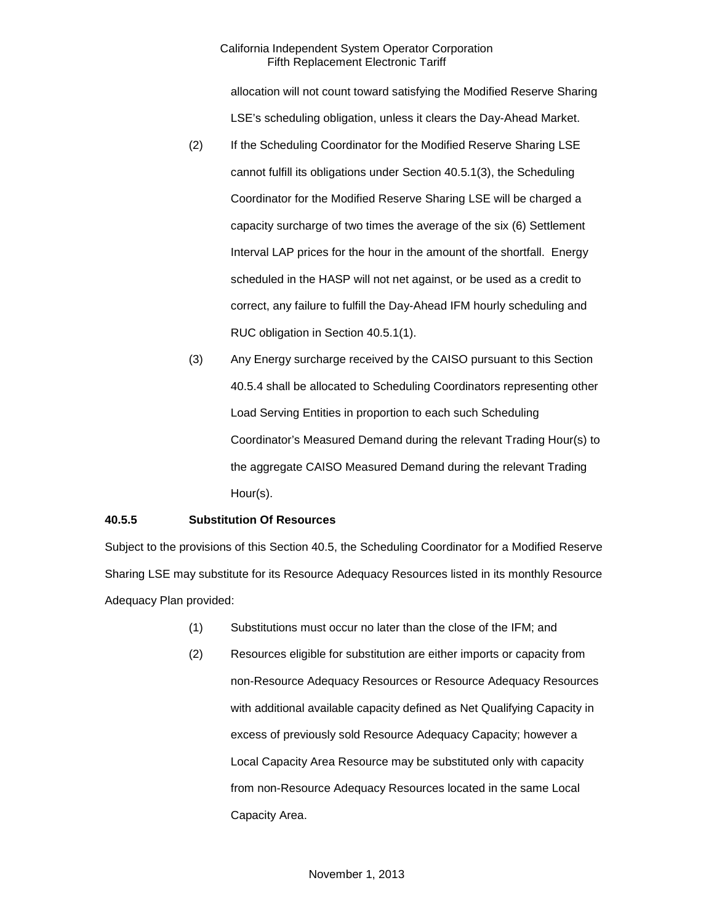allocation will not count toward satisfying the Modified Reserve Sharing LSE's scheduling obligation, unless it clears the Day-Ahead Market.

- (2) If the Scheduling Coordinator for the Modified Reserve Sharing LSE cannot fulfill its obligations under Section 40.5.1(3), the Scheduling Coordinator for the Modified Reserve Sharing LSE will be charged a capacity surcharge of two times the average of the six (6) Settlement Interval LAP prices for the hour in the amount of the shortfall. Energy scheduled in the HASP will not net against, or be used as a credit to correct, any failure to fulfill the Day-Ahead IFM hourly scheduling and RUC obligation in Section 40.5.1(1).
- (3) Any Energy surcharge received by the CAISO pursuant to this Section 40.5.4 shall be allocated to Scheduling Coordinators representing other Load Serving Entities in proportion to each such Scheduling Coordinator's Measured Demand during the relevant Trading Hour(s) to the aggregate CAISO Measured Demand during the relevant Trading Hour(s).

### **40.5.5 Substitution Of Resources**

Subject to the provisions of this Section 40.5, the Scheduling Coordinator for a Modified Reserve Sharing LSE may substitute for its Resource Adequacy Resources listed in its monthly Resource Adequacy Plan provided:

- (1) Substitutions must occur no later than the close of the IFM; and
- (2) Resources eligible for substitution are either imports or capacity from non-Resource Adequacy Resources or Resource Adequacy Resources with additional available capacity defined as Net Qualifying Capacity in excess of previously sold Resource Adequacy Capacity; however a Local Capacity Area Resource may be substituted only with capacity from non-Resource Adequacy Resources located in the same Local Capacity Area.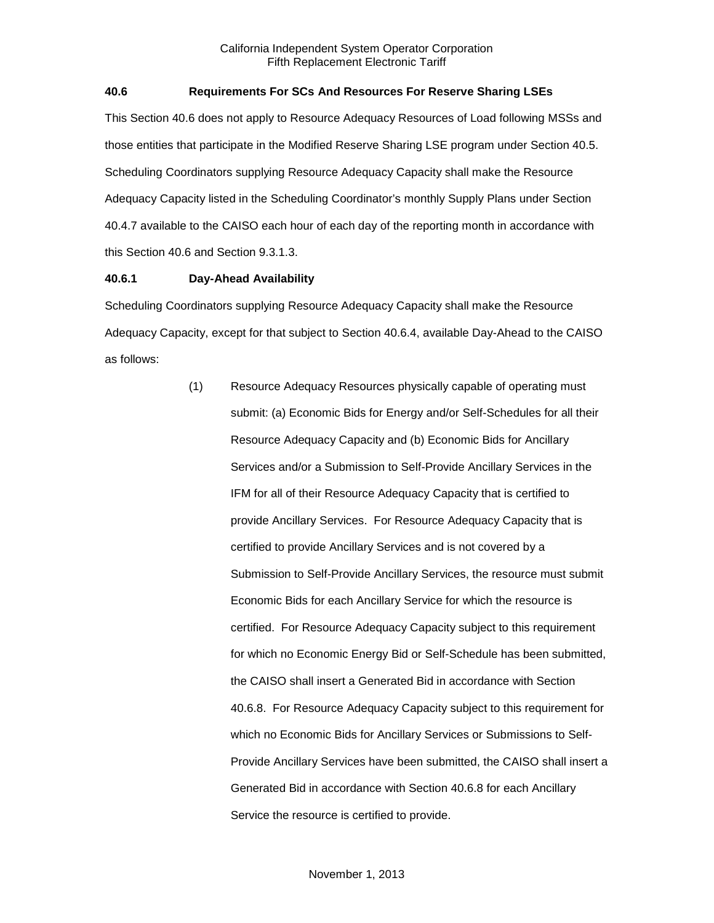### **40.6 Requirements For SCs And Resources For Reserve Sharing LSEs**

This Section 40.6 does not apply to Resource Adequacy Resources of Load following MSSs and those entities that participate in the Modified Reserve Sharing LSE program under Section 40.5. Scheduling Coordinators supplying Resource Adequacy Capacity shall make the Resource Adequacy Capacity listed in the Scheduling Coordinator's monthly Supply Plans under Section 40.4.7 available to the CAISO each hour of each day of the reporting month in accordance with this Section 40.6 and Section 9.3.1.3.

### **40.6.1 Day-Ahead Availability**

Scheduling Coordinators supplying Resource Adequacy Capacity shall make the Resource Adequacy Capacity, except for that subject to Section 40.6.4, available Day-Ahead to the CAISO as follows:

> (1) Resource Adequacy Resources physically capable of operating must submit: (a) Economic Bids for Energy and/or Self-Schedules for all their Resource Adequacy Capacity and (b) Economic Bids for Ancillary Services and/or a Submission to Self-Provide Ancillary Services in the IFM for all of their Resource Adequacy Capacity that is certified to provide Ancillary Services. For Resource Adequacy Capacity that is certified to provide Ancillary Services and is not covered by a Submission to Self-Provide Ancillary Services, the resource must submit Economic Bids for each Ancillary Service for which the resource is certified. For Resource Adequacy Capacity subject to this requirement for which no Economic Energy Bid or Self-Schedule has been submitted, the CAISO shall insert a Generated Bid in accordance with Section 40.6.8. For Resource Adequacy Capacity subject to this requirement for which no Economic Bids for Ancillary Services or Submissions to Self-Provide Ancillary Services have been submitted, the CAISO shall insert a Generated Bid in accordance with Section 40.6.8 for each Ancillary Service the resource is certified to provide.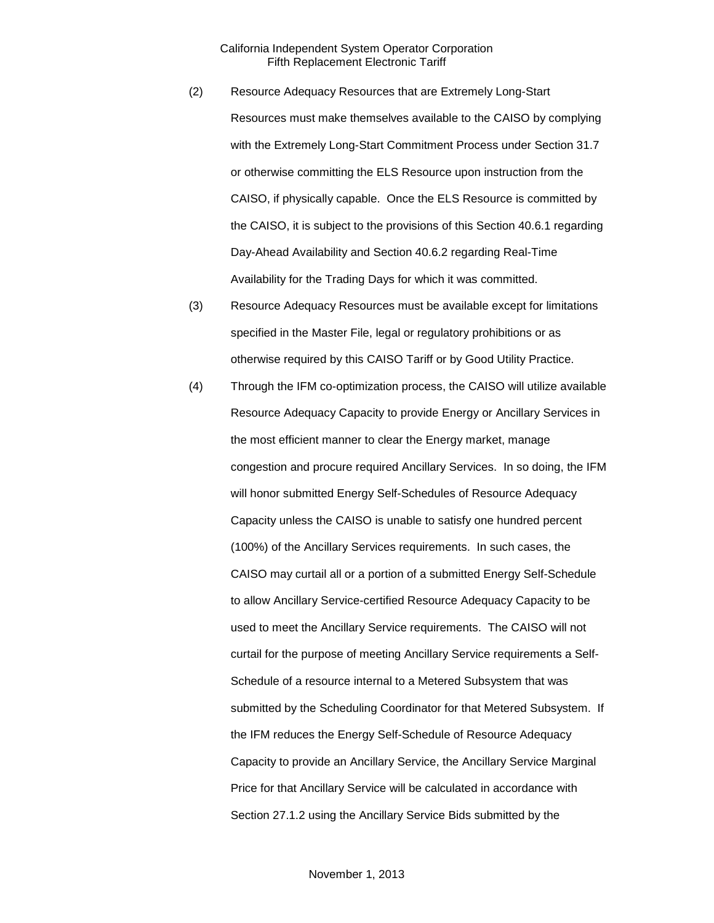- (2) Resource Adequacy Resources that are Extremely Long-Start Resources must make themselves available to the CAISO by complying with the Extremely Long-Start Commitment Process under Section 31.7 or otherwise committing the ELS Resource upon instruction from the CAISO, if physically capable. Once the ELS Resource is committed by the CAISO, it is subject to the provisions of this Section 40.6.1 regarding Day-Ahead Availability and Section 40.6.2 regarding Real-Time Availability for the Trading Days for which it was committed.
- (3) Resource Adequacy Resources must be available except for limitations specified in the Master File, legal or regulatory prohibitions or as otherwise required by this CAISO Tariff or by Good Utility Practice.
- (4) Through the IFM co-optimization process, the CAISO will utilize available Resource Adequacy Capacity to provide Energy or Ancillary Services in the most efficient manner to clear the Energy market, manage congestion and procure required Ancillary Services. In so doing, the IFM will honor submitted Energy Self-Schedules of Resource Adequacy Capacity unless the CAISO is unable to satisfy one hundred percent (100%) of the Ancillary Services requirements. In such cases, the CAISO may curtail all or a portion of a submitted Energy Self-Schedule to allow Ancillary Service-certified Resource Adequacy Capacity to be used to meet the Ancillary Service requirements. The CAISO will not curtail for the purpose of meeting Ancillary Service requirements a Self-Schedule of a resource internal to a Metered Subsystem that was submitted by the Scheduling Coordinator for that Metered Subsystem. If the IFM reduces the Energy Self-Schedule of Resource Adequacy Capacity to provide an Ancillary Service, the Ancillary Service Marginal Price for that Ancillary Service will be calculated in accordance with Section 27.1.2 using the Ancillary Service Bids submitted by the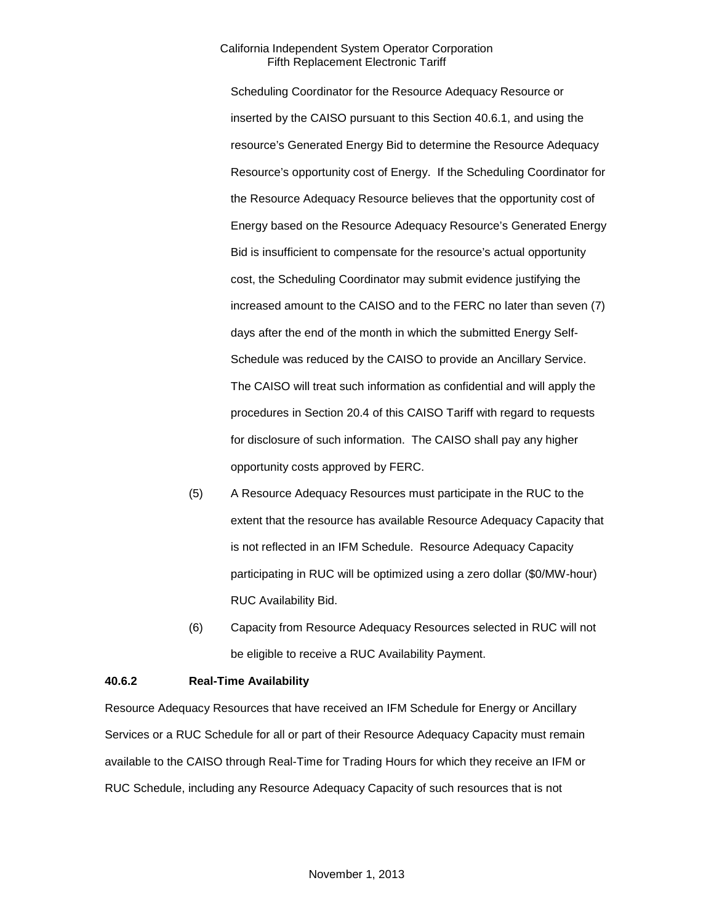Scheduling Coordinator for the Resource Adequacy Resource or inserted by the CAISO pursuant to this Section 40.6.1, and using the resource's Generated Energy Bid to determine the Resource Adequacy Resource's opportunity cost of Energy. If the Scheduling Coordinator for the Resource Adequacy Resource believes that the opportunity cost of Energy based on the Resource Adequacy Resource's Generated Energy Bid is insufficient to compensate for the resource's actual opportunity cost, the Scheduling Coordinator may submit evidence justifying the increased amount to the CAISO and to the FERC no later than seven (7) days after the end of the month in which the submitted Energy Self-Schedule was reduced by the CAISO to provide an Ancillary Service. The CAISO will treat such information as confidential and will apply the procedures in Section 20.4 of this CAISO Tariff with regard to requests for disclosure of such information. The CAISO shall pay any higher opportunity costs approved by FERC.

- (5) A Resource Adequacy Resources must participate in the RUC to the extent that the resource has available Resource Adequacy Capacity that is not reflected in an IFM Schedule. Resource Adequacy Capacity participating in RUC will be optimized using a zero dollar (\$0/MW-hour) RUC Availability Bid.
- (6) Capacity from Resource Adequacy Resources selected in RUC will not be eligible to receive a RUC Availability Payment.

#### **40.6.2 Real-Time Availability**

Resource Adequacy Resources that have received an IFM Schedule for Energy or Ancillary Services or a RUC Schedule for all or part of their Resource Adequacy Capacity must remain available to the CAISO through Real-Time for Trading Hours for which they receive an IFM or RUC Schedule, including any Resource Adequacy Capacity of such resources that is not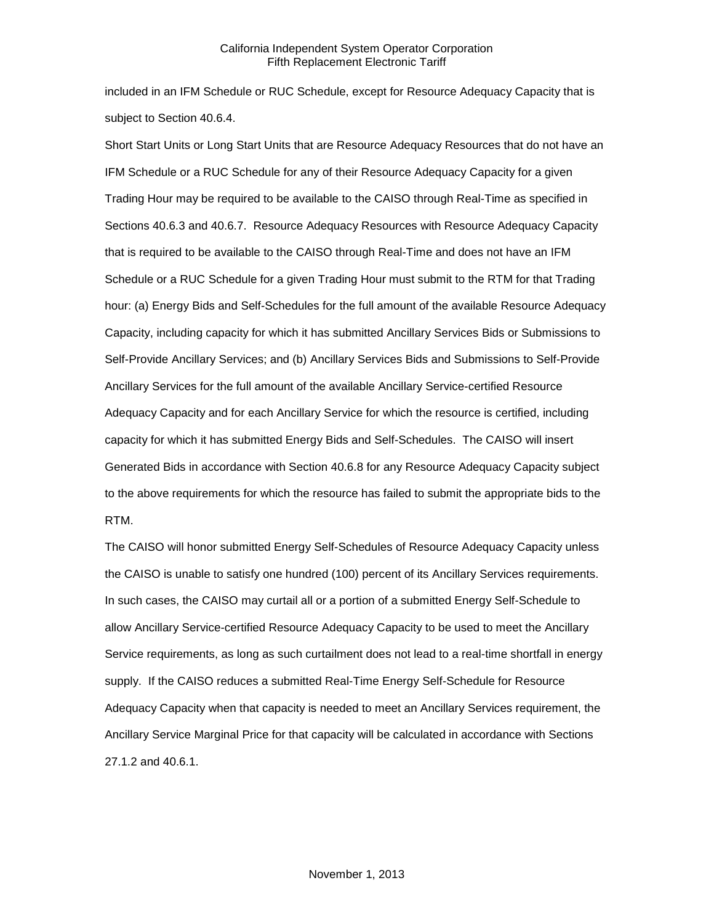included in an IFM Schedule or RUC Schedule, except for Resource Adequacy Capacity that is subject to Section 40.6.4.

Short Start Units or Long Start Units that are Resource Adequacy Resources that do not have an IFM Schedule or a RUC Schedule for any of their Resource Adequacy Capacity for a given Trading Hour may be required to be available to the CAISO through Real-Time as specified in Sections 40.6.3 and 40.6.7. Resource Adequacy Resources with Resource Adequacy Capacity that is required to be available to the CAISO through Real-Time and does not have an IFM Schedule or a RUC Schedule for a given Trading Hour must submit to the RTM for that Trading hour: (a) Energy Bids and Self-Schedules for the full amount of the available Resource Adequacy Capacity, including capacity for which it has submitted Ancillary Services Bids or Submissions to Self-Provide Ancillary Services; and (b) Ancillary Services Bids and Submissions to Self-Provide Ancillary Services for the full amount of the available Ancillary Service-certified Resource Adequacy Capacity and for each Ancillary Service for which the resource is certified, including capacity for which it has submitted Energy Bids and Self-Schedules. The CAISO will insert Generated Bids in accordance with Section 40.6.8 for any Resource Adequacy Capacity subject to the above requirements for which the resource has failed to submit the appropriate bids to the RTM.

The CAISO will honor submitted Energy Self-Schedules of Resource Adequacy Capacity unless the CAISO is unable to satisfy one hundred (100) percent of its Ancillary Services requirements. In such cases, the CAISO may curtail all or a portion of a submitted Energy Self-Schedule to allow Ancillary Service-certified Resource Adequacy Capacity to be used to meet the Ancillary Service requirements, as long as such curtailment does not lead to a real-time shortfall in energy supply. If the CAISO reduces a submitted Real-Time Energy Self-Schedule for Resource Adequacy Capacity when that capacity is needed to meet an Ancillary Services requirement, the Ancillary Service Marginal Price for that capacity will be calculated in accordance with Sections 27.1.2 and 40.6.1.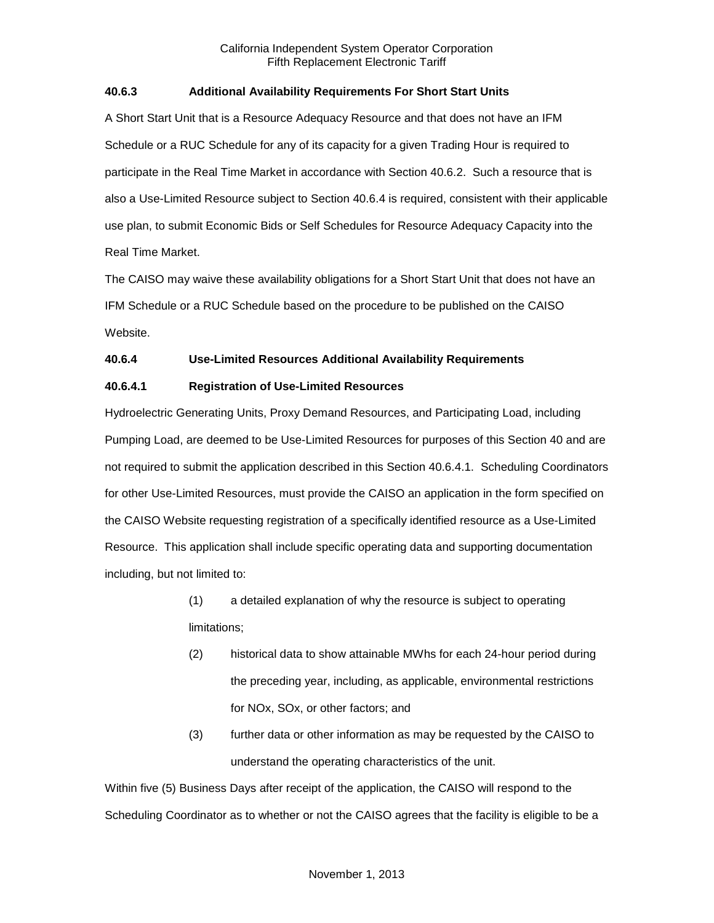### **40.6.3 Additional Availability Requirements For Short Start Units**

A Short Start Unit that is a Resource Adequacy Resource and that does not have an IFM Schedule or a RUC Schedule for any of its capacity for a given Trading Hour is required to participate in the Real Time Market in accordance with Section 40.6.2. Such a resource that is also a Use-Limited Resource subject to Section 40.6.4 is required, consistent with their applicable use plan, to submit Economic Bids or Self Schedules for Resource Adequacy Capacity into the Real Time Market.

The CAISO may waive these availability obligations for a Short Start Unit that does not have an IFM Schedule or a RUC Schedule based on the procedure to be published on the CAISO Website.

### **40.6.4 Use-Limited Resources Additional Availability Requirements**

### **40.6.4.1 Registration of Use-Limited Resources**

Hydroelectric Generating Units, Proxy Demand Resources, and Participating Load, including Pumping Load, are deemed to be Use-Limited Resources for purposes of this Section 40 and are not required to submit the application described in this Section 40.6.4.1. Scheduling Coordinators for other Use-Limited Resources, must provide the CAISO an application in the form specified on the CAISO Website requesting registration of a specifically identified resource as a Use-Limited Resource. This application shall include specific operating data and supporting documentation including, but not limited to:

- (1) a detailed explanation of why the resource is subject to operating limitations;
- (2) historical data to show attainable MWhs for each 24-hour period during the preceding year, including, as applicable, environmental restrictions for NOx, SOx, or other factors; and
- (3) further data or other information as may be requested by the CAISO to understand the operating characteristics of the unit.

Within five (5) Business Days after receipt of the application, the CAISO will respond to the Scheduling Coordinator as to whether or not the CAISO agrees that the facility is eligible to be a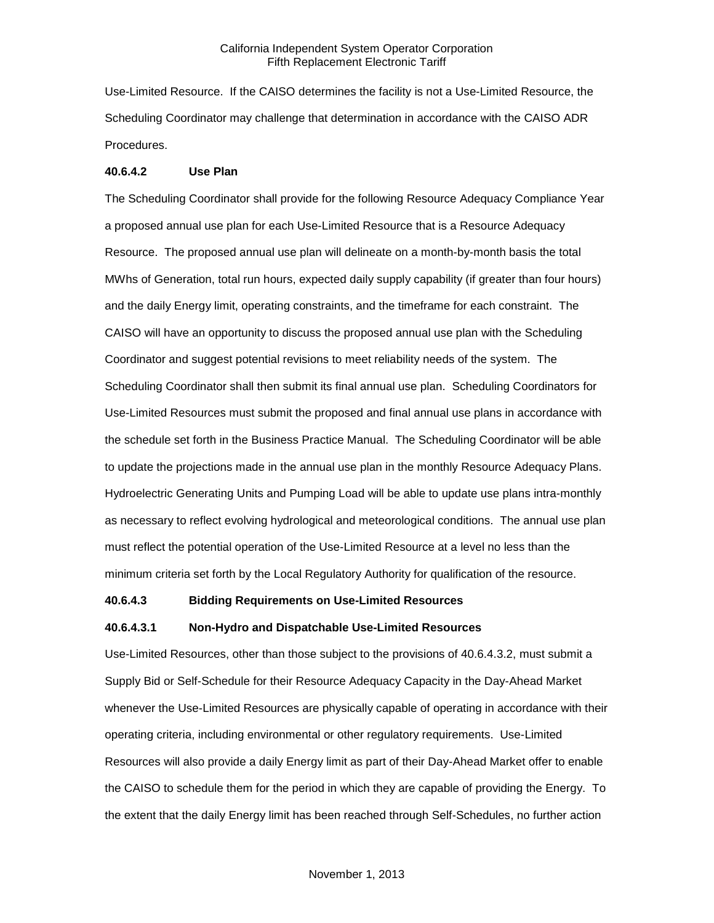Use-Limited Resource. If the CAISO determines the facility is not a Use-Limited Resource, the Scheduling Coordinator may challenge that determination in accordance with the CAISO ADR Procedures.

#### **40.6.4.2 Use Plan**

The Scheduling Coordinator shall provide for the following Resource Adequacy Compliance Year a proposed annual use plan for each Use-Limited Resource that is a Resource Adequacy Resource. The proposed annual use plan will delineate on a month-by-month basis the total MWhs of Generation, total run hours, expected daily supply capability (if greater than four hours) and the daily Energy limit, operating constraints, and the timeframe for each constraint. The CAISO will have an opportunity to discuss the proposed annual use plan with the Scheduling Coordinator and suggest potential revisions to meet reliability needs of the system. The Scheduling Coordinator shall then submit its final annual use plan. Scheduling Coordinators for Use-Limited Resources must submit the proposed and final annual use plans in accordance with the schedule set forth in the Business Practice Manual. The Scheduling Coordinator will be able to update the projections made in the annual use plan in the monthly Resource Adequacy Plans. Hydroelectric Generating Units and Pumping Load will be able to update use plans intra-monthly as necessary to reflect evolving hydrological and meteorological conditions. The annual use plan must reflect the potential operation of the Use-Limited Resource at a level no less than the minimum criteria set forth by the Local Regulatory Authority for qualification of the resource.

#### **40.6.4.3 Bidding Requirements on Use-Limited Resources**

#### **40.6.4.3.1 Non-Hydro and Dispatchable Use-Limited Resources**

Use-Limited Resources, other than those subject to the provisions of 40.6.4.3.2, must submit a Supply Bid or Self-Schedule for their Resource Adequacy Capacity in the Day-Ahead Market whenever the Use-Limited Resources are physically capable of operating in accordance with their operating criteria, including environmental or other regulatory requirements. Use-Limited Resources will also provide a daily Energy limit as part of their Day-Ahead Market offer to enable the CAISO to schedule them for the period in which they are capable of providing the Energy. To the extent that the daily Energy limit has been reached through Self-Schedules, no further action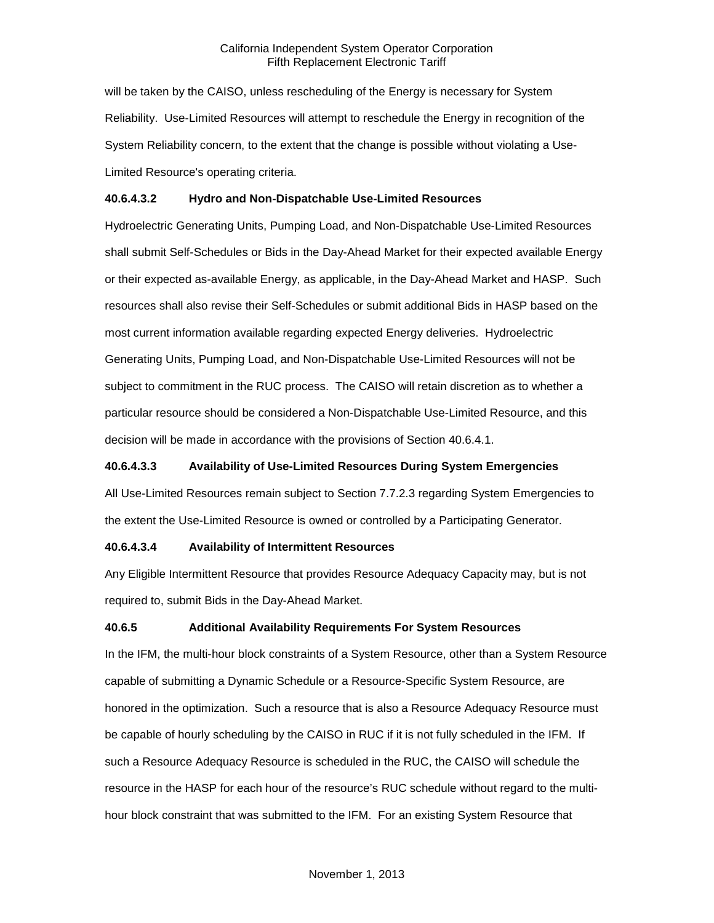will be taken by the CAISO, unless rescheduling of the Energy is necessary for System Reliability. Use-Limited Resources will attempt to reschedule the Energy in recognition of the System Reliability concern, to the extent that the change is possible without violating a Use-Limited Resource's operating criteria.

### **40.6.4.3.2 Hydro and Non-Dispatchable Use-Limited Resources**

Hydroelectric Generating Units, Pumping Load, and Non-Dispatchable Use-Limited Resources shall submit Self-Schedules or Bids in the Day-Ahead Market for their expected available Energy or their expected as-available Energy, as applicable, in the Day-Ahead Market and HASP. Such resources shall also revise their Self-Schedules or submit additional Bids in HASP based on the most current information available regarding expected Energy deliveries. Hydroelectric Generating Units, Pumping Load, and Non-Dispatchable Use-Limited Resources will not be subject to commitment in the RUC process. The CAISO will retain discretion as to whether a particular resource should be considered a Non-Dispatchable Use-Limited Resource, and this decision will be made in accordance with the provisions of Section 40.6.4.1.

#### **40.6.4.3.3 Availability of Use-Limited Resources During System Emergencies**

All Use-Limited Resources remain subject to Section 7.7.2.3 regarding System Emergencies to the extent the Use-Limited Resource is owned or controlled by a Participating Generator.

#### **40.6.4.3.4 Availability of Intermittent Resources**

Any Eligible Intermittent Resource that provides Resource Adequacy Capacity may, but is not required to, submit Bids in the Day-Ahead Market.

#### **40.6.5 Additional Availability Requirements For System Resources**

In the IFM, the multi-hour block constraints of a System Resource, other than a System Resource capable of submitting a Dynamic Schedule or a Resource-Specific System Resource, are honored in the optimization. Such a resource that is also a Resource Adequacy Resource must be capable of hourly scheduling by the CAISO in RUC if it is not fully scheduled in the IFM. If such a Resource Adequacy Resource is scheduled in the RUC, the CAISO will schedule the resource in the HASP for each hour of the resource's RUC schedule without regard to the multihour block constraint that was submitted to the IFM. For an existing System Resource that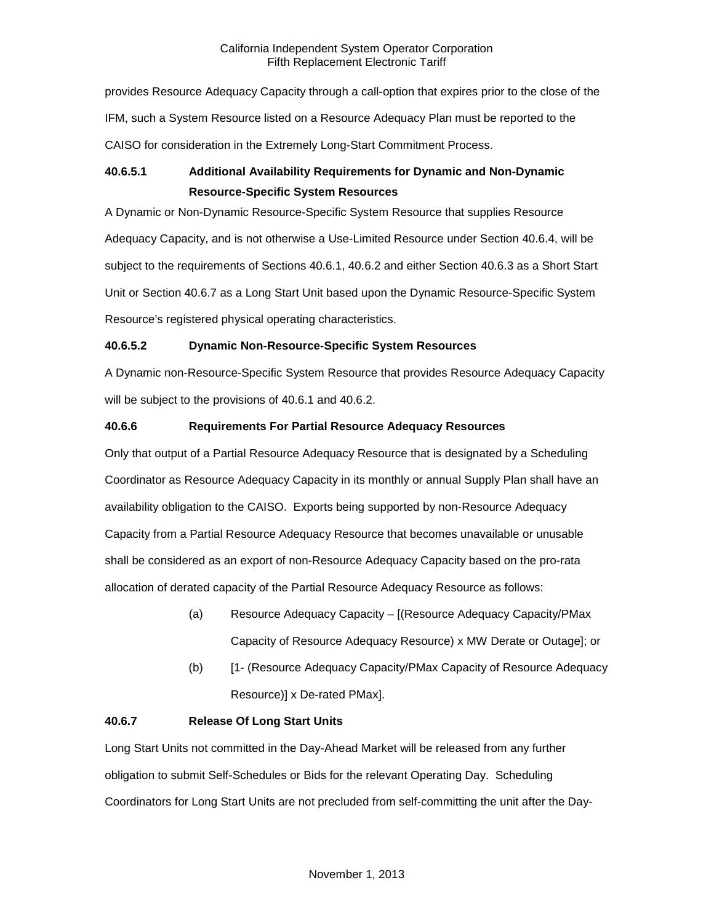provides Resource Adequacy Capacity through a call-option that expires prior to the close of the IFM, such a System Resource listed on a Resource Adequacy Plan must be reported to the CAISO for consideration in the Extremely Long-Start Commitment Process.

# **40.6.5.1 Additional Availability Requirements for Dynamic and Non-Dynamic Resource-Specific System Resources**

A Dynamic or Non-Dynamic Resource-Specific System Resource that supplies Resource Adequacy Capacity, and is not otherwise a Use-Limited Resource under Section 40.6.4, will be subject to the requirements of Sections 40.6.1, 40.6.2 and either Section 40.6.3 as a Short Start Unit or Section 40.6.7 as a Long Start Unit based upon the Dynamic Resource-Specific System Resource's registered physical operating characteristics.

# **40.6.5.2 Dynamic Non-Resource-Specific System Resources**

A Dynamic non-Resource-Specific System Resource that provides Resource Adequacy Capacity will be subject to the provisions of 40.6.1 and 40.6.2.

# **40.6.6 Requirements For Partial Resource Adequacy Resources**

Only that output of a Partial Resource Adequacy Resource that is designated by a Scheduling Coordinator as Resource Adequacy Capacity in its monthly or annual Supply Plan shall have an availability obligation to the CAISO. Exports being supported by non-Resource Adequacy Capacity from a Partial Resource Adequacy Resource that becomes unavailable or unusable shall be considered as an export of non-Resource Adequacy Capacity based on the pro-rata allocation of derated capacity of the Partial Resource Adequacy Resource as follows:

- (a) Resource Adequacy Capacity [(Resource Adequacy Capacity/PMax Capacity of Resource Adequacy Resource) x MW Derate or Outage]; or
- (b) [1- (Resource Adequacy Capacity/PMax Capacity of Resource Adequacy Resource)] x De-rated PMax].

# **40.6.7 Release Of Long Start Units**

Long Start Units not committed in the Day-Ahead Market will be released from any further obligation to submit Self-Schedules or Bids for the relevant Operating Day. Scheduling Coordinators for Long Start Units are not precluded from self-committing the unit after the Day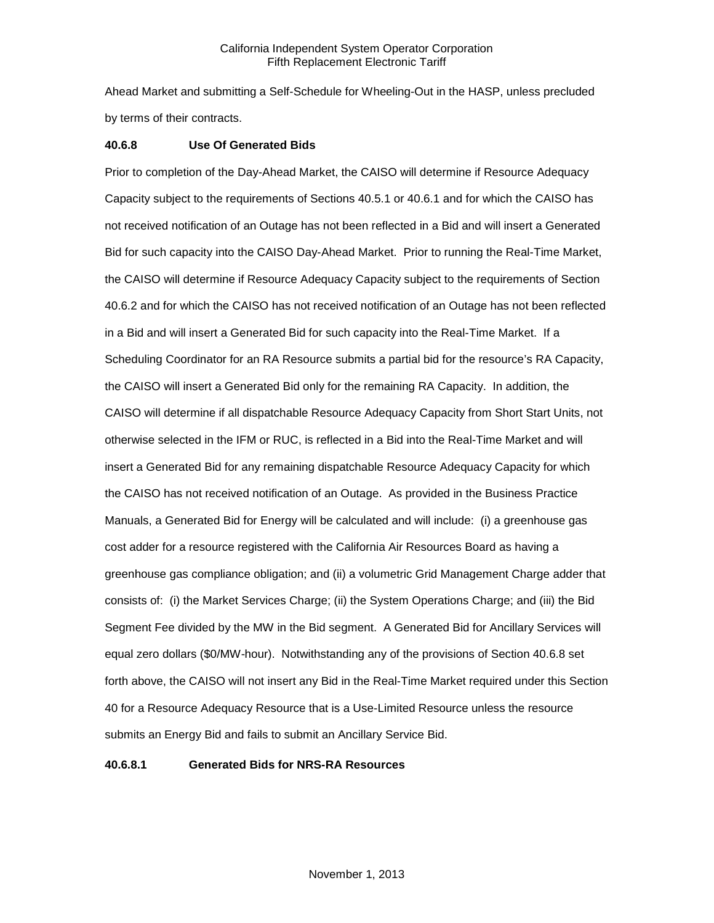Ahead Market and submitting a Self-Schedule for Wheeling-Out in the HASP, unless precluded by terms of their contracts.

### **40.6.8 Use Of Generated Bids**

Prior to completion of the Day-Ahead Market, the CAISO will determine if Resource Adequacy Capacity subject to the requirements of Sections 40.5.1 or 40.6.1 and for which the CAISO has not received notification of an Outage has not been reflected in a Bid and will insert a Generated Bid for such capacity into the CAISO Day-Ahead Market. Prior to running the Real-Time Market, the CAISO will determine if Resource Adequacy Capacity subject to the requirements of Section 40.6.2 and for which the CAISO has not received notification of an Outage has not been reflected in a Bid and will insert a Generated Bid for such capacity into the Real-Time Market. If a Scheduling Coordinator for an RA Resource submits a partial bid for the resource's RA Capacity, the CAISO will insert a Generated Bid only for the remaining RA Capacity. In addition, the CAISO will determine if all dispatchable Resource Adequacy Capacity from Short Start Units, not otherwise selected in the IFM or RUC, is reflected in a Bid into the Real-Time Market and will insert a Generated Bid for any remaining dispatchable Resource Adequacy Capacity for which the CAISO has not received notification of an Outage. As provided in the Business Practice Manuals, a Generated Bid for Energy will be calculated and will include: (i) a greenhouse gas cost adder for a resource registered with the California Air Resources Board as having a greenhouse gas compliance obligation; and (ii) a volumetric Grid Management Charge adder that consists of: (i) the Market Services Charge; (ii) the System Operations Charge; and (iii) the Bid Segment Fee divided by the MW in the Bid segment. A Generated Bid for Ancillary Services will equal zero dollars (\$0/MW-hour). Notwithstanding any of the provisions of Section 40.6.8 set forth above, the CAISO will not insert any Bid in the Real-Time Market required under this Section 40 for a Resource Adequacy Resource that is a Use-Limited Resource unless the resource submits an Energy Bid and fails to submit an Ancillary Service Bid.

### **40.6.8.1 Generated Bids for NRS-RA Resources**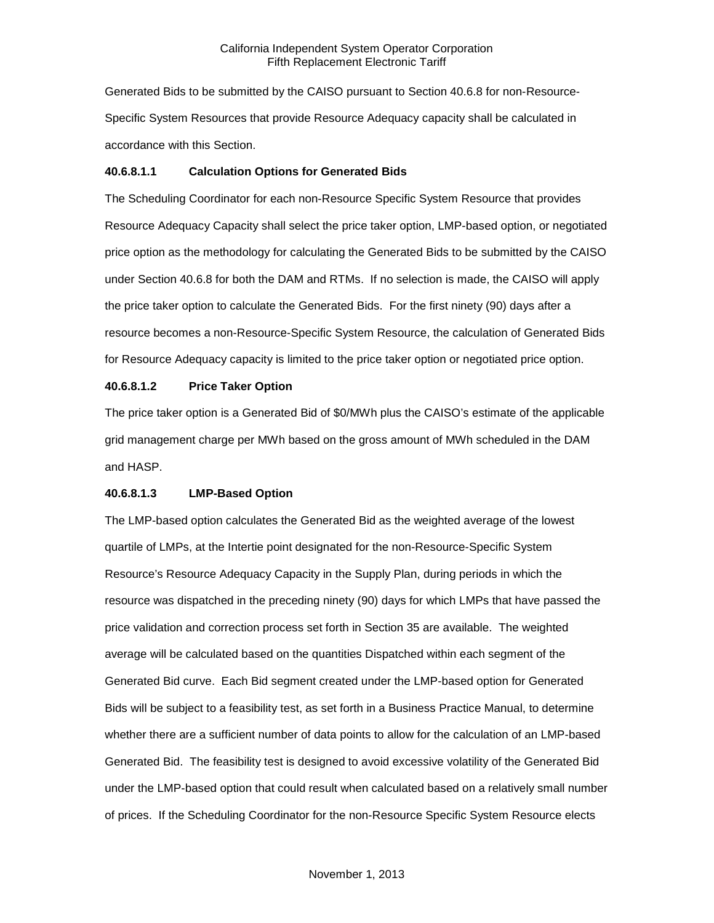Generated Bids to be submitted by the CAISO pursuant to Section 40.6.8 for non-Resource-Specific System Resources that provide Resource Adequacy capacity shall be calculated in accordance with this Section.

#### **40.6.8.1.1 Calculation Options for Generated Bids**

The Scheduling Coordinator for each non-Resource Specific System Resource that provides Resource Adequacy Capacity shall select the price taker option, LMP-based option, or negotiated price option as the methodology for calculating the Generated Bids to be submitted by the CAISO under Section 40.6.8 for both the DAM and RTMs. If no selection is made, the CAISO will apply the price taker option to calculate the Generated Bids. For the first ninety (90) days after a resource becomes a non-Resource-Specific System Resource, the calculation of Generated Bids for Resource Adequacy capacity is limited to the price taker option or negotiated price option.

#### **40.6.8.1.2 Price Taker Option**

The price taker option is a Generated Bid of \$0/MWh plus the CAISO's estimate of the applicable grid management charge per MWh based on the gross amount of MWh scheduled in the DAM and HASP.

### **40.6.8.1.3 LMP-Based Option**

The LMP-based option calculates the Generated Bid as the weighted average of the lowest quartile of LMPs, at the Intertie point designated for the non-Resource-Specific System Resource's Resource Adequacy Capacity in the Supply Plan, during periods in which the resource was dispatched in the preceding ninety (90) days for which LMPs that have passed the price validation and correction process set forth in Section 35 are available. The weighted average will be calculated based on the quantities Dispatched within each segment of the Generated Bid curve. Each Bid segment created under the LMP-based option for Generated Bids will be subject to a feasibility test, as set forth in a Business Practice Manual, to determine whether there are a sufficient number of data points to allow for the calculation of an LMP-based Generated Bid. The feasibility test is designed to avoid excessive volatility of the Generated Bid under the LMP-based option that could result when calculated based on a relatively small number of prices. If the Scheduling Coordinator for the non-Resource Specific System Resource elects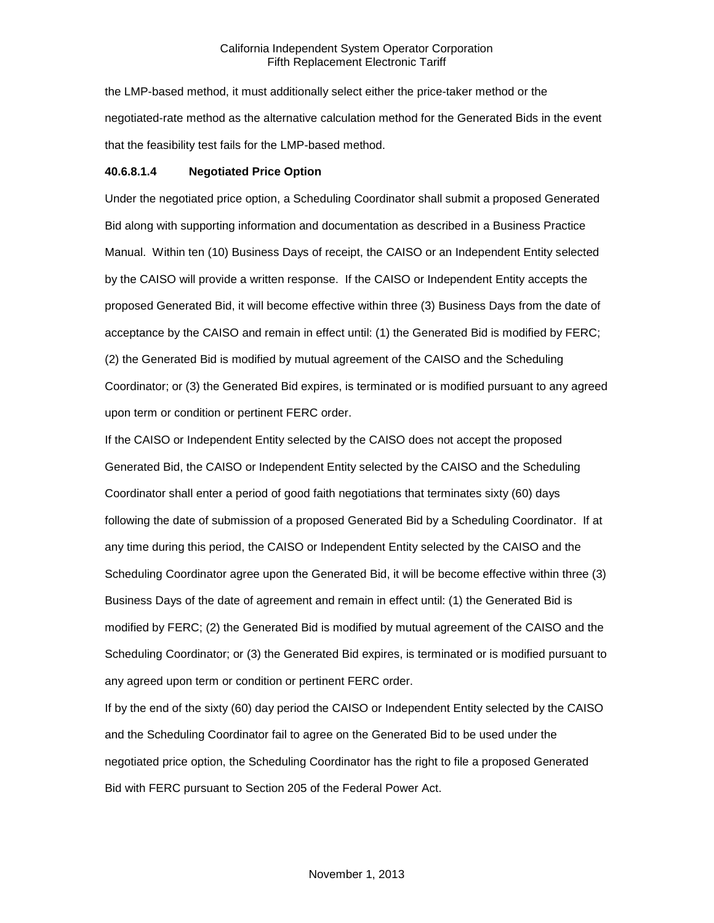the LMP-based method, it must additionally select either the price-taker method or the negotiated-rate method as the alternative calculation method for the Generated Bids in the event that the feasibility test fails for the LMP-based method.

#### **40.6.8.1.4 Negotiated Price Option**

Under the negotiated price option, a Scheduling Coordinator shall submit a proposed Generated Bid along with supporting information and documentation as described in a Business Practice Manual. Within ten (10) Business Days of receipt, the CAISO or an Independent Entity selected by the CAISO will provide a written response. If the CAISO or Independent Entity accepts the proposed Generated Bid, it will become effective within three (3) Business Days from the date of acceptance by the CAISO and remain in effect until: (1) the Generated Bid is modified by FERC; (2) the Generated Bid is modified by mutual agreement of the CAISO and the Scheduling Coordinator; or (3) the Generated Bid expires, is terminated or is modified pursuant to any agreed upon term or condition or pertinent FERC order.

If the CAISO or Independent Entity selected by the CAISO does not accept the proposed Generated Bid, the CAISO or Independent Entity selected by the CAISO and the Scheduling Coordinator shall enter a period of good faith negotiations that terminates sixty (60) days following the date of submission of a proposed Generated Bid by a Scheduling Coordinator. If at any time during this period, the CAISO or Independent Entity selected by the CAISO and the Scheduling Coordinator agree upon the Generated Bid, it will be become effective within three (3) Business Days of the date of agreement and remain in effect until: (1) the Generated Bid is modified by FERC; (2) the Generated Bid is modified by mutual agreement of the CAISO and the Scheduling Coordinator; or (3) the Generated Bid expires, is terminated or is modified pursuant to any agreed upon term or condition or pertinent FERC order.

If by the end of the sixty (60) day period the CAISO or Independent Entity selected by the CAISO and the Scheduling Coordinator fail to agree on the Generated Bid to be used under the negotiated price option, the Scheduling Coordinator has the right to file a proposed Generated Bid with FERC pursuant to Section 205 of the Federal Power Act.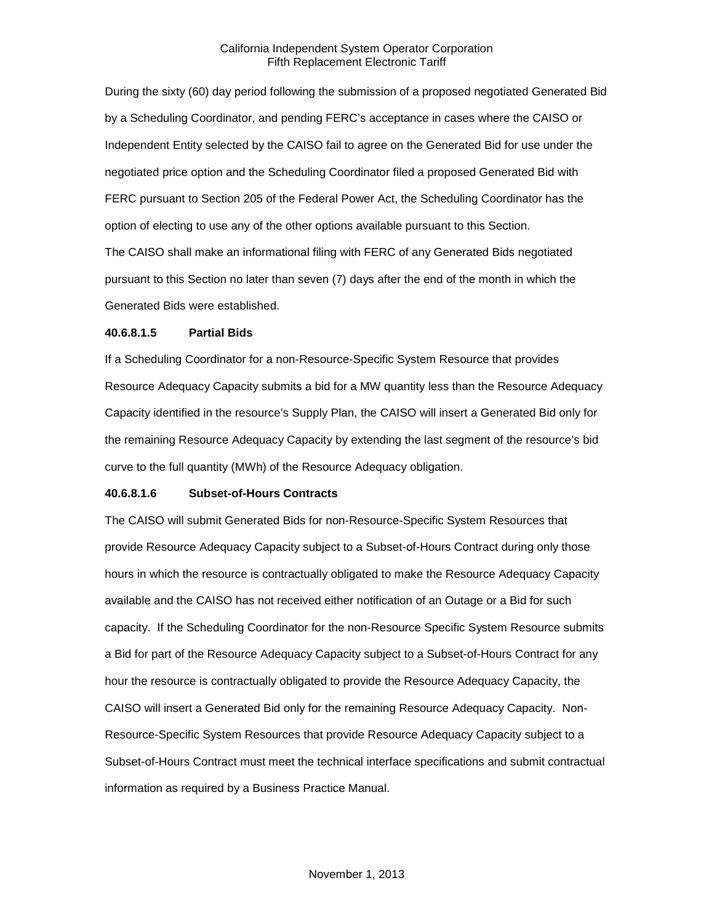During the sixty (60) day period following the submission of a proposed negotiated Generated Bid by a Scheduling Coordinator, and pending FERC's acceptance in cases where the CAISO or Independent Entity selected by the CAISO fail to agree on the Generated Bid for use under the negotiated price option and the Scheduling Coordinator filed a proposed Generated Bid with FERC pursuant to Section 205 of the Federal Power Act, the Scheduling Coordinator has the option of electing to use any of the other options available pursuant to this Section. The CAISO shall make an informational filing with FERC of any Generated Bids negotiated pursuant to this Section no later than seven (7) days after the end of the month in which the Generated Bids were established.

#### **40.6.8.1.5 Partial Bids**

If a Scheduling Coordinator for a non-Resource-Specific System Resource that provides Resource Adequacy Capacity submits a bid for a MW quantity less than the Resource Adequacy Capacity identified in the resource's Supply Plan, the CAISO will insert a Generated Bid only for the remaining Resource Adequacy Capacity by extending the last segment of the resource's bid curve to the full quantity (MWh) of the Resource Adequacy obligation.

### **40.6.8.1.6 Subset-of-Hours Contracts**

The CAISO will submit Generated Bids for non-Resource-Specific System Resources that provide Resource Adequacy Capacity subject to a Subset-of-Hours Contract during only those hours in which the resource is contractually obligated to make the Resource Adequacy Capacity available and the CAISO has not received either notification of an Outage or a Bid for such capacity. If the Scheduling Coordinator for the non-Resource Specific System Resource submits a Bid for part of the Resource Adequacy Capacity subject to a Subset-of-Hours Contract for any hour the resource is contractually obligated to provide the Resource Adequacy Capacity, the CAISO will insert a Generated Bid only for the remaining Resource Adequacy Capacity. Non-Resource-Specific System Resources that provide Resource Adequacy Capacity subject to a Subset-of-Hours Contract must meet the technical interface specifications and submit contractual information as required by a Business Practice Manual.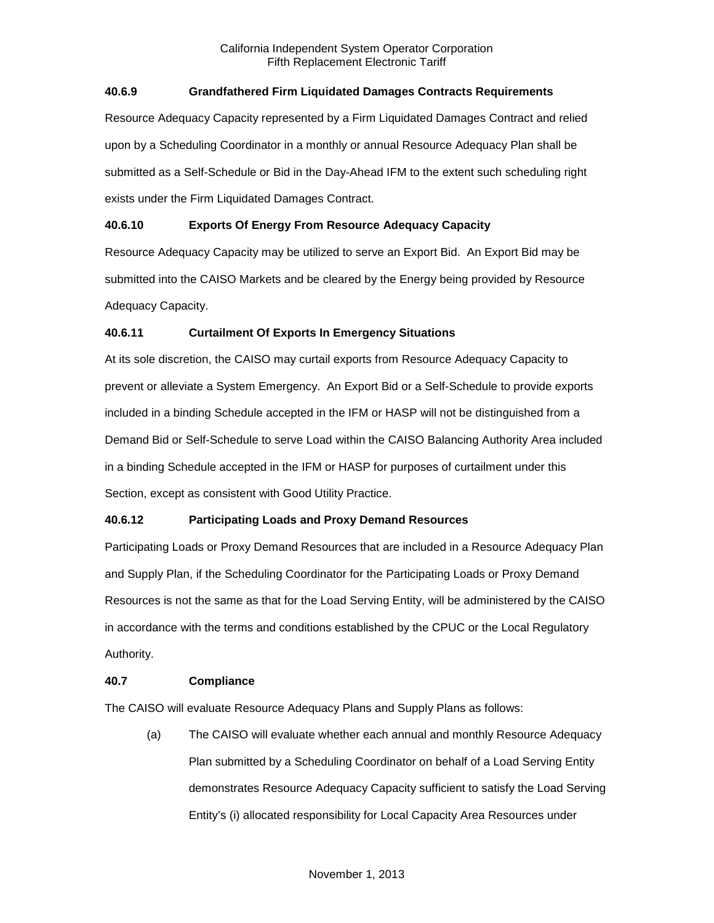### **40.6.9 Grandfathered Firm Liquidated Damages Contracts Requirements**

Resource Adequacy Capacity represented by a Firm Liquidated Damages Contract and relied upon by a Scheduling Coordinator in a monthly or annual Resource Adequacy Plan shall be submitted as a Self-Schedule or Bid in the Day-Ahead IFM to the extent such scheduling right exists under the Firm Liquidated Damages Contract.

### **40.6.10 Exports Of Energy From Resource Adequacy Capacity**

Resource Adequacy Capacity may be utilized to serve an Export Bid. An Export Bid may be submitted into the CAISO Markets and be cleared by the Energy being provided by Resource Adequacy Capacity.

### **40.6.11 Curtailment Of Exports In Emergency Situations**

At its sole discretion, the CAISO may curtail exports from Resource Adequacy Capacity to prevent or alleviate a System Emergency. An Export Bid or a Self-Schedule to provide exports included in a binding Schedule accepted in the IFM or HASP will not be distinguished from a Demand Bid or Self-Schedule to serve Load within the CAISO Balancing Authority Area included in a binding Schedule accepted in the IFM or HASP for purposes of curtailment under this Section, except as consistent with Good Utility Practice.

# **40.6.12 Participating Loads and Proxy Demand Resources**

Participating Loads or Proxy Demand Resources that are included in a Resource Adequacy Plan and Supply Plan, if the Scheduling Coordinator for the Participating Loads or Proxy Demand Resources is not the same as that for the Load Serving Entity, will be administered by the CAISO in accordance with the terms and conditions established by the CPUC or the Local Regulatory Authority.

### **40.7 Compliance**

The CAISO will evaluate Resource Adequacy Plans and Supply Plans as follows:

(a) The CAISO will evaluate whether each annual and monthly Resource Adequacy Plan submitted by a Scheduling Coordinator on behalf of a Load Serving Entity demonstrates Resource Adequacy Capacity sufficient to satisfy the Load Serving Entity's (i) allocated responsibility for Local Capacity Area Resources under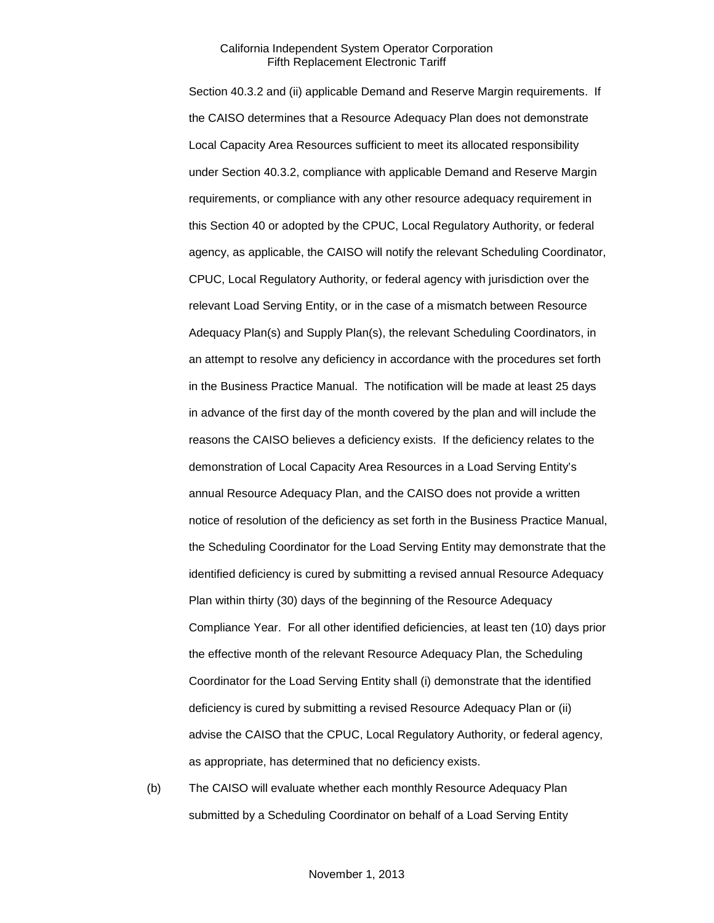Section 40.3.2 and (ii) applicable Demand and Reserve Margin requirements. If the CAISO determines that a Resource Adequacy Plan does not demonstrate Local Capacity Area Resources sufficient to meet its allocated responsibility under Section 40.3.2, compliance with applicable Demand and Reserve Margin requirements, or compliance with any other resource adequacy requirement in this Section 40 or adopted by the CPUC, Local Regulatory Authority, or federal agency, as applicable, the CAISO will notify the relevant Scheduling Coordinator, CPUC, Local Regulatory Authority, or federal agency with jurisdiction over the relevant Load Serving Entity, or in the case of a mismatch between Resource Adequacy Plan(s) and Supply Plan(s), the relevant Scheduling Coordinators, in an attempt to resolve any deficiency in accordance with the procedures set forth in the Business Practice Manual. The notification will be made at least 25 days in advance of the first day of the month covered by the plan and will include the reasons the CAISO believes a deficiency exists. If the deficiency relates to the demonstration of Local Capacity Area Resources in a Load Serving Entity's annual Resource Adequacy Plan, and the CAISO does not provide a written notice of resolution of the deficiency as set forth in the Business Practice Manual, the Scheduling Coordinator for the Load Serving Entity may demonstrate that the identified deficiency is cured by submitting a revised annual Resource Adequacy Plan within thirty (30) days of the beginning of the Resource Adequacy Compliance Year. For all other identified deficiencies, at least ten (10) days prior the effective month of the relevant Resource Adequacy Plan, the Scheduling Coordinator for the Load Serving Entity shall (i) demonstrate that the identified deficiency is cured by submitting a revised Resource Adequacy Plan or (ii) advise the CAISO that the CPUC, Local Regulatory Authority, or federal agency, as appropriate, has determined that no deficiency exists.

(b) The CAISO will evaluate whether each monthly Resource Adequacy Plan submitted by a Scheduling Coordinator on behalf of a Load Serving Entity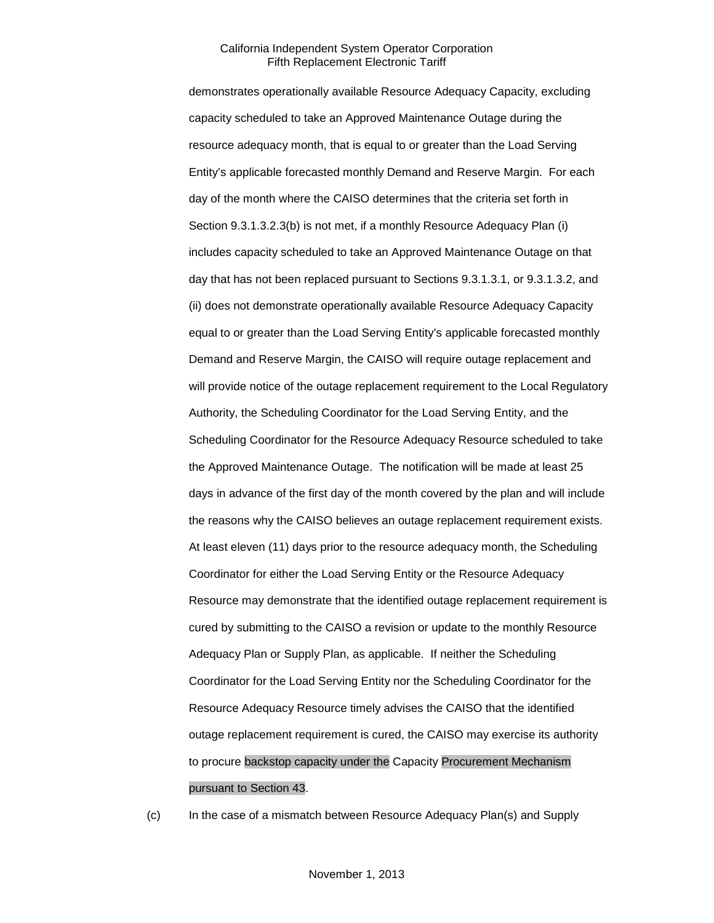demonstrates operationally available Resource Adequacy Capacity, excluding capacity scheduled to take an Approved Maintenance Outage during the resource adequacy month, that is equal to or greater than the Load Serving Entity's applicable forecasted monthly Demand and Reserve Margin. For each day of the month where the CAISO determines that the criteria set forth in Section 9.3.1.3.2.3(b) is not met, if a monthly Resource Adequacy Plan (i) includes capacity scheduled to take an Approved Maintenance Outage on that day that has not been replaced pursuant to Sections 9.3.1.3.1, or 9.3.1.3.2, and (ii) does not demonstrate operationally available Resource Adequacy Capacity equal to or greater than the Load Serving Entity's applicable forecasted monthly Demand and Reserve Margin, the CAISO will require outage replacement and will provide notice of the outage replacement requirement to the Local Regulatory Authority, the Scheduling Coordinator for the Load Serving Entity, and the Scheduling Coordinator for the Resource Adequacy Resource scheduled to take the Approved Maintenance Outage. The notification will be made at least 25 days in advance of the first day of the month covered by the plan and will include the reasons why the CAISO believes an outage replacement requirement exists. At least eleven (11) days prior to the resource adequacy month, the Scheduling Coordinator for either the Load Serving Entity or the Resource Adequacy Resource may demonstrate that the identified outage replacement requirement is cured by submitting to the CAISO a revision or update to the monthly Resource Adequacy Plan or Supply Plan, as applicable. If neither the Scheduling Coordinator for the Load Serving Entity nor the Scheduling Coordinator for the Resource Adequacy Resource timely advises the CAISO that the identified outage replacement requirement is cured, the CAISO may exercise its authority to procure backstop capacity under the Capacity Procurement Mechanism pursuant to Section 43.

(c) In the case of a mismatch between Resource Adequacy Plan(s) and Supply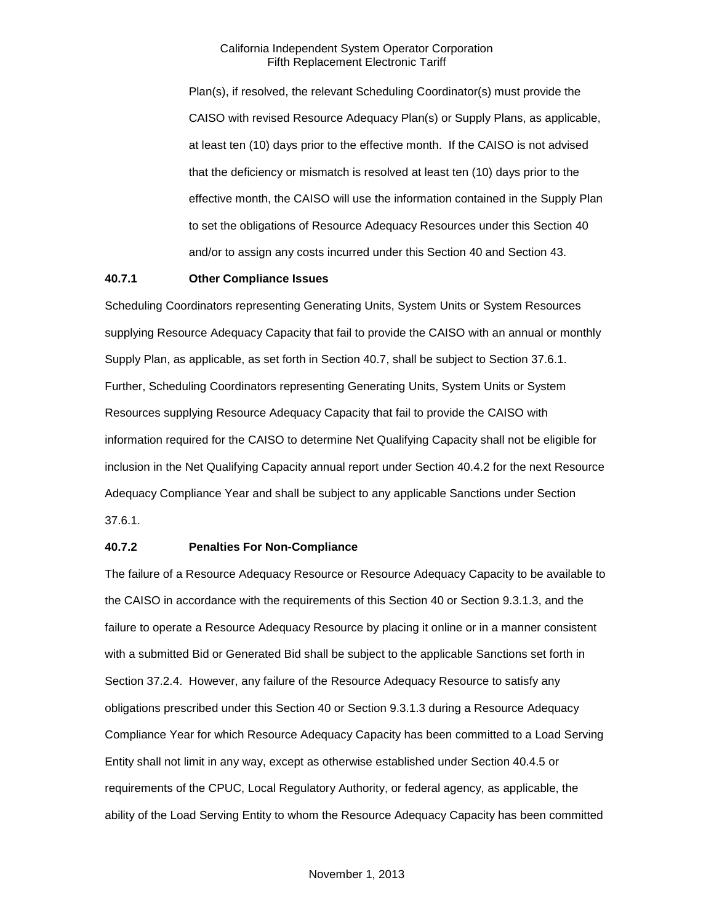Plan(s), if resolved, the relevant Scheduling Coordinator(s) must provide the CAISO with revised Resource Adequacy Plan(s) or Supply Plans, as applicable, at least ten (10) days prior to the effective month. If the CAISO is not advised that the deficiency or mismatch is resolved at least ten (10) days prior to the effective month, the CAISO will use the information contained in the Supply Plan to set the obligations of Resource Adequacy Resources under this Section 40 and/or to assign any costs incurred under this Section 40 and Section 43.

### **40.7.1 Other Compliance Issues**

Scheduling Coordinators representing Generating Units, System Units or System Resources supplying Resource Adequacy Capacity that fail to provide the CAISO with an annual or monthly Supply Plan, as applicable, as set forth in Section 40.7, shall be subject to Section 37.6.1. Further, Scheduling Coordinators representing Generating Units, System Units or System Resources supplying Resource Adequacy Capacity that fail to provide the CAISO with information required for the CAISO to determine Net Qualifying Capacity shall not be eligible for inclusion in the Net Qualifying Capacity annual report under Section 40.4.2 for the next Resource Adequacy Compliance Year and shall be subject to any applicable Sanctions under Section 37.6.1.

### **40.7.2 Penalties For Non-Compliance**

The failure of a Resource Adequacy Resource or Resource Adequacy Capacity to be available to the CAISO in accordance with the requirements of this Section 40 or Section 9.3.1.3, and the failure to operate a Resource Adequacy Resource by placing it online or in a manner consistent with a submitted Bid or Generated Bid shall be subject to the applicable Sanctions set forth in Section 37.2.4. However, any failure of the Resource Adequacy Resource to satisfy any obligations prescribed under this Section 40 or Section 9.3.1.3 during a Resource Adequacy Compliance Year for which Resource Adequacy Capacity has been committed to a Load Serving Entity shall not limit in any way, except as otherwise established under Section 40.4.5 or requirements of the CPUC, Local Regulatory Authority, or federal agency, as applicable, the ability of the Load Serving Entity to whom the Resource Adequacy Capacity has been committed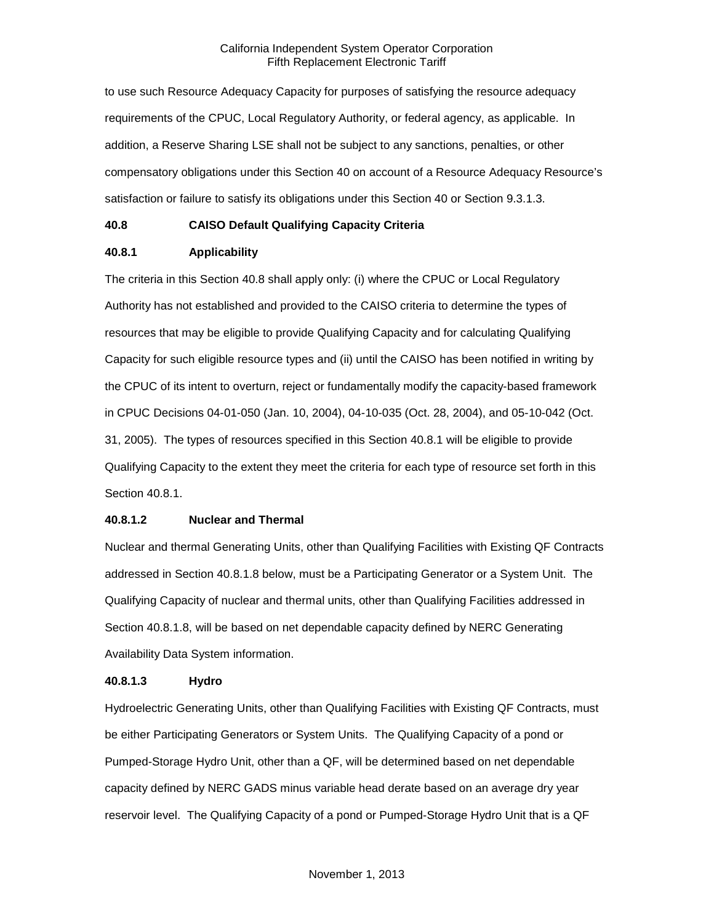to use such Resource Adequacy Capacity for purposes of satisfying the resource adequacy requirements of the CPUC, Local Regulatory Authority, or federal agency, as applicable. In addition, a Reserve Sharing LSE shall not be subject to any sanctions, penalties, or other compensatory obligations under this Section 40 on account of a Resource Adequacy Resource's satisfaction or failure to satisfy its obligations under this Section 40 or Section 9.3.1.3.

### **40.8 CAISO Default Qualifying Capacity Criteria**

### **40.8.1 Applicability**

The criteria in this Section 40.8 shall apply only: (i) where the CPUC or Local Regulatory Authority has not established and provided to the CAISO criteria to determine the types of resources that may be eligible to provide Qualifying Capacity and for calculating Qualifying Capacity for such eligible resource types and (ii) until the CAISO has been notified in writing by the CPUC of its intent to overturn, reject or fundamentally modify the capacity-based framework in CPUC Decisions 04-01-050 (Jan. 10, 2004), 04-10-035 (Oct. 28, 2004), and 05-10-042 (Oct. 31, 2005). The types of resources specified in this Section 40.8.1 will be eligible to provide Qualifying Capacity to the extent they meet the criteria for each type of resource set forth in this Section 40.8.1.

### **40.8.1.2 Nuclear and Thermal**

Nuclear and thermal Generating Units, other than Qualifying Facilities with Existing QF Contracts addressed in Section 40.8.1.8 below, must be a Participating Generator or a System Unit. The Qualifying Capacity of nuclear and thermal units, other than Qualifying Facilities addressed in Section 40.8.1.8, will be based on net dependable capacity defined by NERC Generating Availability Data System information.

### **40.8.1.3 Hydro**

Hydroelectric Generating Units, other than Qualifying Facilities with Existing QF Contracts, must be either Participating Generators or System Units. The Qualifying Capacity of a pond or Pumped-Storage Hydro Unit, other than a QF, will be determined based on net dependable capacity defined by NERC GADS minus variable head derate based on an average dry year reservoir level. The Qualifying Capacity of a pond or Pumped-Storage Hydro Unit that is a QF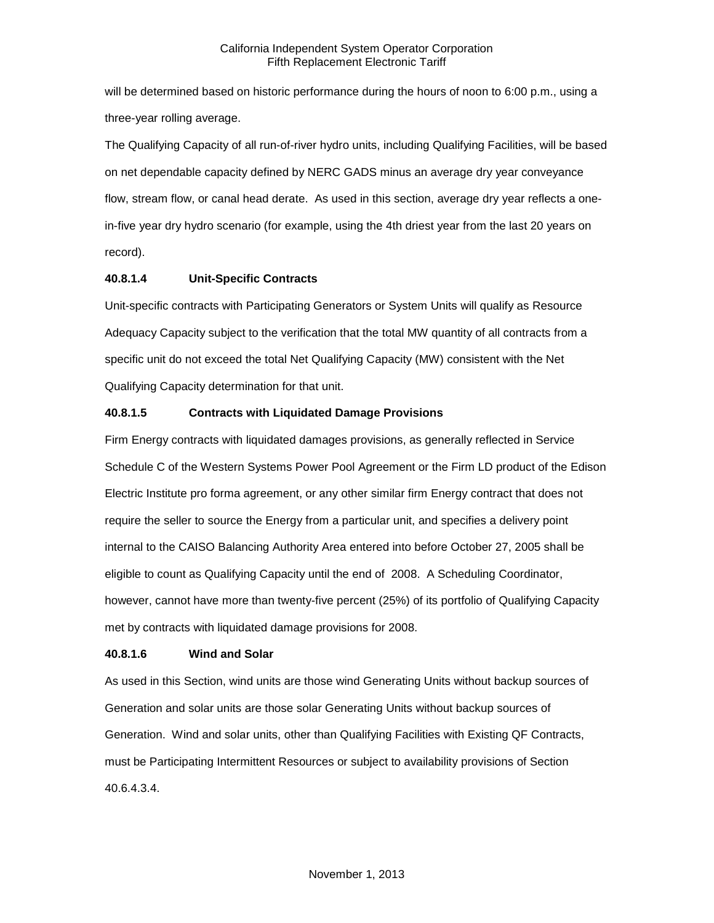will be determined based on historic performance during the hours of noon to 6:00 p.m., using a three-year rolling average.

The Qualifying Capacity of all run-of-river hydro units, including Qualifying Facilities, will be based on net dependable capacity defined by NERC GADS minus an average dry year conveyance flow, stream flow, or canal head derate. As used in this section, average dry year reflects a onein-five year dry hydro scenario (for example, using the 4th driest year from the last 20 years on record).

### **40.8.1.4 Unit-Specific Contracts**

Unit-specific contracts with Participating Generators or System Units will qualify as Resource Adequacy Capacity subject to the verification that the total MW quantity of all contracts from a specific unit do not exceed the total Net Qualifying Capacity (MW) consistent with the Net Qualifying Capacity determination for that unit.

### **40.8.1.5 Contracts with Liquidated Damage Provisions**

Firm Energy contracts with liquidated damages provisions, as generally reflected in Service Schedule C of the Western Systems Power Pool Agreement or the Firm LD product of the Edison Electric Institute pro forma agreement, or any other similar firm Energy contract that does not require the seller to source the Energy from a particular unit, and specifies a delivery point internal to the CAISO Balancing Authority Area entered into before October 27, 2005 shall be eligible to count as Qualifying Capacity until the end of 2008. A Scheduling Coordinator, however, cannot have more than twenty-five percent (25%) of its portfolio of Qualifying Capacity met by contracts with liquidated damage provisions for 2008.

### **40.8.1.6 Wind and Solar**

As used in this Section, wind units are those wind Generating Units without backup sources of Generation and solar units are those solar Generating Units without backup sources of Generation. Wind and solar units, other than Qualifying Facilities with Existing QF Contracts, must be Participating Intermittent Resources or subject to availability provisions of Section 40.6.4.3.4.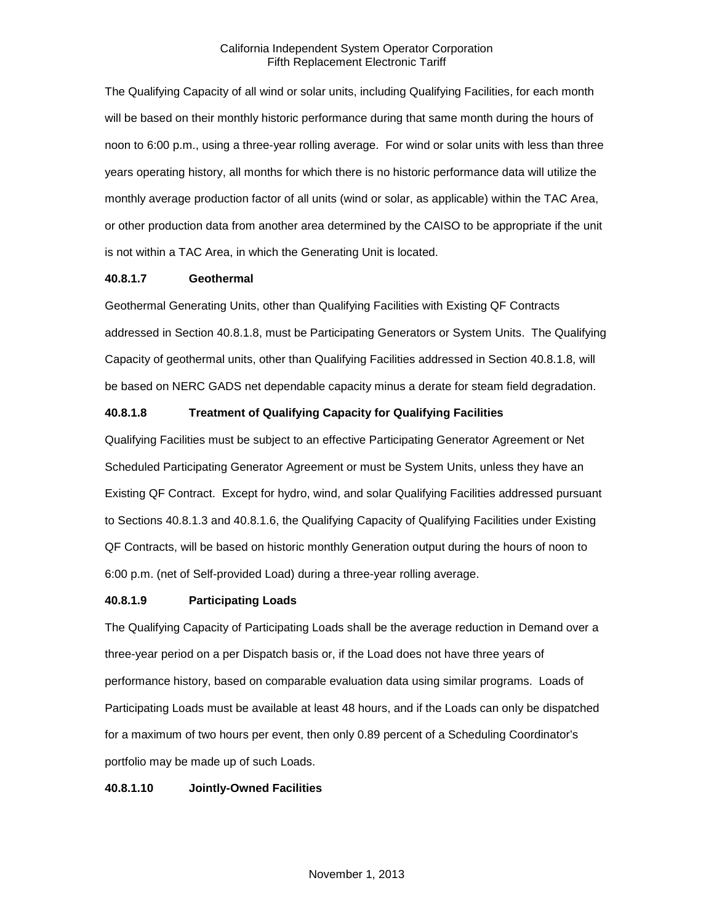The Qualifying Capacity of all wind or solar units, including Qualifying Facilities, for each month will be based on their monthly historic performance during that same month during the hours of noon to 6:00 p.m., using a three-year rolling average. For wind or solar units with less than three years operating history, all months for which there is no historic performance data will utilize the monthly average production factor of all units (wind or solar, as applicable) within the TAC Area, or other production data from another area determined by the CAISO to be appropriate if the unit is not within a TAC Area, in which the Generating Unit is located.

### **40.8.1.7 Geothermal**

Geothermal Generating Units, other than Qualifying Facilities with Existing QF Contracts addressed in Section 40.8.1.8, must be Participating Generators or System Units. The Qualifying Capacity of geothermal units, other than Qualifying Facilities addressed in Section 40.8.1.8, will be based on NERC GADS net dependable capacity minus a derate for steam field degradation.

#### **40.8.1.8 Treatment of Qualifying Capacity for Qualifying Facilities**

Qualifying Facilities must be subject to an effective Participating Generator Agreement or Net Scheduled Participating Generator Agreement or must be System Units, unless they have an Existing QF Contract. Except for hydro, wind, and solar Qualifying Facilities addressed pursuant to Sections 40.8.1.3 and 40.8.1.6, the Qualifying Capacity of Qualifying Facilities under Existing QF Contracts, will be based on historic monthly Generation output during the hours of noon to 6:00 p.m. (net of Self-provided Load) during a three-year rolling average.

### **40.8.1.9 Participating Loads**

The Qualifying Capacity of Participating Loads shall be the average reduction in Demand over a three-year period on a per Dispatch basis or, if the Load does not have three years of performance history, based on comparable evaluation data using similar programs. Loads of Participating Loads must be available at least 48 hours, and if the Loads can only be dispatched for a maximum of two hours per event, then only 0.89 percent of a Scheduling Coordinator's portfolio may be made up of such Loads.

#### **40.8.1.10 Jointly-Owned Facilities**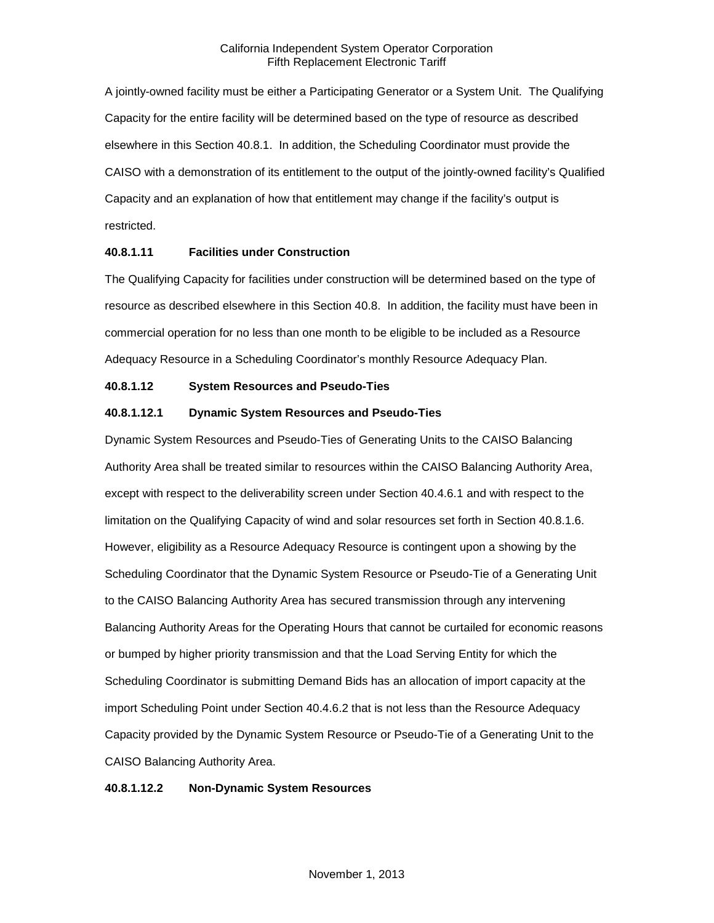A jointly-owned facility must be either a Participating Generator or a System Unit. The Qualifying Capacity for the entire facility will be determined based on the type of resource as described elsewhere in this Section 40.8.1. In addition, the Scheduling Coordinator must provide the CAISO with a demonstration of its entitlement to the output of the jointly-owned facility's Qualified Capacity and an explanation of how that entitlement may change if the facility's output is restricted.

### **40.8.1.11 Facilities under Construction**

The Qualifying Capacity for facilities under construction will be determined based on the type of resource as described elsewhere in this Section 40.8. In addition, the facility must have been in commercial operation for no less than one month to be eligible to be included as a Resource Adequacy Resource in a Scheduling Coordinator's monthly Resource Adequacy Plan.

### **40.8.1.12 System Resources and Pseudo-Ties**

# **40.8.1.12.1 Dynamic System Resources and Pseudo-Ties**

Dynamic System Resources and Pseudo-Ties of Generating Units to the CAISO Balancing Authority Area shall be treated similar to resources within the CAISO Balancing Authority Area, except with respect to the deliverability screen under Section 40.4.6.1 and with respect to the limitation on the Qualifying Capacity of wind and solar resources set forth in Section 40.8.1.6. However, eligibility as a Resource Adequacy Resource is contingent upon a showing by the Scheduling Coordinator that the Dynamic System Resource or Pseudo-Tie of a Generating Unit to the CAISO Balancing Authority Area has secured transmission through any intervening Balancing Authority Areas for the Operating Hours that cannot be curtailed for economic reasons or bumped by higher priority transmission and that the Load Serving Entity for which the Scheduling Coordinator is submitting Demand Bids has an allocation of import capacity at the import Scheduling Point under Section 40.4.6.2 that is not less than the Resource Adequacy Capacity provided by the Dynamic System Resource or Pseudo-Tie of a Generating Unit to the CAISO Balancing Authority Area.

### **40.8.1.12.2 Non-Dynamic System Resources**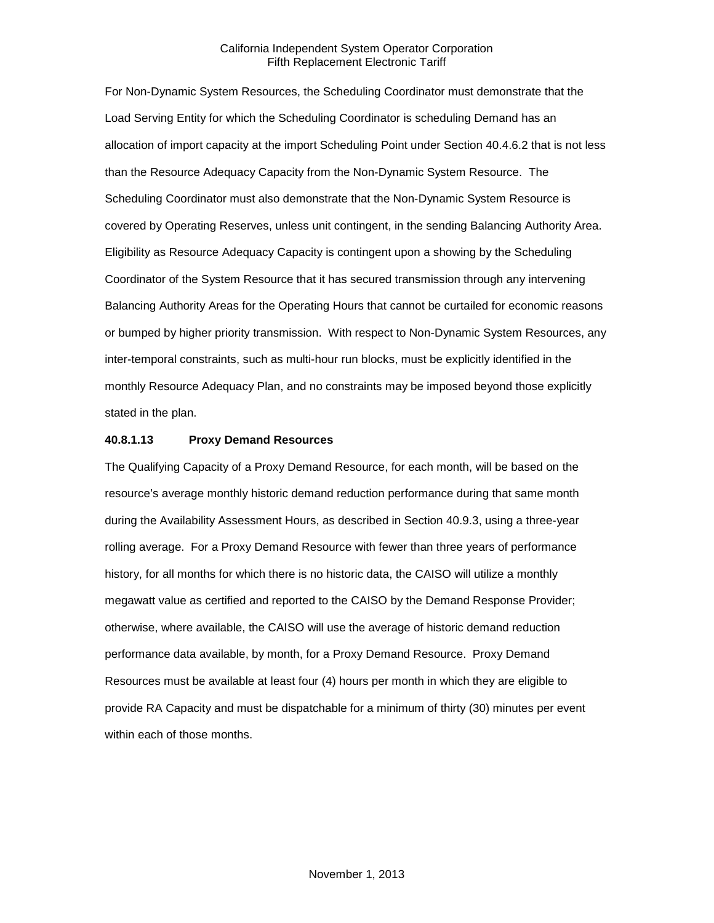For Non-Dynamic System Resources, the Scheduling Coordinator must demonstrate that the Load Serving Entity for which the Scheduling Coordinator is scheduling Demand has an allocation of import capacity at the import Scheduling Point under Section 40.4.6.2 that is not less than the Resource Adequacy Capacity from the Non-Dynamic System Resource. The Scheduling Coordinator must also demonstrate that the Non-Dynamic System Resource is covered by Operating Reserves, unless unit contingent, in the sending Balancing Authority Area. Eligibility as Resource Adequacy Capacity is contingent upon a showing by the Scheduling Coordinator of the System Resource that it has secured transmission through any intervening Balancing Authority Areas for the Operating Hours that cannot be curtailed for economic reasons or bumped by higher priority transmission. With respect to Non-Dynamic System Resources, any inter-temporal constraints, such as multi-hour run blocks, must be explicitly identified in the monthly Resource Adequacy Plan, and no constraints may be imposed beyond those explicitly stated in the plan.

#### **40.8.1.13 Proxy Demand Resources**

The Qualifying Capacity of a Proxy Demand Resource, for each month, will be based on the resource's average monthly historic demand reduction performance during that same month during the Availability Assessment Hours, as described in Section 40.9.3, using a three-year rolling average. For a Proxy Demand Resource with fewer than three years of performance history, for all months for which there is no historic data, the CAISO will utilize a monthly megawatt value as certified and reported to the CAISO by the Demand Response Provider; otherwise, where available, the CAISO will use the average of historic demand reduction performance data available, by month, for a Proxy Demand Resource. Proxy Demand Resources must be available at least four (4) hours per month in which they are eligible to provide RA Capacity and must be dispatchable for a minimum of thirty (30) minutes per event within each of those months.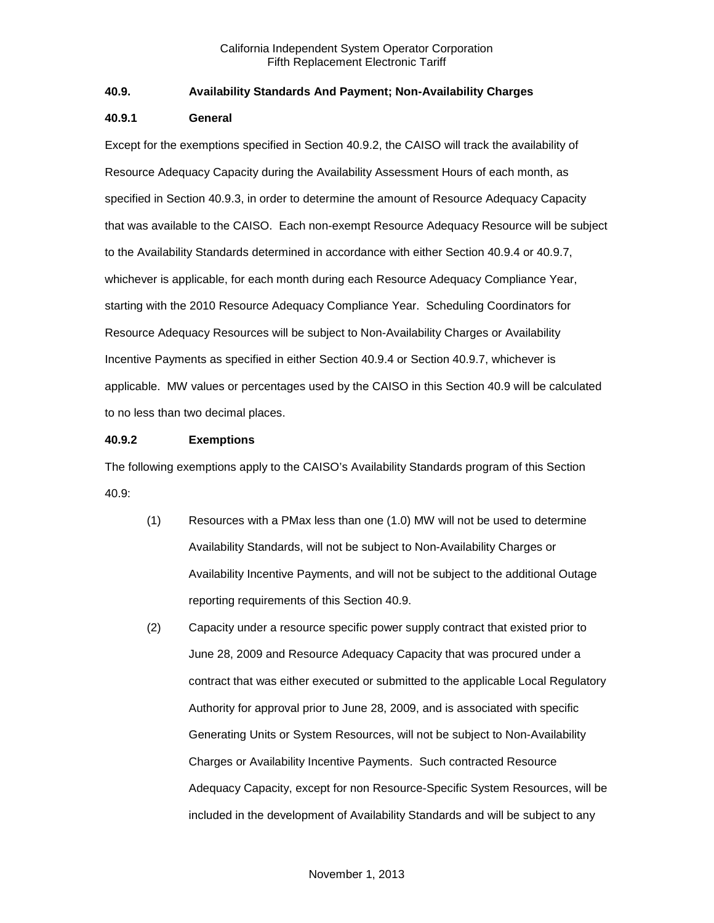### **40.9. Availability Standards And Payment; Non-Availability Charges**

#### **40.9.1 General**

Except for the exemptions specified in Section 40.9.2, the CAISO will track the availability of Resource Adequacy Capacity during the Availability Assessment Hours of each month, as specified in Section 40.9.3, in order to determine the amount of Resource Adequacy Capacity that was available to the CAISO. Each non-exempt Resource Adequacy Resource will be subject to the Availability Standards determined in accordance with either Section 40.9.4 or 40.9.7, whichever is applicable, for each month during each Resource Adequacy Compliance Year, starting with the 2010 Resource Adequacy Compliance Year. Scheduling Coordinators for Resource Adequacy Resources will be subject to Non-Availability Charges or Availability Incentive Payments as specified in either Section 40.9.4 or Section 40.9.7, whichever is applicable. MW values or percentages used by the CAISO in this Section 40.9 will be calculated to no less than two decimal places.

### **40.9.2 Exemptions**

The following exemptions apply to the CAISO's Availability Standards program of this Section 40.9:

- (1) Resources with a PMax less than one (1.0) MW will not be used to determine Availability Standards, will not be subject to Non-Availability Charges or Availability Incentive Payments, and will not be subject to the additional Outage reporting requirements of this Section 40.9.
- (2) Capacity under a resource specific power supply contract that existed prior to June 28, 2009 and Resource Adequacy Capacity that was procured under a contract that was either executed or submitted to the applicable Local Regulatory Authority for approval prior to June 28, 2009, and is associated with specific Generating Units or System Resources, will not be subject to Non-Availability Charges or Availability Incentive Payments. Such contracted Resource Adequacy Capacity, except for non Resource-Specific System Resources, will be included in the development of Availability Standards and will be subject to any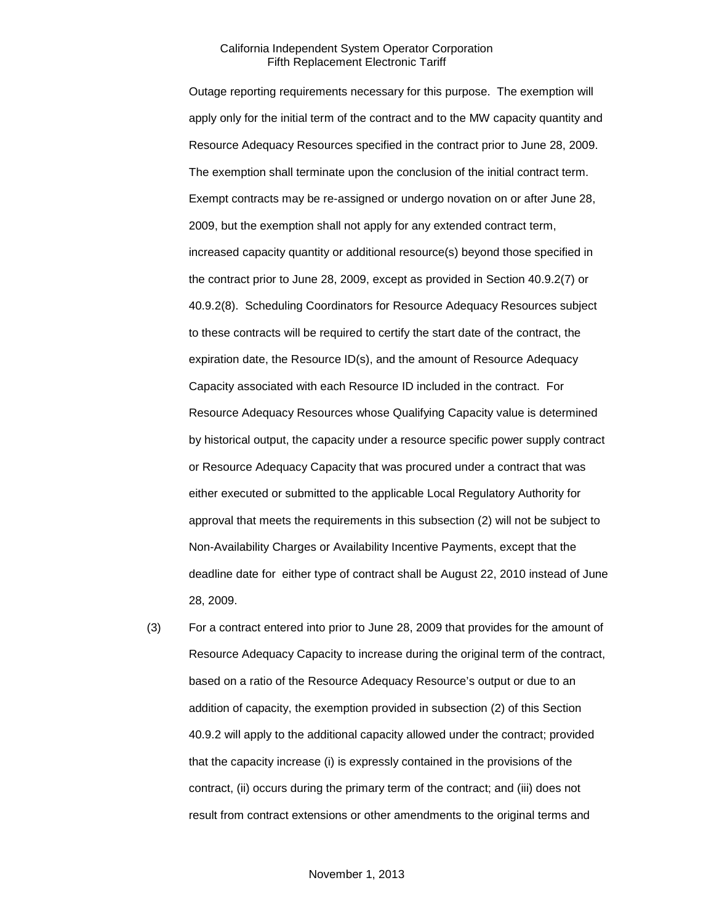Outage reporting requirements necessary for this purpose. The exemption will apply only for the initial term of the contract and to the MW capacity quantity and Resource Adequacy Resources specified in the contract prior to June 28, 2009. The exemption shall terminate upon the conclusion of the initial contract term. Exempt contracts may be re-assigned or undergo novation on or after June 28, 2009, but the exemption shall not apply for any extended contract term, increased capacity quantity or additional resource(s) beyond those specified in the contract prior to June 28, 2009, except as provided in Section 40.9.2(7) or 40.9.2(8). Scheduling Coordinators for Resource Adequacy Resources subject to these contracts will be required to certify the start date of the contract, the expiration date, the Resource ID(s), and the amount of Resource Adequacy Capacity associated with each Resource ID included in the contract. For Resource Adequacy Resources whose Qualifying Capacity value is determined by historical output, the capacity under a resource specific power supply contract or Resource Adequacy Capacity that was procured under a contract that was either executed or submitted to the applicable Local Regulatory Authority for approval that meets the requirements in this subsection (2) will not be subject to Non-Availability Charges or Availability Incentive Payments, except that the deadline date for either type of contract shall be August 22, 2010 instead of June 28, 2009.

(3) For a contract entered into prior to June 28, 2009 that provides for the amount of Resource Adequacy Capacity to increase during the original term of the contract, based on a ratio of the Resource Adequacy Resource's output or due to an addition of capacity, the exemption provided in subsection (2) of this Section 40.9.2 will apply to the additional capacity allowed under the contract; provided that the capacity increase (i) is expressly contained in the provisions of the contract, (ii) occurs during the primary term of the contract; and (iii) does not result from contract extensions or other amendments to the original terms and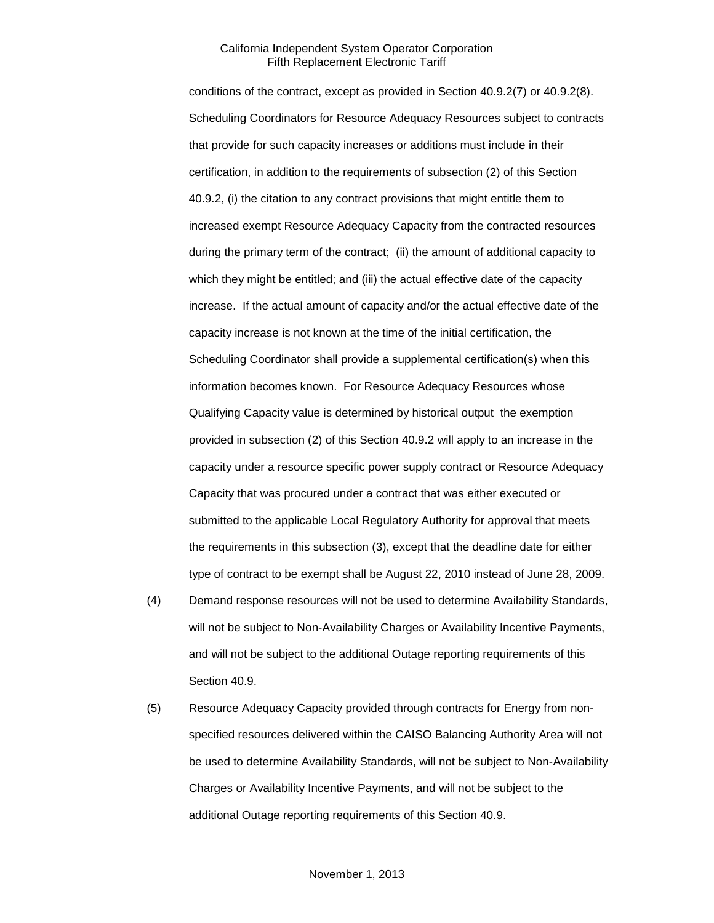conditions of the contract, except as provided in Section 40.9.2(7) or 40.9.2(8). Scheduling Coordinators for Resource Adequacy Resources subject to contracts that provide for such capacity increases or additions must include in their certification, in addition to the requirements of subsection (2) of this Section 40.9.2, (i) the citation to any contract provisions that might entitle them to increased exempt Resource Adequacy Capacity from the contracted resources during the primary term of the contract; (ii) the amount of additional capacity to which they might be entitled; and (iii) the actual effective date of the capacity increase. If the actual amount of capacity and/or the actual effective date of the capacity increase is not known at the time of the initial certification, the Scheduling Coordinator shall provide a supplemental certification(s) when this information becomes known. For Resource Adequacy Resources whose Qualifying Capacity value is determined by historical output the exemption provided in subsection (2) of this Section 40.9.2 will apply to an increase in the capacity under a resource specific power supply contract or Resource Adequacy Capacity that was procured under a contract that was either executed or submitted to the applicable Local Regulatory Authority for approval that meets the requirements in this subsection (3), except that the deadline date for either type of contract to be exempt shall be August 22, 2010 instead of June 28, 2009.

- (4) Demand response resources will not be used to determine Availability Standards, will not be subject to Non-Availability Charges or Availability Incentive Payments, and will not be subject to the additional Outage reporting requirements of this Section 40.9.
- (5) Resource Adequacy Capacity provided through contracts for Energy from nonspecified resources delivered within the CAISO Balancing Authority Area will not be used to determine Availability Standards, will not be subject to Non-Availability Charges or Availability Incentive Payments, and will not be subject to the additional Outage reporting requirements of this Section 40.9.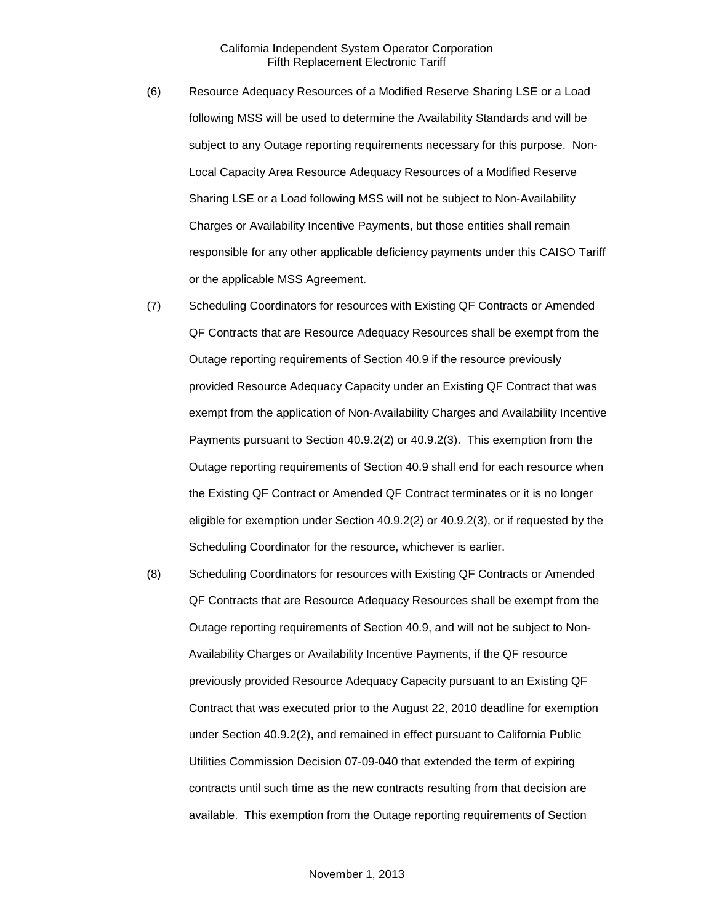- (6) Resource Adequacy Resources of a Modified Reserve Sharing LSE or a Load following MSS will be used to determine the Availability Standards and will be subject to any Outage reporting requirements necessary for this purpose. Non-Local Capacity Area Resource Adequacy Resources of a Modified Reserve Sharing LSE or a Load following MSS will not be subject to Non-Availability Charges or Availability Incentive Payments, but those entities shall remain responsible for any other applicable deficiency payments under this CAISO Tariff or the applicable MSS Agreement.
- (7) Scheduling Coordinators for resources with Existing QF Contracts or Amended QF Contracts that are Resource Adequacy Resources shall be exempt from the Outage reporting requirements of Section 40.9 if the resource previously provided Resource Adequacy Capacity under an Existing QF Contract that was exempt from the application of Non-Availability Charges and Availability Incentive Payments pursuant to Section 40.9.2(2) or 40.9.2(3). This exemption from the Outage reporting requirements of Section 40.9 shall end for each resource when the Existing QF Contract or Amended QF Contract terminates or it is no longer eligible for exemption under Section 40.9.2(2) or 40.9.2(3), or if requested by the Scheduling Coordinator for the resource, whichever is earlier.
- (8) Scheduling Coordinators for resources with Existing QF Contracts or Amended QF Contracts that are Resource Adequacy Resources shall be exempt from the Outage reporting requirements of Section 40.9, and will not be subject to Non-Availability Charges or Availability Incentive Payments, if the QF resource previously provided Resource Adequacy Capacity pursuant to an Existing QF Contract that was executed prior to the August 22, 2010 deadline for exemption under Section 40.9.2(2), and remained in effect pursuant to California Public Utilities Commission Decision 07-09-040 that extended the term of expiring contracts until such time as the new contracts resulting from that decision are available. This exemption from the Outage reporting requirements of Section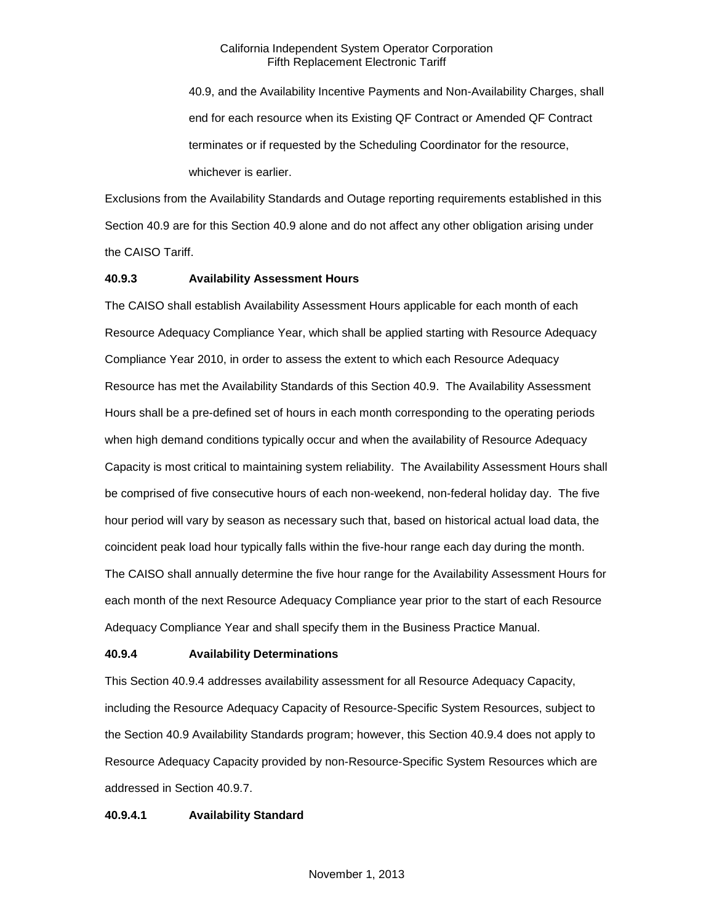40.9, and the Availability Incentive Payments and Non-Availability Charges, shall end for each resource when its Existing QF Contract or Amended QF Contract terminates or if requested by the Scheduling Coordinator for the resource, whichever is earlier.

Exclusions from the Availability Standards and Outage reporting requirements established in this Section 40.9 are for this Section 40.9 alone and do not affect any other obligation arising under the CAISO Tariff.

### **40.9.3 Availability Assessment Hours**

The CAISO shall establish Availability Assessment Hours applicable for each month of each Resource Adequacy Compliance Year, which shall be applied starting with Resource Adequacy Compliance Year 2010, in order to assess the extent to which each Resource Adequacy Resource has met the Availability Standards of this Section 40.9. The Availability Assessment Hours shall be a pre-defined set of hours in each month corresponding to the operating periods when high demand conditions typically occur and when the availability of Resource Adequacy Capacity is most critical to maintaining system reliability. The Availability Assessment Hours shall be comprised of five consecutive hours of each non-weekend, non-federal holiday day. The five hour period will vary by season as necessary such that, based on historical actual load data, the coincident peak load hour typically falls within the five-hour range each day during the month. The CAISO shall annually determine the five hour range for the Availability Assessment Hours for each month of the next Resource Adequacy Compliance year prior to the start of each Resource Adequacy Compliance Year and shall specify them in the Business Practice Manual.

### **40.9.4 Availability Determinations**

This Section 40.9.4 addresses availability assessment for all Resource Adequacy Capacity, including the Resource Adequacy Capacity of Resource-Specific System Resources, subject to the Section 40.9 Availability Standards program; however, this Section 40.9.4 does not apply to Resource Adequacy Capacity provided by non-Resource-Specific System Resources which are addressed in Section 40.9.7.

### **40.9.4.1 Availability Standard**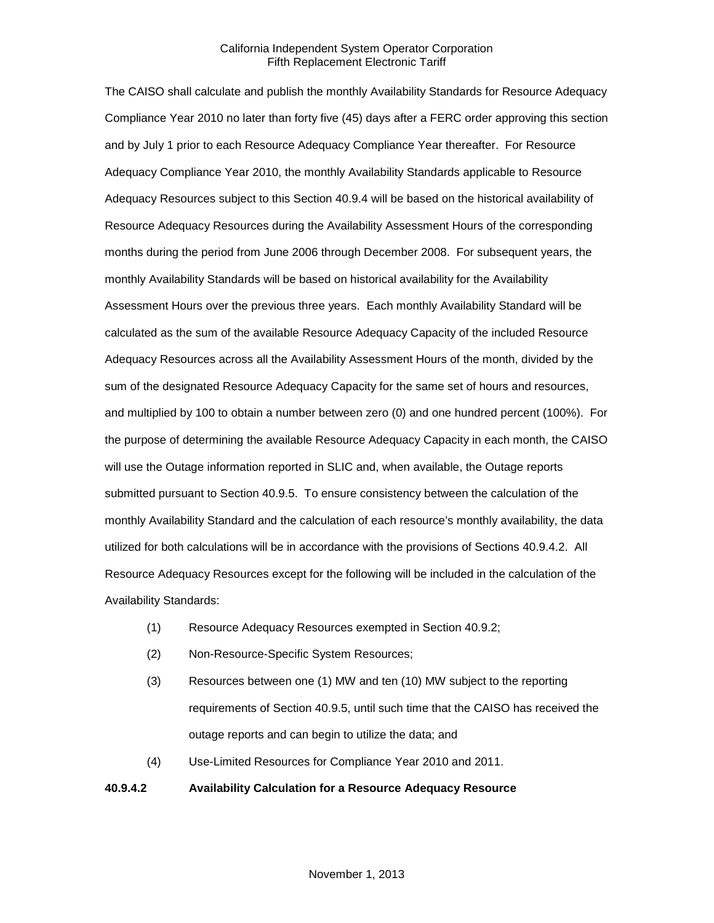The CAISO shall calculate and publish the monthly Availability Standards for Resource Adequacy Compliance Year 2010 no later than forty five (45) days after a FERC order approving this section and by July 1 prior to each Resource Adequacy Compliance Year thereafter. For Resource Adequacy Compliance Year 2010, the monthly Availability Standards applicable to Resource Adequacy Resources subject to this Section 40.9.4 will be based on the historical availability of Resource Adequacy Resources during the Availability Assessment Hours of the corresponding months during the period from June 2006 through December 2008. For subsequent years, the monthly Availability Standards will be based on historical availability for the Availability Assessment Hours over the previous three years. Each monthly Availability Standard will be calculated as the sum of the available Resource Adequacy Capacity of the included Resource Adequacy Resources across all the Availability Assessment Hours of the month, divided by the sum of the designated Resource Adequacy Capacity for the same set of hours and resources, and multiplied by 100 to obtain a number between zero (0) and one hundred percent (100%). For the purpose of determining the available Resource Adequacy Capacity in each month, the CAISO will use the Outage information reported in SLIC and, when available, the Outage reports submitted pursuant to Section 40.9.5. To ensure consistency between the calculation of the monthly Availability Standard and the calculation of each resource's monthly availability, the data utilized for both calculations will be in accordance with the provisions of Sections 40.9.4.2. All Resource Adequacy Resources except for the following will be included in the calculation of the Availability Standards:

- (1) Resource Adequacy Resources exempted in Section 40.9.2;
- (2) Non-Resource-Specific System Resources;
- (3) Resources between one (1) MW and ten (10) MW subject to the reporting requirements of Section 40.9.5, until such time that the CAISO has received the outage reports and can begin to utilize the data; and
- (4) Use-Limited Resources for Compliance Year 2010 and 2011.

### **40.9.4.2 Availability Calculation for a Resource Adequacy Resource**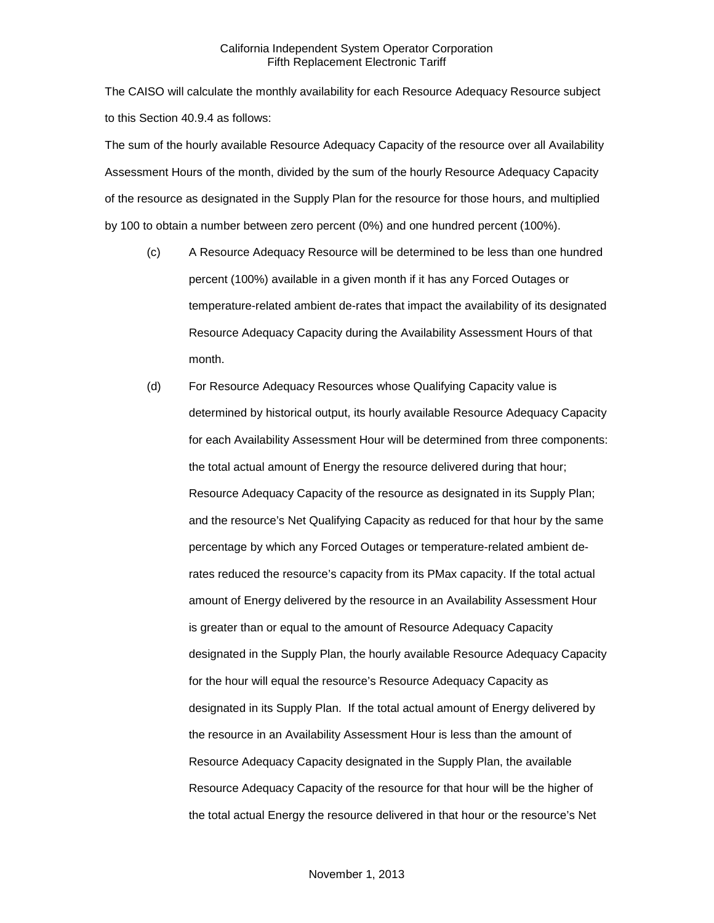The CAISO will calculate the monthly availability for each Resource Adequacy Resource subject to this Section 40.9.4 as follows:

The sum of the hourly available Resource Adequacy Capacity of the resource over all Availability Assessment Hours of the month, divided by the sum of the hourly Resource Adequacy Capacity of the resource as designated in the Supply Plan for the resource for those hours, and multiplied by 100 to obtain a number between zero percent (0%) and one hundred percent (100%).

- (c) A Resource Adequacy Resource will be determined to be less than one hundred percent (100%) available in a given month if it has any Forced Outages or temperature-related ambient de-rates that impact the availability of its designated Resource Adequacy Capacity during the Availability Assessment Hours of that month.
- (d) For Resource Adequacy Resources whose Qualifying Capacity value is determined by historical output, its hourly available Resource Adequacy Capacity for each Availability Assessment Hour will be determined from three components: the total actual amount of Energy the resource delivered during that hour; Resource Adequacy Capacity of the resource as designated in its Supply Plan; and the resource's Net Qualifying Capacity as reduced for that hour by the same percentage by which any Forced Outages or temperature-related ambient derates reduced the resource's capacity from its PMax capacity. If the total actual amount of Energy delivered by the resource in an Availability Assessment Hour is greater than or equal to the amount of Resource Adequacy Capacity designated in the Supply Plan, the hourly available Resource Adequacy Capacity for the hour will equal the resource's Resource Adequacy Capacity as designated in its Supply Plan. If the total actual amount of Energy delivered by the resource in an Availability Assessment Hour is less than the amount of Resource Adequacy Capacity designated in the Supply Plan, the available Resource Adequacy Capacity of the resource for that hour will be the higher of the total actual Energy the resource delivered in that hour or the resource's Net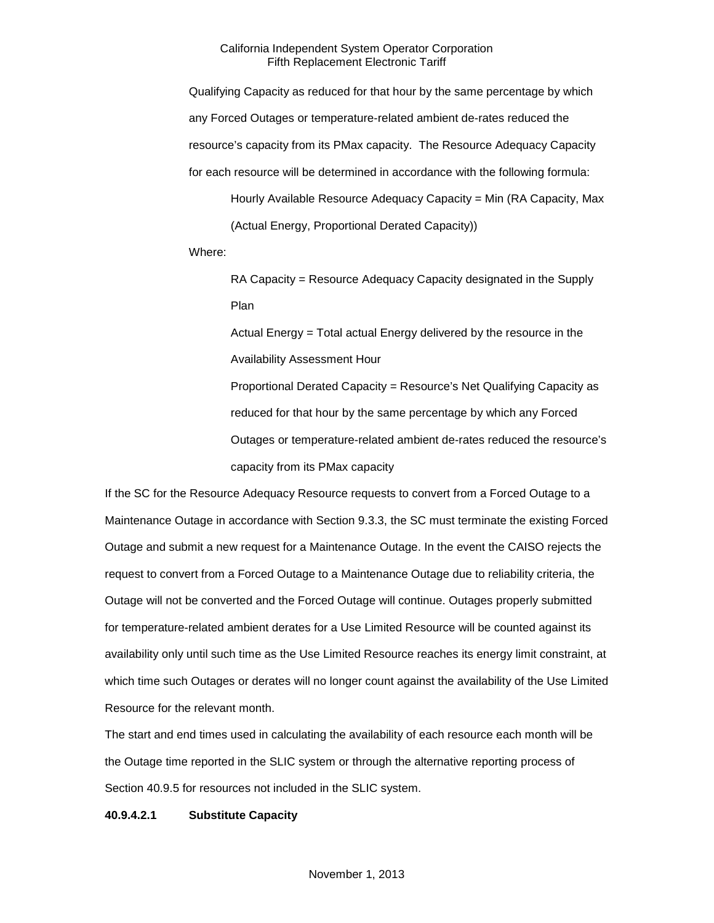Qualifying Capacity as reduced for that hour by the same percentage by which any Forced Outages or temperature-related ambient de-rates reduced the resource's capacity from its PMax capacity. The Resource Adequacy Capacity for each resource will be determined in accordance with the following formula:

Hourly Available Resource Adequacy Capacity = Min (RA Capacity, Max (Actual Energy, Proportional Derated Capacity))

Where:

RA Capacity = Resource Adequacy Capacity designated in the Supply Plan

Actual Energy = Total actual Energy delivered by the resource in the Availability Assessment Hour

Proportional Derated Capacity = Resource's Net Qualifying Capacity as reduced for that hour by the same percentage by which any Forced Outages or temperature-related ambient de-rates reduced the resource's capacity from its PMax capacity

If the SC for the Resource Adequacy Resource requests to convert from a Forced Outage to a Maintenance Outage in accordance with Section 9.3.3, the SC must terminate the existing Forced Outage and submit a new request for a Maintenance Outage. In the event the CAISO rejects the request to convert from a Forced Outage to a Maintenance Outage due to reliability criteria, the Outage will not be converted and the Forced Outage will continue. Outages properly submitted for temperature-related ambient derates for a Use Limited Resource will be counted against its availability only until such time as the Use Limited Resource reaches its energy limit constraint, at which time such Outages or derates will no longer count against the availability of the Use Limited Resource for the relevant month.

The start and end times used in calculating the availability of each resource each month will be the Outage time reported in the SLIC system or through the alternative reporting process of Section 40.9.5 for resources not included in the SLIC system.

### **40.9.4.2.1 Substitute Capacity**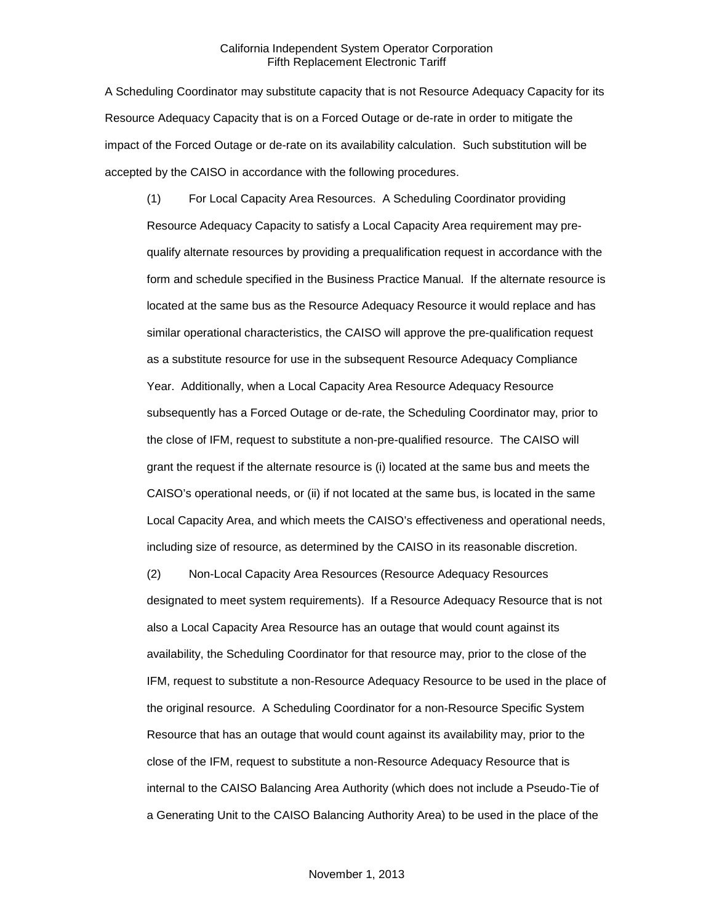A Scheduling Coordinator may substitute capacity that is not Resource Adequacy Capacity for its Resource Adequacy Capacity that is on a Forced Outage or de-rate in order to mitigate the impact of the Forced Outage or de-rate on its availability calculation. Such substitution will be accepted by the CAISO in accordance with the following procedures.

(1) For Local Capacity Area Resources. A Scheduling Coordinator providing Resource Adequacy Capacity to satisfy a Local Capacity Area requirement may prequalify alternate resources by providing a prequalification request in accordance with the form and schedule specified in the Business Practice Manual. If the alternate resource is located at the same bus as the Resource Adequacy Resource it would replace and has similar operational characteristics, the CAISO will approve the pre-qualification request as a substitute resource for use in the subsequent Resource Adequacy Compliance Year. Additionally, when a Local Capacity Area Resource Adequacy Resource subsequently has a Forced Outage or de-rate, the Scheduling Coordinator may, prior to the close of IFM, request to substitute a non-pre-qualified resource. The CAISO will grant the request if the alternate resource is (i) located at the same bus and meets the CAISO's operational needs, or (ii) if not located at the same bus, is located in the same Local Capacity Area, and which meets the CAISO's effectiveness and operational needs, including size of resource, as determined by the CAISO in its reasonable discretion.

(2) Non-Local Capacity Area Resources (Resource Adequacy Resources designated to meet system requirements). If a Resource Adequacy Resource that is not also a Local Capacity Area Resource has an outage that would count against its availability, the Scheduling Coordinator for that resource may, prior to the close of the IFM, request to substitute a non-Resource Adequacy Resource to be used in the place of the original resource. A Scheduling Coordinator for a non-Resource Specific System Resource that has an outage that would count against its availability may, prior to the close of the IFM, request to substitute a non-Resource Adequacy Resource that is internal to the CAISO Balancing Area Authority (which does not include a Pseudo-Tie of a Generating Unit to the CAISO Balancing Authority Area) to be used in the place of the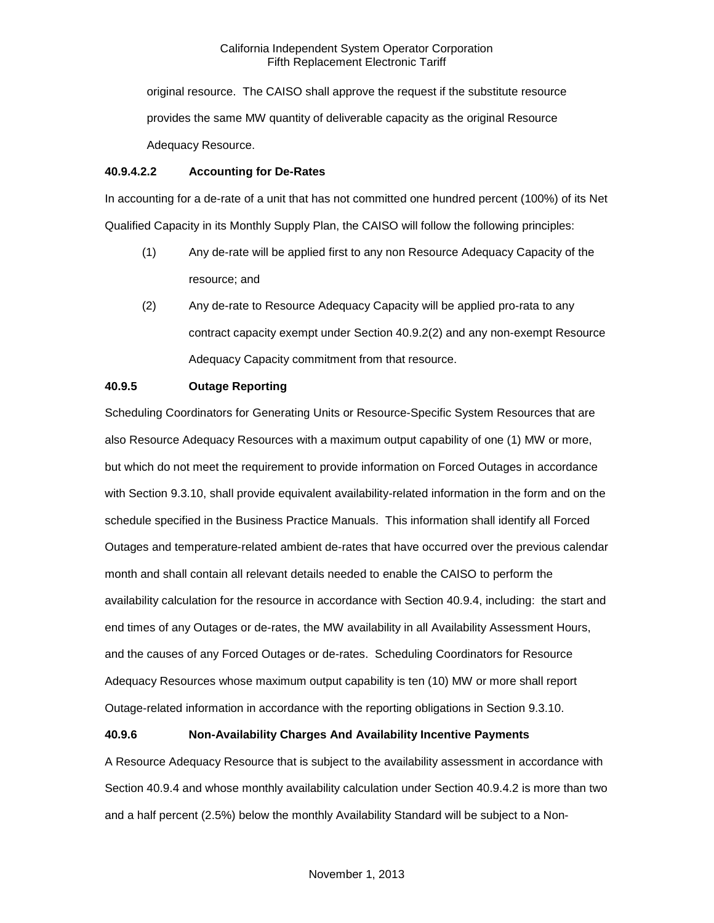original resource. The CAISO shall approve the request if the substitute resource provides the same MW quantity of deliverable capacity as the original Resource Adequacy Resource.

### **40.9.4.2.2 Accounting for De-Rates**

In accounting for a de-rate of a unit that has not committed one hundred percent (100%) of its Net Qualified Capacity in its Monthly Supply Plan, the CAISO will follow the following principles:

- (1) Any de-rate will be applied first to any non Resource Adequacy Capacity of the resource; and
- (2) Any de-rate to Resource Adequacy Capacity will be applied pro-rata to any contract capacity exempt under Section 40.9.2(2) and any non-exempt Resource Adequacy Capacity commitment from that resource.

# **40.9.5 Outage Reporting**

Scheduling Coordinators for Generating Units or Resource-Specific System Resources that are also Resource Adequacy Resources with a maximum output capability of one (1) MW or more, but which do not meet the requirement to provide information on Forced Outages in accordance with Section 9.3.10, shall provide equivalent availability-related information in the form and on the schedule specified in the Business Practice Manuals. This information shall identify all Forced Outages and temperature-related ambient de-rates that have occurred over the previous calendar month and shall contain all relevant details needed to enable the CAISO to perform the availability calculation for the resource in accordance with Section 40.9.4, including: the start and end times of any Outages or de-rates, the MW availability in all Availability Assessment Hours, and the causes of any Forced Outages or de-rates. Scheduling Coordinators for Resource Adequacy Resources whose maximum output capability is ten (10) MW or more shall report Outage-related information in accordance with the reporting obligations in Section 9.3.10.

# **40.9.6 Non-Availability Charges And Availability Incentive Payments**

A Resource Adequacy Resource that is subject to the availability assessment in accordance with Section 40.9.4 and whose monthly availability calculation under Section 40.9.4.2 is more than two and a half percent (2.5%) below the monthly Availability Standard will be subject to a Non-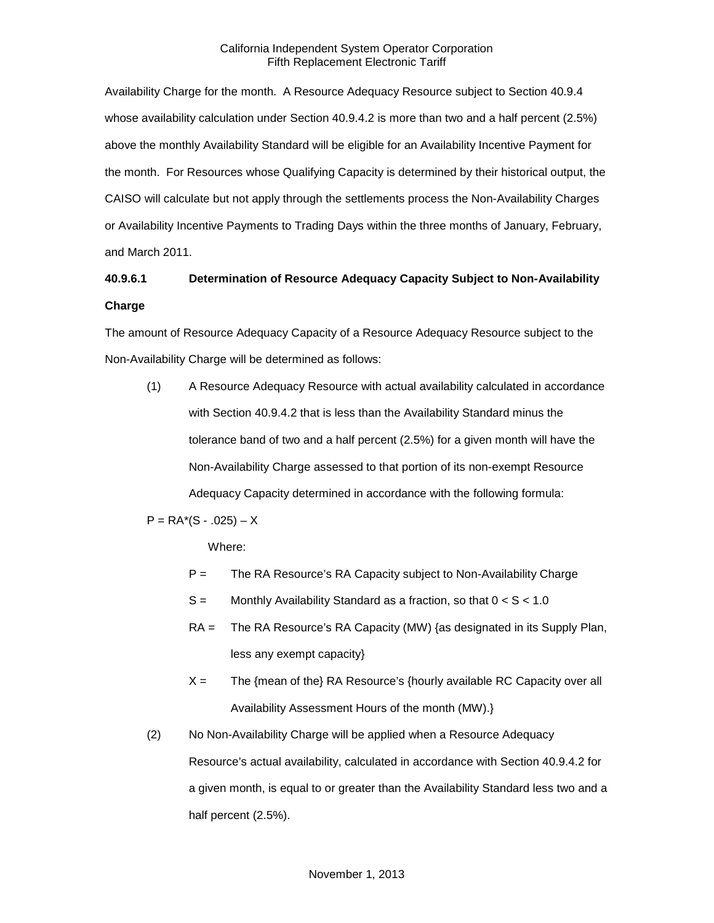Availability Charge for the month. A Resource Adequacy Resource subject to Section 40.9.4 whose availability calculation under Section 40.9.4.2 is more than two and a half percent (2.5%) above the monthly Availability Standard will be eligible for an Availability Incentive Payment for the month. For Resources whose Qualifying Capacity is determined by their historical output, the CAISO will calculate but not apply through the settlements process the Non-Availability Charges or Availability Incentive Payments to Trading Days within the three months of January, February, and March 2011.

# **40.9.6.1 Determination of Resource Adequacy Capacity Subject to Non-Availability Charge**

The amount of Resource Adequacy Capacity of a Resource Adequacy Resource subject to the Non-Availability Charge will be determined as follows:

(1) A Resource Adequacy Resource with actual availability calculated in accordance with Section 40.9.4.2 that is less than the Availability Standard minus the tolerance band of two and a half percent (2.5%) for a given month will have the Non-Availability Charge assessed to that portion of its non-exempt Resource Adequacy Capacity determined in accordance with the following formula:

 $P = RA*(S - .025) - X$ 

Where:

- P = The RA Resource's RA Capacity subject to Non-Availability Charge
- $S =$  Monthly Availability Standard as a fraction, so that  $0 < S < 1.0$
- RA = The RA Resource's RA Capacity (MW) {as designated in its Supply Plan, less any exempt capacity}
- $X =$  The {mean of the} RA Resource's {hourly available RC Capacity over all Availability Assessment Hours of the month (MW).}
- (2) No Non-Availability Charge will be applied when a Resource Adequacy Resource's actual availability, calculated in accordance with Section 40.9.4.2 for a given month, is equal to or greater than the Availability Standard less two and a half percent (2.5%).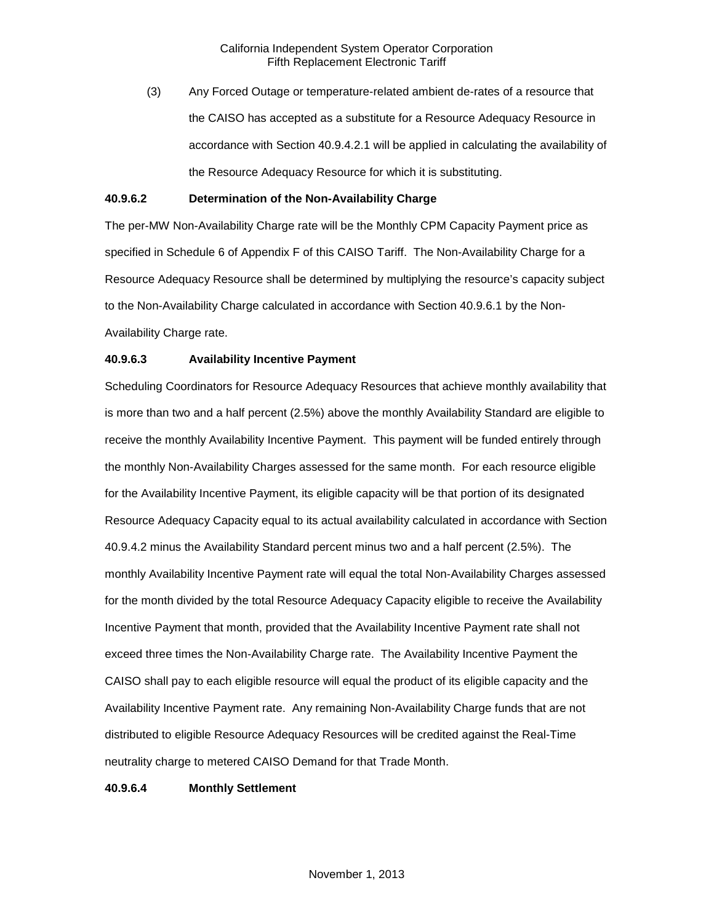(3) Any Forced Outage or temperature-related ambient de-rates of a resource that the CAISO has accepted as a substitute for a Resource Adequacy Resource in accordance with Section 40.9.4.2.1 will be applied in calculating the availability of the Resource Adequacy Resource for which it is substituting.

# **40.9.6.2 Determination of the Non-Availability Charge**

The per-MW Non-Availability Charge rate will be the Monthly CPM Capacity Payment price as specified in Schedule 6 of Appendix F of this CAISO Tariff. The Non-Availability Charge for a Resource Adequacy Resource shall be determined by multiplying the resource's capacity subject to the Non-Availability Charge calculated in accordance with Section 40.9.6.1 by the Non-Availability Charge rate.

### **40.9.6.3 Availability Incentive Payment**

Scheduling Coordinators for Resource Adequacy Resources that achieve monthly availability that is more than two and a half percent (2.5%) above the monthly Availability Standard are eligible to receive the monthly Availability Incentive Payment. This payment will be funded entirely through the monthly Non-Availability Charges assessed for the same month. For each resource eligible for the Availability Incentive Payment, its eligible capacity will be that portion of its designated Resource Adequacy Capacity equal to its actual availability calculated in accordance with Section 40.9.4.2 minus the Availability Standard percent minus two and a half percent (2.5%). The monthly Availability Incentive Payment rate will equal the total Non-Availability Charges assessed for the month divided by the total Resource Adequacy Capacity eligible to receive the Availability Incentive Payment that month, provided that the Availability Incentive Payment rate shall not exceed three times the Non-Availability Charge rate. The Availability Incentive Payment the CAISO shall pay to each eligible resource will equal the product of its eligible capacity and the Availability Incentive Payment rate. Any remaining Non-Availability Charge funds that are not distributed to eligible Resource Adequacy Resources will be credited against the Real-Time neutrality charge to metered CAISO Demand for that Trade Month.

### **40.9.6.4 Monthly Settlement**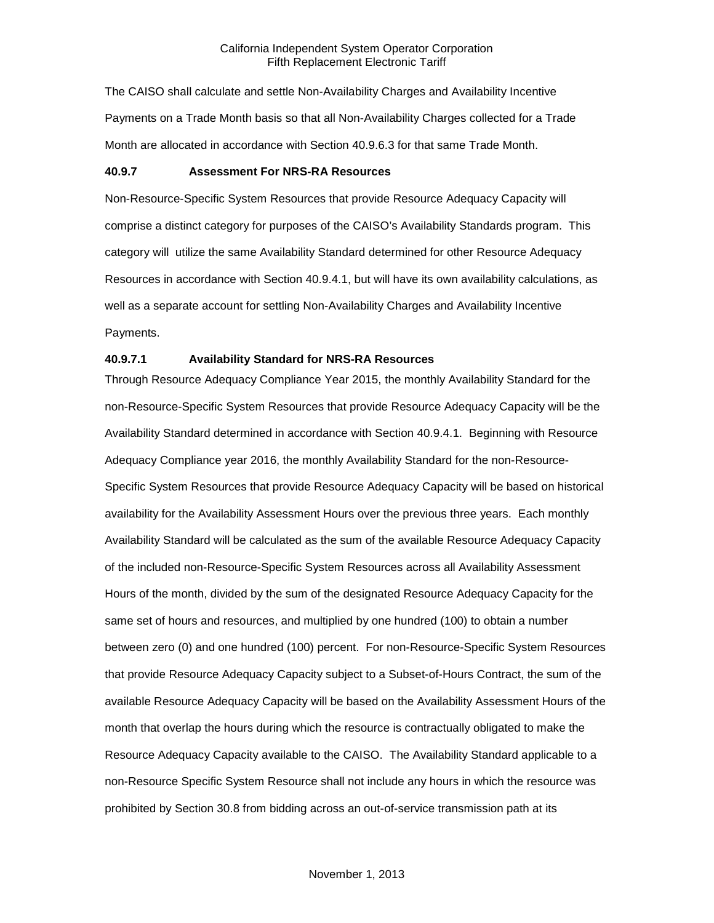The CAISO shall calculate and settle Non-Availability Charges and Availability Incentive Payments on a Trade Month basis so that all Non-Availability Charges collected for a Trade Month are allocated in accordance with Section 40.9.6.3 for that same Trade Month.

### **40.9.7 Assessment For NRS-RA Resources**

Non-Resource-Specific System Resources that provide Resource Adequacy Capacity will comprise a distinct category for purposes of the CAISO's Availability Standards program. This category will utilize the same Availability Standard determined for other Resource Adequacy Resources in accordance with Section 40.9.4.1, but will have its own availability calculations, as well as a separate account for settling Non-Availability Charges and Availability Incentive Payments.

### **40.9.7.1 Availability Standard for NRS-RA Resources**

Through Resource Adequacy Compliance Year 2015, the monthly Availability Standard for the non-Resource-Specific System Resources that provide Resource Adequacy Capacity will be the Availability Standard determined in accordance with Section 40.9.4.1. Beginning with Resource Adequacy Compliance year 2016, the monthly Availability Standard for the non-Resource-Specific System Resources that provide Resource Adequacy Capacity will be based on historical availability for the Availability Assessment Hours over the previous three years. Each monthly Availability Standard will be calculated as the sum of the available Resource Adequacy Capacity of the included non-Resource-Specific System Resources across all Availability Assessment Hours of the month, divided by the sum of the designated Resource Adequacy Capacity for the same set of hours and resources, and multiplied by one hundred (100) to obtain a number between zero (0) and one hundred (100) percent. For non-Resource-Specific System Resources that provide Resource Adequacy Capacity subject to a Subset-of-Hours Contract, the sum of the available Resource Adequacy Capacity will be based on the Availability Assessment Hours of the month that overlap the hours during which the resource is contractually obligated to make the Resource Adequacy Capacity available to the CAISO. The Availability Standard applicable to a non-Resource Specific System Resource shall not include any hours in which the resource was prohibited by Section 30.8 from bidding across an out-of-service transmission path at its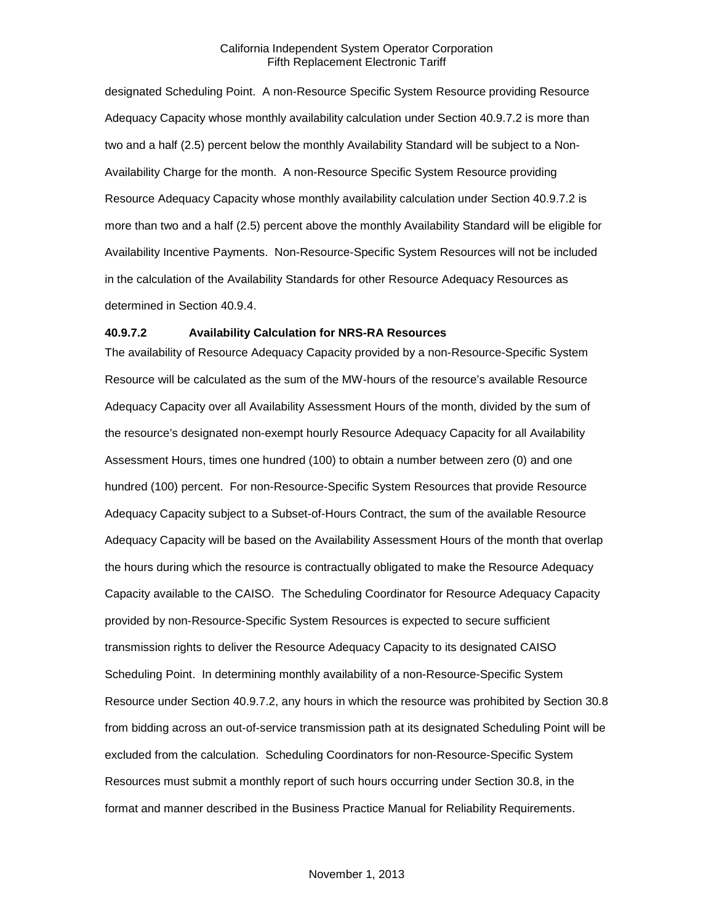designated Scheduling Point. A non-Resource Specific System Resource providing Resource Adequacy Capacity whose monthly availability calculation under Section 40.9.7.2 is more than two and a half (2.5) percent below the monthly Availability Standard will be subject to a Non-Availability Charge for the month. A non-Resource Specific System Resource providing Resource Adequacy Capacity whose monthly availability calculation under Section 40.9.7.2 is more than two and a half (2.5) percent above the monthly Availability Standard will be eligible for Availability Incentive Payments. Non-Resource-Specific System Resources will not be included in the calculation of the Availability Standards for other Resource Adequacy Resources as determined in Section 40.9.4.

### **40.9.7.2 Availability Calculation for NRS-RA Resources**

The availability of Resource Adequacy Capacity provided by a non-Resource-Specific System Resource will be calculated as the sum of the MW-hours of the resource's available Resource Adequacy Capacity over all Availability Assessment Hours of the month, divided by the sum of the resource's designated non-exempt hourly Resource Adequacy Capacity for all Availability Assessment Hours, times one hundred (100) to obtain a number between zero (0) and one hundred (100) percent. For non-Resource-Specific System Resources that provide Resource Adequacy Capacity subject to a Subset-of-Hours Contract, the sum of the available Resource Adequacy Capacity will be based on the Availability Assessment Hours of the month that overlap the hours during which the resource is contractually obligated to make the Resource Adequacy Capacity available to the CAISO. The Scheduling Coordinator for Resource Adequacy Capacity provided by non-Resource-Specific System Resources is expected to secure sufficient transmission rights to deliver the Resource Adequacy Capacity to its designated CAISO Scheduling Point. In determining monthly availability of a non-Resource-Specific System Resource under Section 40.9.7.2, any hours in which the resource was prohibited by Section 30.8 from bidding across an out-of-service transmission path at its designated Scheduling Point will be excluded from the calculation. Scheduling Coordinators for non-Resource-Specific System Resources must submit a monthly report of such hours occurring under Section 30.8, in the format and manner described in the Business Practice Manual for Reliability Requirements.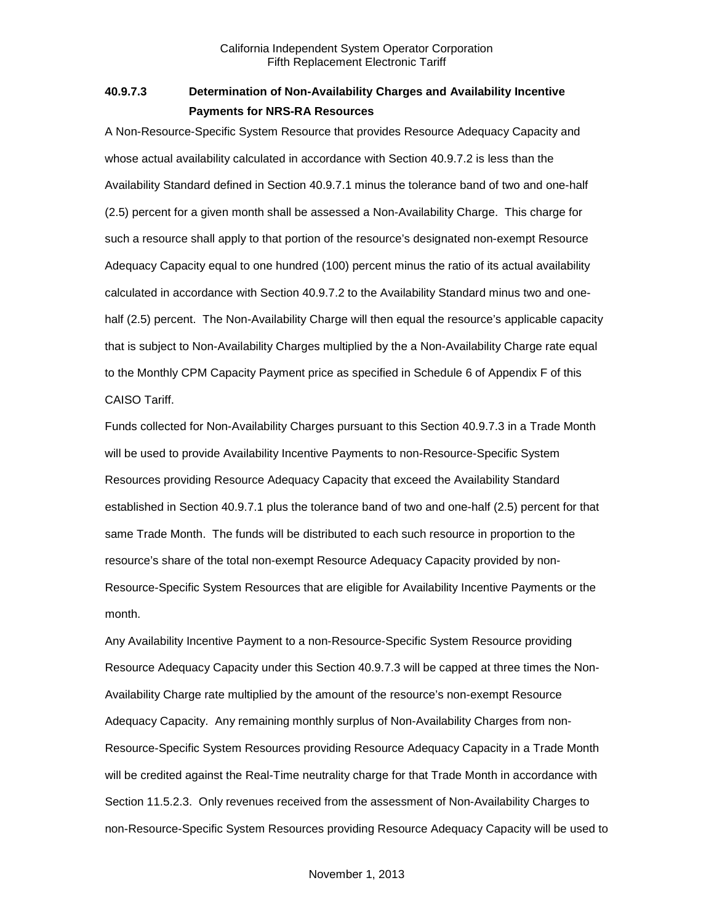# **40.9.7.3 Determination of Non-Availability Charges and Availability Incentive Payments for NRS-RA Resources**

A Non-Resource-Specific System Resource that provides Resource Adequacy Capacity and whose actual availability calculated in accordance with Section 40.9.7.2 is less than the Availability Standard defined in Section 40.9.7.1 minus the tolerance band of two and one-half (2.5) percent for a given month shall be assessed a Non-Availability Charge. This charge for such a resource shall apply to that portion of the resource's designated non-exempt Resource Adequacy Capacity equal to one hundred (100) percent minus the ratio of its actual availability calculated in accordance with Section 40.9.7.2 to the Availability Standard minus two and onehalf (2.5) percent. The Non-Availability Charge will then equal the resource's applicable capacity that is subject to Non-Availability Charges multiplied by the a Non-Availability Charge rate equal to the Monthly CPM Capacity Payment price as specified in Schedule 6 of Appendix F of this CAISO Tariff.

Funds collected for Non-Availability Charges pursuant to this Section 40.9.7.3 in a Trade Month will be used to provide Availability Incentive Payments to non-Resource-Specific System Resources providing Resource Adequacy Capacity that exceed the Availability Standard established in Section 40.9.7.1 plus the tolerance band of two and one-half (2.5) percent for that same Trade Month. The funds will be distributed to each such resource in proportion to the resource's share of the total non-exempt Resource Adequacy Capacity provided by non-Resource-Specific System Resources that are eligible for Availability Incentive Payments or the month.

Any Availability Incentive Payment to a non-Resource-Specific System Resource providing Resource Adequacy Capacity under this Section 40.9.7.3 will be capped at three times the Non-Availability Charge rate multiplied by the amount of the resource's non-exempt Resource Adequacy Capacity. Any remaining monthly surplus of Non-Availability Charges from non-Resource-Specific System Resources providing Resource Adequacy Capacity in a Trade Month will be credited against the Real-Time neutrality charge for that Trade Month in accordance with Section 11.5.2.3. Only revenues received from the assessment of Non-Availability Charges to non-Resource-Specific System Resources providing Resource Adequacy Capacity will be used to